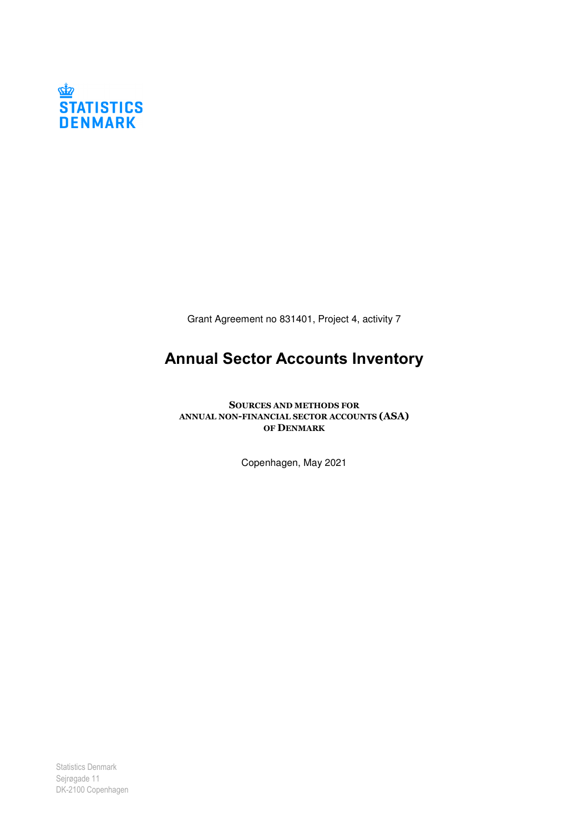

Grant Agreement no 831401, Project 4, activity 7

# Annual Sector Accounts Inventory

SOURCES AND METHODS FOR ANNUAL NON-FINANCIAL SECTOR ACCOUNTS (ASA) OF DENMARK

Copenhagen, May 2021

Statistics Denmark Sejrøgade 11 DK-2100 Copenhagen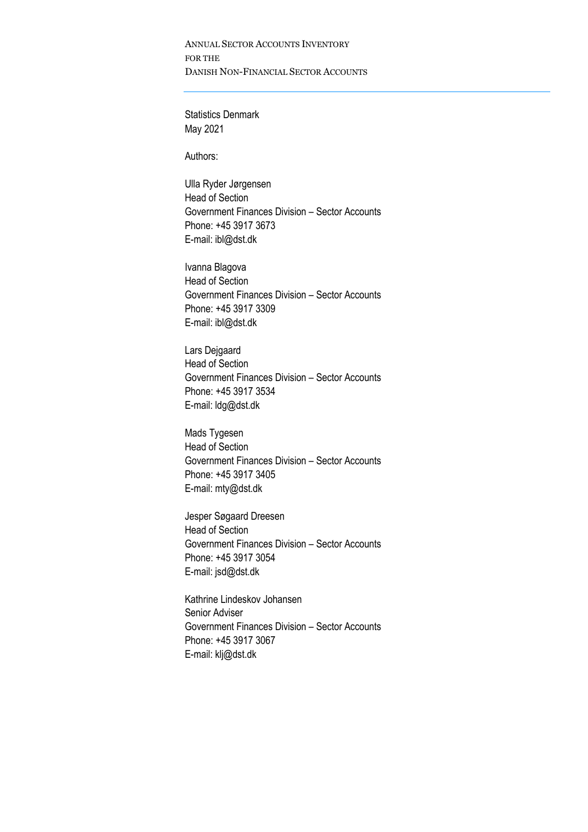ANNUAL SECTOR ACCOUNTS INVENTORY FOR THE DANISH NON-FINANCIAL SECTOR ACCOUNTS

Statistics Denmark May 2021

Authors:

Ulla Ryder Jørgensen Head of Section Government Finances Division – Sector Accounts Phone: +45 3917 3673 E-mail: ibl@dst.dk

Ivanna Blagova Head of Section Government Finances Division – Sector Accounts Phone: +45 3917 3309 E-mail: ibl@dst.dk

Lars Dejgaard Head of Section Government Finances Division – Sector Accounts Phone: +45 3917 3534 E-mail: ldg@dst.dk

Mads Tygesen Head of Section Government Finances Division – Sector Accounts Phone: +45 3917 3405 E-mail: mty@dst.dk

Jesper Søgaard Dreesen Head of Section Government Finances Division – Sector Accounts Phone: +45 3917 3054 E-mail: jsd@dst.dk

Kathrine Lindeskov Johansen Senior Adviser Government Finances Division – Sector Accounts Phone: +45 3917 3067 E-mail: klj@dst.dk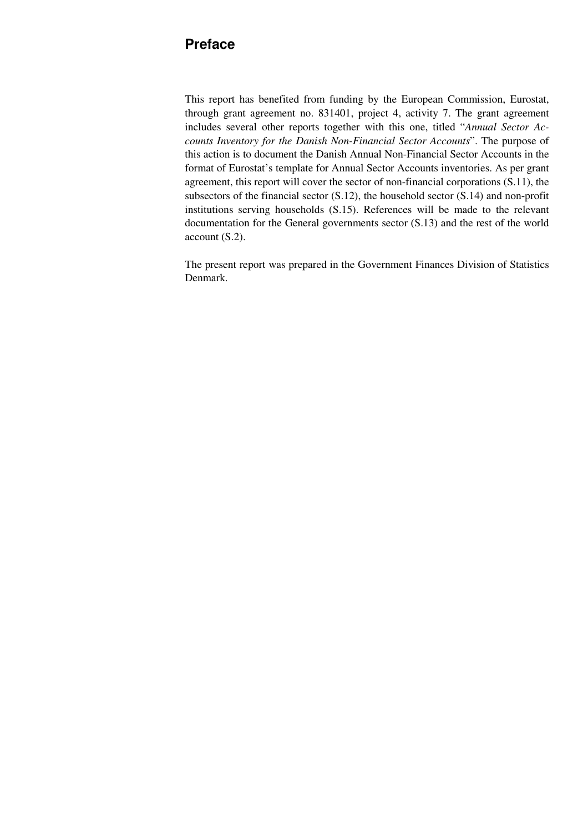## **Preface**

This report has benefited from funding by the European Commission, Eurostat, through grant agreement no. 831401, project 4, activity 7. The grant agreement includes several other reports together with this one, titled "*Annual Sector Accounts Inventory for the Danish Non-Financial Sector Accounts*". The purpose of this action is to document the Danish Annual Non-Financial Sector Accounts in the format of Eurostat's template for Annual Sector Accounts inventories. As per grant agreement, this report will cover the sector of non-financial corporations (S.11), the subsectors of the financial sector (S.12), the household sector (S.14) and non-profit institutions serving households (S.15). References will be made to the relevant documentation for the General governments sector (S.13) and the rest of the world account (S.2).

The present report was prepared in the Government Finances Division of Statistics Denmark.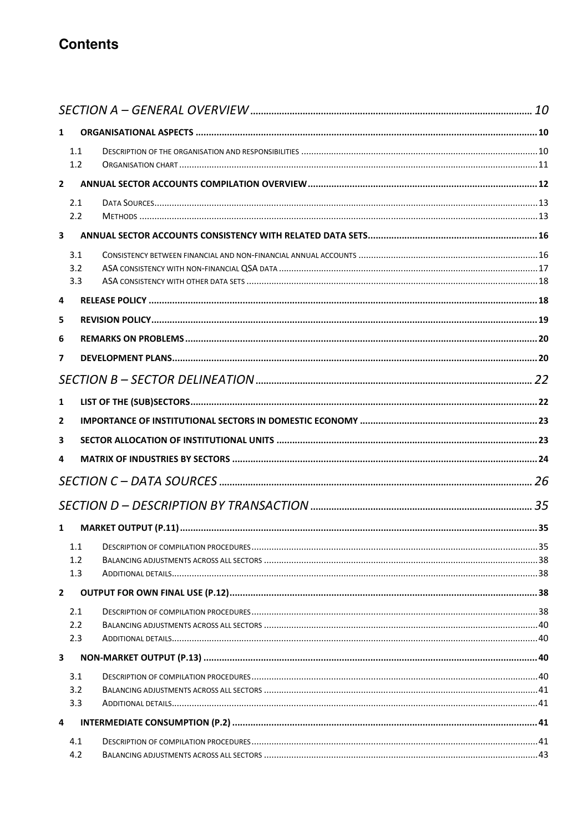# **Contents**

| $\mathbf{1}$   |            |  |
|----------------|------------|--|
|                | 1.1        |  |
|                | 1.2        |  |
| $\overline{2}$ |            |  |
|                | 2.1        |  |
|                | 2.2        |  |
| 3              |            |  |
|                | 3.1        |  |
|                | 3.2        |  |
|                | 3.3        |  |
| 4              |            |  |
| 5              |            |  |
| 6              |            |  |
| 7              |            |  |
|                |            |  |
| $\mathbf{1}$   |            |  |
| $\mathbf{2}$   |            |  |
| 3              |            |  |
| 4              |            |  |
|                |            |  |
|                |            |  |
|                |            |  |
| $\mathbf{1}$   |            |  |
|                | 1.1        |  |
|                | 1.2        |  |
|                | 1.3        |  |
| $\overline{2}$ |            |  |
|                | 2.1        |  |
|                | 2.2        |  |
|                | 2.3        |  |
| 3              |            |  |
|                | 3.1        |  |
|                | 3.2<br>3.3 |  |
| 4              |            |  |
|                |            |  |
|                | 4.1<br>4.2 |  |
|                |            |  |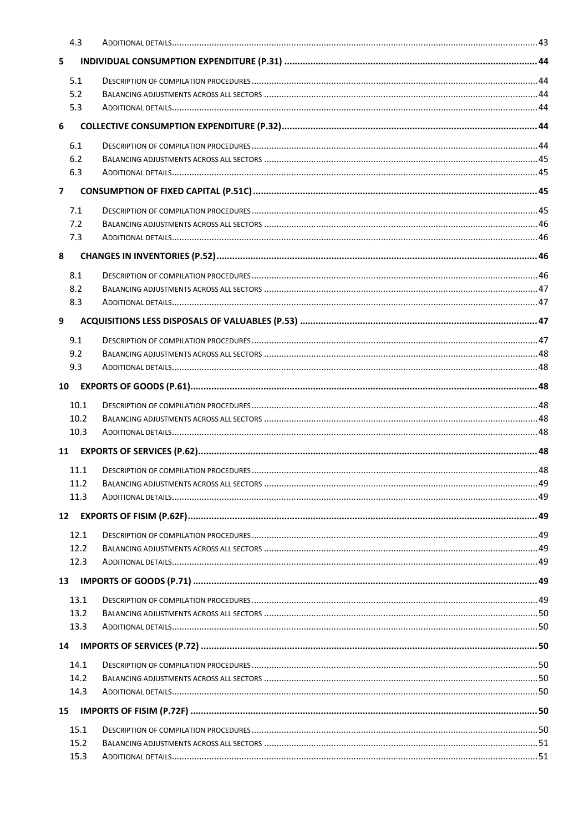|                | 4.3          |                                                                                                                           |  |
|----------------|--------------|---------------------------------------------------------------------------------------------------------------------------|--|
| 5              |              |                                                                                                                           |  |
|                | 5.1          |                                                                                                                           |  |
|                | 5.2          |                                                                                                                           |  |
|                | 5.3          |                                                                                                                           |  |
| 6              |              |                                                                                                                           |  |
|                | 6.1          |                                                                                                                           |  |
|                | 6.2          |                                                                                                                           |  |
|                | 6.3          |                                                                                                                           |  |
| $\overline{ }$ |              |                                                                                                                           |  |
|                | 7.1          |                                                                                                                           |  |
|                | 7.2          |                                                                                                                           |  |
|                | 7.3          |                                                                                                                           |  |
| 8              |              |                                                                                                                           |  |
|                | 8.1          |                                                                                                                           |  |
|                | 8.2          |                                                                                                                           |  |
|                | 8.3          |                                                                                                                           |  |
| 9              |              |                                                                                                                           |  |
|                | 9.1          |                                                                                                                           |  |
|                | 9.2          |                                                                                                                           |  |
|                | 9.3          |                                                                                                                           |  |
| 10             |              |                                                                                                                           |  |
|                | 10.1         |                                                                                                                           |  |
|                | 10.2         |                                                                                                                           |  |
|                | 10.3         |                                                                                                                           |  |
| 11             |              |                                                                                                                           |  |
|                | 11.1         |                                                                                                                           |  |
|                | 11.2         |                                                                                                                           |  |
|                | 11.3         | 49. مسجد المستخدمات المستخدمات المستخدمات المستخدمات المستخدمات المستخدمات المستخدمات المستخدمات المستخدمات المستخدمات    |  |
| 12             |              |                                                                                                                           |  |
|                |              |                                                                                                                           |  |
|                | 12.1<br>12.2 |                                                                                                                           |  |
|                | 12.3         | 49. مستني بين المستني المستني المستني المستني المستني المستني المستني المستني المستني المستني المستني المستني المستني 49. |  |
| 13             |              |                                                                                                                           |  |
|                |              |                                                                                                                           |  |
|                | 13.1<br>13.2 |                                                                                                                           |  |
|                | 13.3         |                                                                                                                           |  |
|                |              |                                                                                                                           |  |
| 14             |              |                                                                                                                           |  |
|                | 14.1         |                                                                                                                           |  |
|                | 14.2<br>14.3 |                                                                                                                           |  |
|                |              |                                                                                                                           |  |
| 15             |              |                                                                                                                           |  |
|                | 15.1         |                                                                                                                           |  |
|                | 15.2         |                                                                                                                           |  |
|                | 15.3         |                                                                                                                           |  |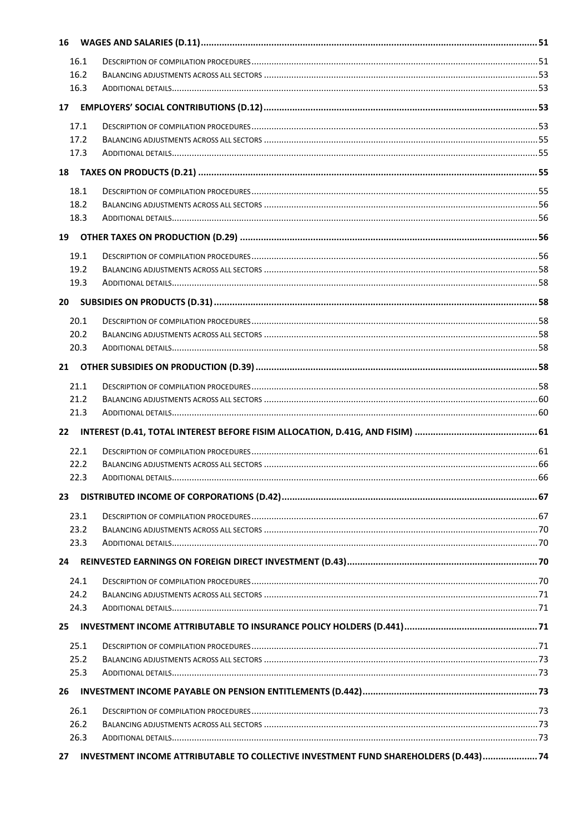| 16              |              |                                                                                      |         |
|-----------------|--------------|--------------------------------------------------------------------------------------|---------|
|                 | 16.1         |                                                                                      |         |
|                 | 16.2         |                                                                                      |         |
|                 | 16.3         |                                                                                      |         |
| 17 <sup>2</sup> |              |                                                                                      |         |
|                 | 17.1         |                                                                                      |         |
|                 | 17.2         |                                                                                      |         |
|                 | 17.3         |                                                                                      |         |
| 18              |              |                                                                                      |         |
|                 | 18.1         |                                                                                      |         |
|                 | 18.2         |                                                                                      |         |
|                 | 18.3         |                                                                                      |         |
| 19              |              |                                                                                      |         |
|                 |              |                                                                                      |         |
|                 | 19.1         |                                                                                      |         |
|                 | 19.2<br>19.3 |                                                                                      |         |
|                 |              |                                                                                      |         |
| 20              |              |                                                                                      |         |
|                 | 20.1         |                                                                                      |         |
|                 | 20.2         |                                                                                      |         |
|                 | 20.3         |                                                                                      |         |
| 21              |              |                                                                                      |         |
|                 | 21.1         |                                                                                      |         |
|                 | 21.2         |                                                                                      |         |
|                 | 21.3         |                                                                                      |         |
| 22              |              |                                                                                      |         |
|                 | 22.1         |                                                                                      |         |
|                 | 22.2         |                                                                                      |         |
|                 | 223          | ADDITIONAL DETAILS                                                                   | 66 - 66 |
| 23              |              |                                                                                      |         |
|                 | 23.1         |                                                                                      |         |
|                 | 23.2         |                                                                                      |         |
|                 | 23.3         |                                                                                      |         |
| 24              |              |                                                                                      |         |
|                 | 24.1         |                                                                                      |         |
|                 | 24.2         |                                                                                      |         |
|                 | 24.3         |                                                                                      |         |
| 25              |              |                                                                                      |         |
|                 | 25.1         |                                                                                      |         |
|                 | 25.2         |                                                                                      |         |
|                 | 25.3         |                                                                                      |         |
| 26              |              |                                                                                      |         |
|                 | 26.1         |                                                                                      |         |
|                 | 26.2         |                                                                                      |         |
|                 | 26.3         |                                                                                      |         |
| 27              |              | INVESTMENT INCOME ATTRIBUTABLE TO COLLECTIVE INVESTMENT FUND SHAREHOLDERS (D.443) 74 |         |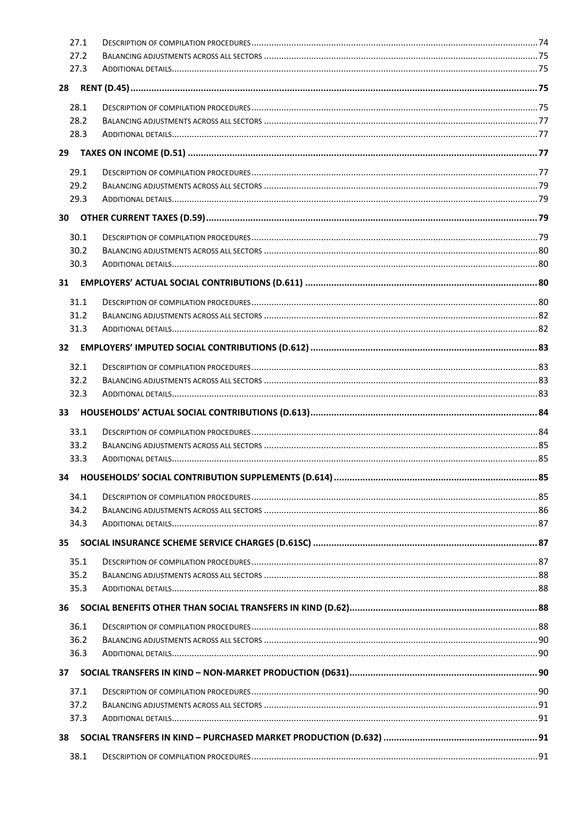|                 | 27.1         |                                                        |    |
|-----------------|--------------|--------------------------------------------------------|----|
|                 | 27.2         |                                                        |    |
|                 | 27.3         |                                                        |    |
| 28              |              |                                                        |    |
|                 | 28.1         |                                                        |    |
|                 | 28.2         |                                                        |    |
|                 | 28.3         |                                                        |    |
| 29              |              |                                                        |    |
|                 |              |                                                        |    |
|                 | 29.1         |                                                        |    |
|                 | 29.2<br>29.3 |                                                        |    |
|                 |              |                                                        |    |
|                 |              |                                                        |    |
|                 | 30.1         |                                                        |    |
|                 | 30.2         |                                                        |    |
|                 | 30.3         |                                                        |    |
| 31              |              |                                                        |    |
|                 | 31.1         |                                                        |    |
|                 | 31.2         |                                                        |    |
|                 | 31.3         |                                                        |    |
| 32 <sup>2</sup> |              |                                                        |    |
|                 | 32.1         |                                                        |    |
|                 | 32.2         |                                                        |    |
|                 | 32.3         |                                                        |    |
| 33              |              |                                                        |    |
|                 | 33.1         |                                                        |    |
|                 | 33.2         |                                                        |    |
|                 | 33.3         |                                                        |    |
|                 |              | 34 HOUSEHOLDS' SOCIAL CONTRIBUTION SUPPLEMENTS (D.614) | 85 |
|                 | 34.1         |                                                        |    |
|                 | 34.2         |                                                        |    |
|                 | 34.3         |                                                        |    |
| 35              |              |                                                        |    |
|                 | 35.1         |                                                        |    |
|                 | 35.2         |                                                        |    |
|                 | 35.3         |                                                        |    |
| 36              |              |                                                        |    |
|                 | 36.1         |                                                        |    |
|                 | 36.2         |                                                        |    |
|                 | 36.3         |                                                        |    |
| 37              |              |                                                        |    |
|                 |              |                                                        |    |
|                 |              |                                                        |    |
|                 | 37.1<br>37.2 |                                                        |    |
|                 | 37.3         |                                                        |    |
|                 |              |                                                        |    |
| 38              | 38.1         |                                                        |    |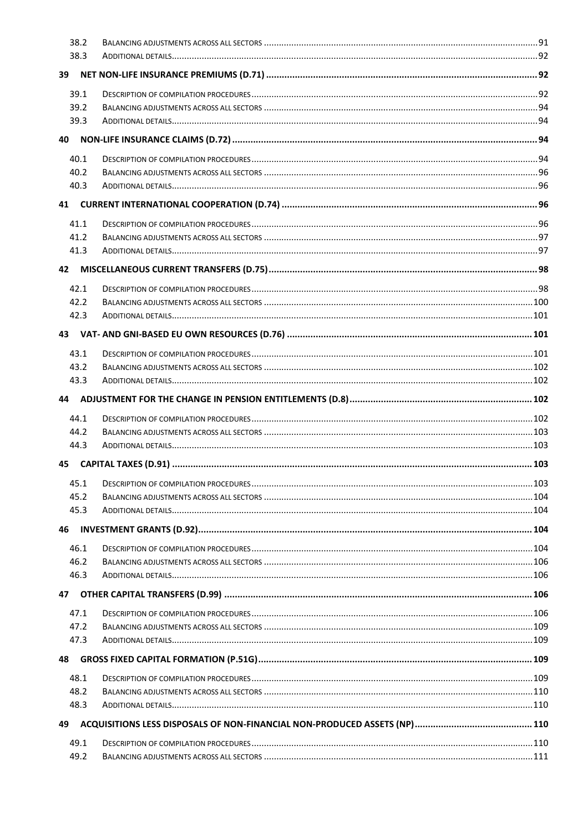|    | 38.2         |  |
|----|--------------|--|
|    | 38.3         |  |
| 39 |              |  |
|    | 39.1         |  |
|    | 39.2         |  |
|    | 39.3         |  |
| 40 |              |  |
|    |              |  |
|    | 40.1<br>40.2 |  |
|    | 40.3         |  |
| 41 |              |  |
|    |              |  |
|    | 41.1         |  |
|    | 41.2         |  |
|    | 41.3         |  |
| 42 |              |  |
|    | 42.1         |  |
|    | 42.2         |  |
|    | 42.3         |  |
| 43 |              |  |
|    | 43.1         |  |
|    | 43.2         |  |
|    | 43.3         |  |
| 44 |              |  |
|    |              |  |
|    | 44.1         |  |
|    | 44.2         |  |
|    | 44.3         |  |
| 45 |              |  |
|    | 45.1         |  |
|    | 45.2         |  |
|    | 45.3         |  |
|    |              |  |
| 46 |              |  |
|    | 46.1         |  |
|    | 46.2         |  |
|    | 46.3         |  |
| 47 |              |  |
|    | 47.1         |  |
|    | 47.2         |  |
|    | 47.3         |  |
| 48 |              |  |
|    | 48.1         |  |
|    | 48.2         |  |
|    | 48.3         |  |
| 49 |              |  |
|    | 49.1         |  |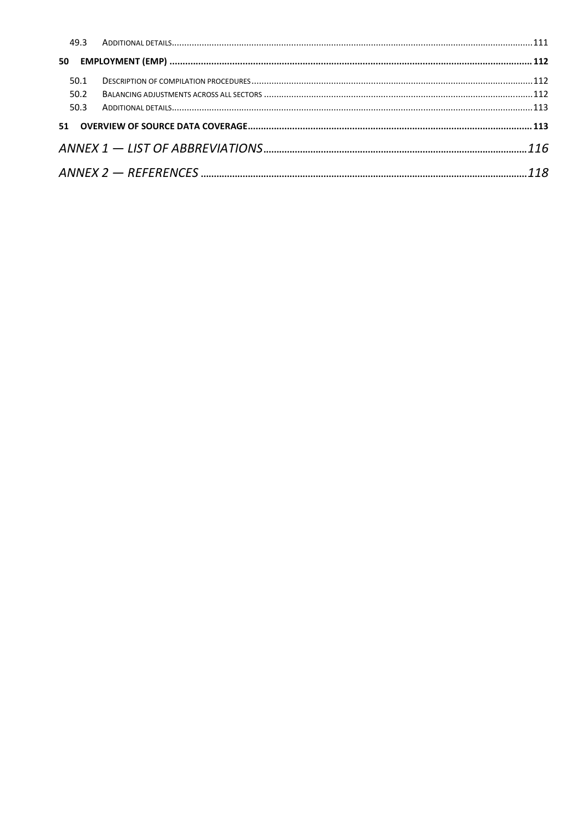| 50.1 |  |
|------|--|
| 50.2 |  |
| 50.3 |  |
|      |  |
|      |  |
|      |  |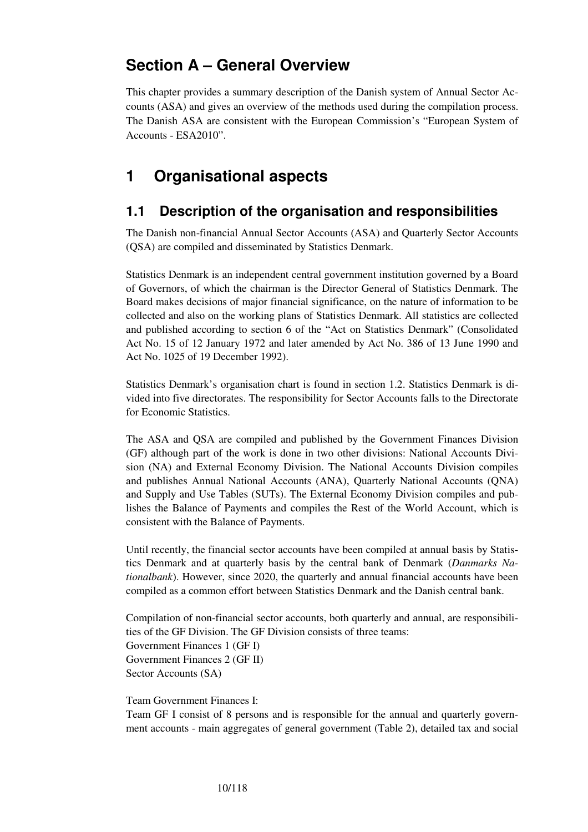# **Section A – General Overview**

This chapter provides a summary description of the Danish system of Annual Sector Accounts (ASA) and gives an overview of the methods used during the compilation process. The Danish ASA are consistent with the European Commission's "European System of Accounts - ESA2010".

# **1 Organisational aspects**

## **1.1 Description of the organisation and responsibilities**

The Danish non-financial Annual Sector Accounts (ASA) and Quarterly Sector Accounts (QSA) are compiled and disseminated by Statistics Denmark.

Statistics Denmark is an independent central government institution governed by a Board of Governors, of which the chairman is the Director General of Statistics Denmark. The Board makes decisions of major financial significance, on the nature of information to be collected and also on the working plans of Statistics Denmark. All statistics are collected and published according to section 6 of the "Act on Statistics Denmark" (Consolidated Act No. 15 of 12 January 1972 and later amended by Act No. 386 of 13 June 1990 and Act No. 1025 of 19 December 1992).

Statistics Denmark's organisation chart is found in section 1.2. Statistics Denmark is divided into five directorates. The responsibility for Sector Accounts falls to the Directorate for Economic Statistics.

The ASA and QSA are compiled and published by the Government Finances Division (GF) although part of the work is done in two other divisions: National Accounts Division (NA) and External Economy Division. The National Accounts Division compiles and publishes Annual National Accounts (ANA), Quarterly National Accounts (QNA) and Supply and Use Tables (SUTs). The External Economy Division compiles and publishes the Balance of Payments and compiles the Rest of the World Account, which is consistent with the Balance of Payments.

Until recently, the financial sector accounts have been compiled at annual basis by Statistics Denmark and at quarterly basis by the central bank of Denmark (*Danmarks Nationalbank*). However, since 2020, the quarterly and annual financial accounts have been compiled as a common effort between Statistics Denmark and the Danish central bank.

Compilation of non-financial sector accounts, both quarterly and annual, are responsibilities of the GF Division. The GF Division consists of three teams: Government Finances 1 (GF I) Government Finances 2 (GF II) Sector Accounts (SA)

Team Government Finances I:

Team GF I consist of 8 persons and is responsible for the annual and quarterly government accounts - main aggregates of general government (Table 2), detailed tax and social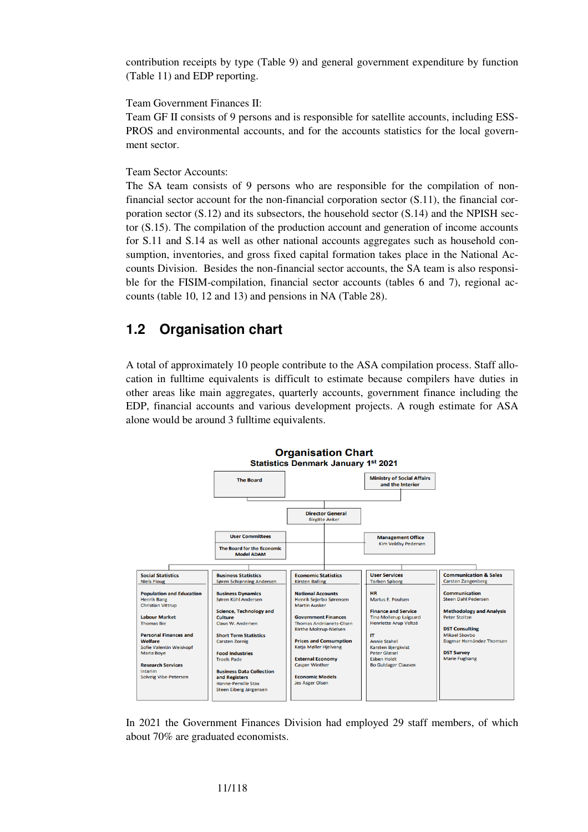contribution receipts by type (Table 9) and general government expenditure by function (Table 11) and EDP reporting.

Team Government Finances II:

Team GF II consists of 9 persons and is responsible for satellite accounts, including ESS-PROS and environmental accounts, and for the accounts statistics for the local government sector.

Team Sector Accounts:

The SA team consists of 9 persons who are responsible for the compilation of nonfinancial sector account for the non-financial corporation sector (S.11), the financial corporation sector  $(S.12)$  and its subsectors, the household sector  $(S.14)$  and the NPISH sector (S.15). The compilation of the production account and generation of income accounts for S.11 and S.14 as well as other national accounts aggregates such as household consumption, inventories, and gross fixed capital formation takes place in the National Accounts Division. Besides the non-financial sector accounts, the SA team is also responsible for the FISIM-compilation, financial sector accounts (tables 6 and 7), regional accounts (table 10, 12 and 13) and pensions in NA (Table 28).

## **1.2 Organisation chart**

A total of approximately 10 people contribute to the ASA compilation process. Staff allocation in fulltime equivalents is difficult to estimate because compilers have duties in other areas like main aggregates, quarterly accounts, government finance including the EDP, financial accounts and various development projects. A rough estimate for ASA alone would be around 3 fulltime equivalents.



In 2021 the Government Finances Division had employed 29 staff members, of which about 70% are graduated economists.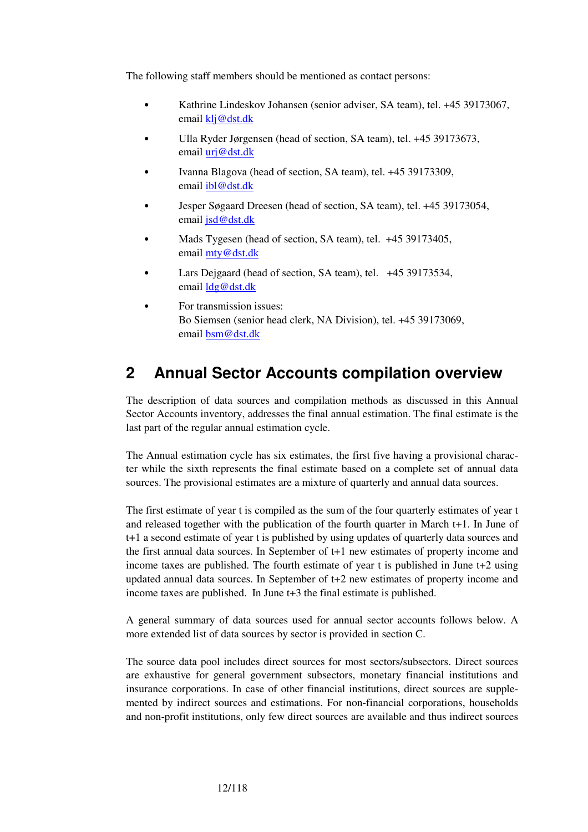The following staff members should be mentioned as contact persons:

- Kathrine Lindeskov Johansen (senior adviser, SA team), tel. +45 39173067, email klj@dst.dk
- Ulla Ryder Jørgensen (head of section, SA team), tel. +45 39173673, email urj@dst.dk
- Ivanna Blagova (head of section, SA team), tel. +45 39173309, email ibl@dst.dk
- Jesper Søgaard Dreesen (head of section, SA team), tel. +45 39173054, email jsd@dst.dk
- Mads Tygesen (head of section, SA team), tel. +45 39173405, email mty@dst.dk
- Lars Dejgaard (head of section, SA team), tel. +45 39173534, email ldg@dst.dk
- For transmission issues: Bo Siemsen (senior head clerk, NA Division), tel. +45 39173069, email bsm@dst.dk

# **2 Annual Sector Accounts compilation overview**

The description of data sources and compilation methods as discussed in this Annual Sector Accounts inventory, addresses the final annual estimation. The final estimate is the last part of the regular annual estimation cycle.

The Annual estimation cycle has six estimates, the first five having a provisional character while the sixth represents the final estimate based on a complete set of annual data sources. The provisional estimates are a mixture of quarterly and annual data sources.

The first estimate of year t is compiled as the sum of the four quarterly estimates of year t and released together with the publication of the fourth quarter in March t+1. In June of t+1 a second estimate of year t is published by using updates of quarterly data sources and the first annual data sources. In September of t+1 new estimates of property income and income taxes are published. The fourth estimate of year t is published in June t+2 using updated annual data sources. In September of t+2 new estimates of property income and income taxes are published. In June t+3 the final estimate is published.

A general summary of data sources used for annual sector accounts follows below. A more extended list of data sources by sector is provided in section C.

The source data pool includes direct sources for most sectors/subsectors. Direct sources are exhaustive for general government subsectors, monetary financial institutions and insurance corporations. In case of other financial institutions, direct sources are supplemented by indirect sources and estimations. For non-financial corporations, households and non-profit institutions, only few direct sources are available and thus indirect sources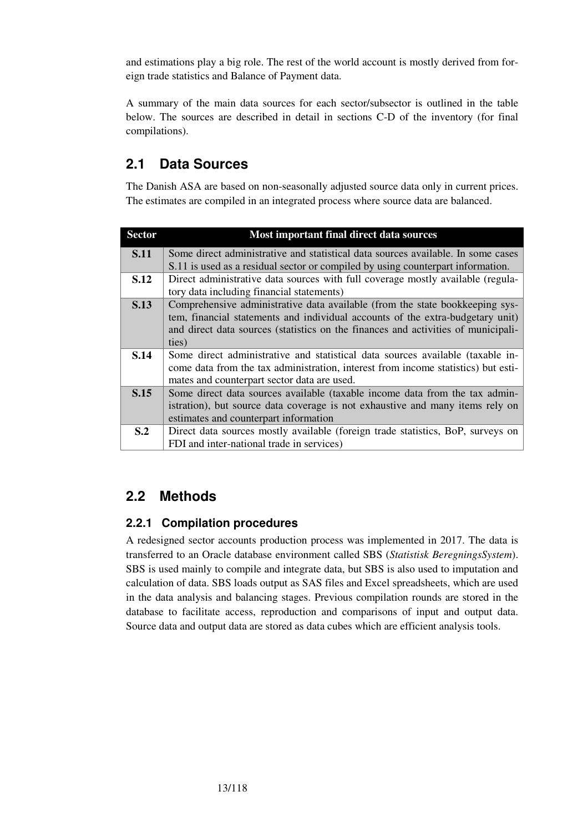and estimations play a big role. The rest of the world account is mostly derived from foreign trade statistics and Balance of Payment data.

A summary of the main data sources for each sector/subsector is outlined in the table below. The sources are described in detail in sections C-D of the inventory (for final compilations).

# **2.1 Data Sources**

The Danish ASA are based on non-seasonally adjusted source data only in current prices. The estimates are compiled in an integrated process where source data are balanced.

| <b>Sector</b>  | Most important final direct data sources                                          |  |  |
|----------------|-----------------------------------------------------------------------------------|--|--|
| <b>S.11</b>    | Some direct administrative and statistical data sources available. In some cases  |  |  |
|                | S.11 is used as a residual sector or compiled by using counterpart information.   |  |  |
| S.12           | Direct administrative data sources with full coverage mostly available (regula-   |  |  |
|                | tory data including financial statements)                                         |  |  |
| <b>S.13</b>    | Comprehensive administrative data available (from the state bookkeeping sys-      |  |  |
|                | tem, financial statements and individual accounts of the extra-budgetary unit)    |  |  |
|                | and direct data sources (statistics on the finances and activities of municipali- |  |  |
|                | ties)                                                                             |  |  |
| S.14           | Some direct administrative and statistical data sources available (taxable in-    |  |  |
|                | come data from the tax administration, interest from income statistics) but esti- |  |  |
|                | mates and counterpart sector data are used.                                       |  |  |
| S.15           | Some direct data sources available (taxable income data from the tax admin-       |  |  |
|                | istration), but source data coverage is not exhaustive and many items rely on     |  |  |
|                | estimates and counterpart information                                             |  |  |
| S <sub>0</sub> | Direct data sources mostly available (foreign trade statistics, BoP, surveys on   |  |  |
|                | FDI and inter-national trade in services)                                         |  |  |

## **2.2 Methods**

## **2.2.1 Compilation procedures**

A redesigned sector accounts production process was implemented in 2017. The data is transferred to an Oracle database environment called SBS (*Statistisk BeregningsSystem*). SBS is used mainly to compile and integrate data, but SBS is also used to imputation and calculation of data. SBS loads output as SAS files and Excel spreadsheets, which are used in the data analysis and balancing stages. Previous compilation rounds are stored in the database to facilitate access, reproduction and comparisons of input and output data. Source data and output data are stored as data cubes which are efficient analysis tools.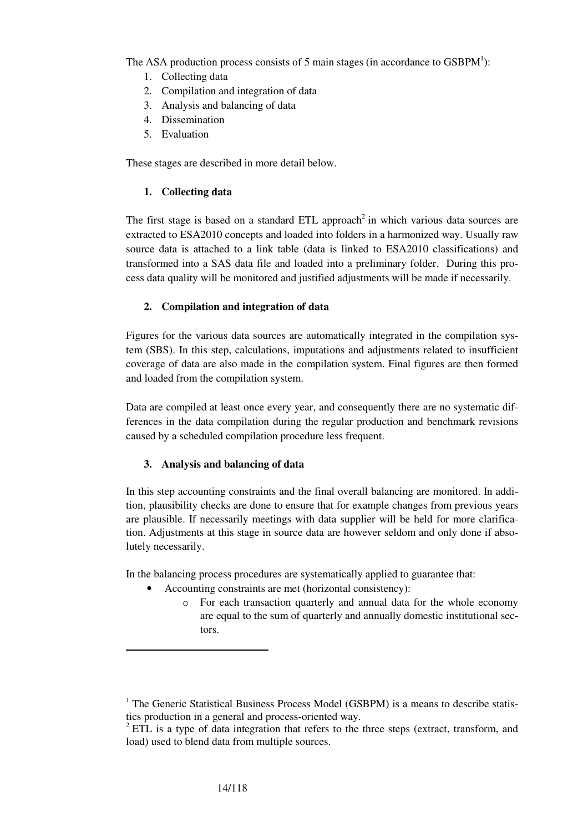The ASA production process consists of 5 main stages (in accordance to  $GSBPM^1$ ):

- 1. Collecting data
- 2. Compilation and integration of data
- 3. Analysis and balancing of data
- 4. Dissemination
- 5. Evaluation

These stages are described in more detail below.

### **1. Collecting data**

The first stage is based on a standard ETL approach<sup>2</sup> in which various data sources are extracted to ESA2010 concepts and loaded into folders in a harmonized way. Usually raw source data is attached to a link table (data is linked to ESA2010 classifications) and transformed into a SAS data file and loaded into a preliminary folder. During this process data quality will be monitored and justified adjustments will be made if necessarily.

### **2. Compilation and integration of data**

Figures for the various data sources are automatically integrated in the compilation system (SBS). In this step, calculations, imputations and adjustments related to insufficient coverage of data are also made in the compilation system. Final figures are then formed and loaded from the compilation system.

Data are compiled at least once every year, and consequently there are no systematic differences in the data compilation during the regular production and benchmark revisions caused by a scheduled compilation procedure less frequent.

### **3. Analysis and balancing of data**

In this step accounting constraints and the final overall balancing are monitored. In addition, plausibility checks are done to ensure that for example changes from previous years are plausible. If necessarily meetings with data supplier will be held for more clarification. Adjustments at this stage in source data are however seldom and only done if absolutely necessarily.

In the balancing process procedures are systematically applied to guarantee that:

- Accounting constraints are met (horizontal consistency):
	- o For each transaction quarterly and annual data for the whole economy are equal to the sum of quarterly and annually domestic institutional sectors.

 $\overline{a}$ 

<sup>&</sup>lt;sup>1</sup> The Generic Statistical Business Process Model (GSBPM) is a means to describe statistics production in a general and process-oriented way.

 $2$  ETL is a type of data integration that refers to the three steps (extract, transform, and load) used to blend data from multiple sources.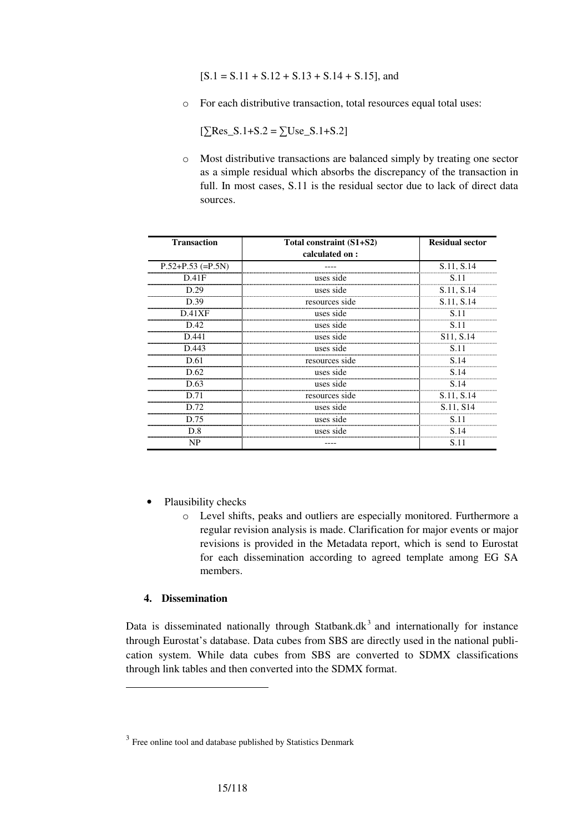$[S.1 = S.11 + S.12 + S.13 + S.14 + S.15]$ , and

o For each distributive transaction, total resources equal total uses:

 $[\sum Res S.1 + S.2 = \sum Use S.1 + S.2]$ 

o Most distributive transactions are balanced simply by treating one sector as a simple residual which absorbs the discrepancy of the transaction in full. In most cases, S.11 is the residual sector due to lack of direct data sources.

| <b>Transaction</b>  | Total constraint (S1+S2) | <b>Residual sector</b> |
|---------------------|--------------------------|------------------------|
|                     | calculated on:           |                        |
| $P.52+P.53 (=P.5N)$ |                          | S.11, S.14             |
| D.41F               | uses side                | S.11                   |
| D.29                | uses side                | S.11, S.14             |
| D.39                | resources side           | S.11, S.14             |
| D.41XF              | uses side                | S.11                   |
| D.42                | uses side                | S.11                   |
| D.441               | uses side                | S11, S.14              |
| D.443               | uses side                | S.11                   |
| D.61                | resources side           | S.14                   |
| D.62                | uses side                | S.14                   |
| D.63                | uses side                | S.14                   |
| D.71                | resources side           | S.11, S.14             |
| D.72                | uses side                | S.11, S14              |
| D.75                | uses side                | S.11                   |
| D.8                 | uses side                | S.14                   |
| NP                  |                          | S.11                   |

- Plausibility checks
	- o Level shifts, peaks and outliers are especially monitored. Furthermore a regular revision analysis is made. Clarification for major events or major revisions is provided in the Metadata report, which is send to Eurostat for each dissemination according to agreed template among EG SA members.

### **4. Dissemination**

 $\overline{a}$ 

Data is disseminated nationally through Statbank. $dk<sup>3</sup>$  and internationally for instance through Eurostat's database. Data cubes from SBS are directly used in the national publication system. While data cubes from SBS are converted to SDMX classifications through link tables and then converted into the SDMX format.

 $3$  Free online tool and database published by Statistics Denmark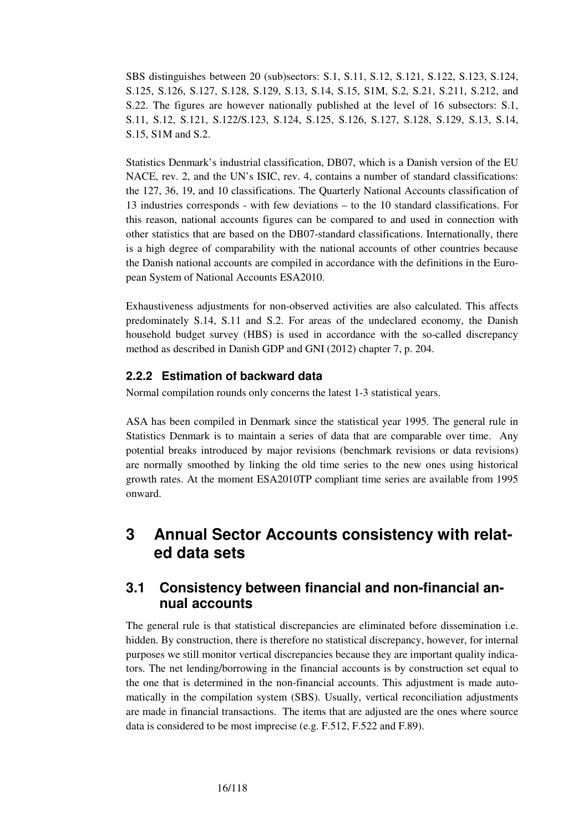SBS distinguishes between 20 (sub)sectors: S.1, S.11, S.12, S.121, S.122, S.123, S.124, S.125, S.126, S.127, S.128, S.129, S.13, S.14, S.15, S1M, S.2, S.21, S.211, S.212, and S.22. The figures are however nationally published at the level of 16 subsectors: S.1, S.11, S.12, S.121, S.122/S.123, S.124, S.125, S.126, S.127, S.128, S.129, S.13, S.14, S.15, S1M and S.2.

Statistics Denmark's industrial classification, DB07, which is a Danish version of the EU NACE, rev. 2, and the UN's ISIC, rev. 4, contains a number of standard classifications: the 127, 36, 19, and 10 classifications. The Quarterly National Accounts classification of 13 industries corresponds - with few deviations – to the 10 standard classifications. For this reason, national accounts figures can be compared to and used in connection with other statistics that are based on the DB07-standard classifications. Internationally, there is a high degree of comparability with the national accounts of other countries because the Danish national accounts are compiled in accordance with the definitions in the European System of National Accounts ESA2010.

Exhaustiveness adjustments for non-observed activities are also calculated. This affects predominately S.14, S.11 and S.2. For areas of the undeclared economy, the Danish household budget survey (HBS) is used in accordance with the so-called discrepancy method as described in Danish GDP and GNI (2012) chapter 7, p. 204.

## **2.2.2 Estimation of backward data**

Normal compilation rounds only concerns the latest 1-3 statistical years.

ASA has been compiled in Denmark since the statistical year 1995. The general rule in Statistics Denmark is to maintain a series of data that are comparable over time. Any potential breaks introduced by major revisions (benchmark revisions or data revisions) are normally smoothed by linking the old time series to the new ones using historical growth rates. At the moment ESA2010TP compliant time series are available from 1995 onward.

# **3 Annual Sector Accounts consistency with related data sets**

## **3.1 Consistency between financial and non-financial annual accounts**

The general rule is that statistical discrepancies are eliminated before dissemination i.e. hidden. By construction, there is therefore no statistical discrepancy, however, for internal purposes we still monitor vertical discrepancies because they are important quality indicators. The net lending/borrowing in the financial accounts is by construction set equal to the one that is determined in the non-financial accounts. This adjustment is made automatically in the compilation system (SBS). Usually, vertical reconciliation adjustments are made in financial transactions. The items that are adjusted are the ones where source data is considered to be most imprecise (e.g. F.512, F.522 and F.89).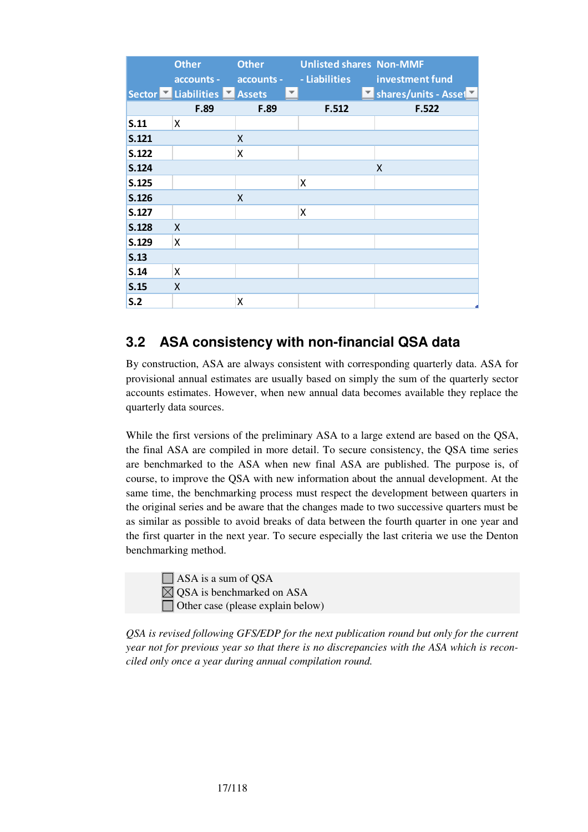|       | <b>Other</b>              | <b>Other</b> | <b>Unlisted shares Non-MMF</b> |                      |
|-------|---------------------------|--------------|--------------------------------|----------------------|
|       | accounts -                | accounts -   | - Liabilities                  | investment fund      |
|       | Sector Liabilities Assets | ▼            |                                | Shares/units - Asset |
|       | F.89                      | F.89         | F.512                          | F.522                |
| S.11  | X                         |              |                                |                      |
| S.121 |                           | X            |                                |                      |
| S.122 |                           | x            |                                |                      |
| S.124 |                           |              |                                | Χ                    |
| S.125 |                           |              | Χ                              |                      |
| S.126 |                           | Χ            |                                |                      |
| S.127 |                           |              | X                              |                      |
| S.128 | X                         |              |                                |                      |
| S.129 | X                         |              |                                |                      |
| S.13  |                           |              |                                |                      |
| S.14  | Χ                         |              |                                |                      |
| S.15  | X                         |              |                                |                      |
| S.2   |                           | x            |                                |                      |

# **3.2 ASA consistency with non-financial QSA data**

By construction, ASA are always consistent with corresponding quarterly data. ASA for provisional annual estimates are usually based on simply the sum of the quarterly sector accounts estimates. However, when new annual data becomes available they replace the quarterly data sources.

While the first versions of the preliminary ASA to a large extend are based on the QSA, the final ASA are compiled in more detail. To secure consistency, the QSA time series are benchmarked to the ASA when new final ASA are published. The purpose is, of course, to improve the QSA with new information about the annual development. At the same time, the benchmarking process must respect the development between quarters in the original series and be aware that the changes made to two successive quarters must be as similar as possible to avoid breaks of data between the fourth quarter in one year and the first quarter in the next year. To secure especially the last criteria we use the Denton benchmarking method.

 $\Box$  ASA is a sum of QSA  $\boxtimes$  QSA is benchmarked on ASA  $\Box$  Other case (please explain below)

*QSA is revised following GFS/EDP for the next publication round but only for the current year not for previous year so that there is no discrepancies with the ASA which is reconciled only once a year during annual compilation round.*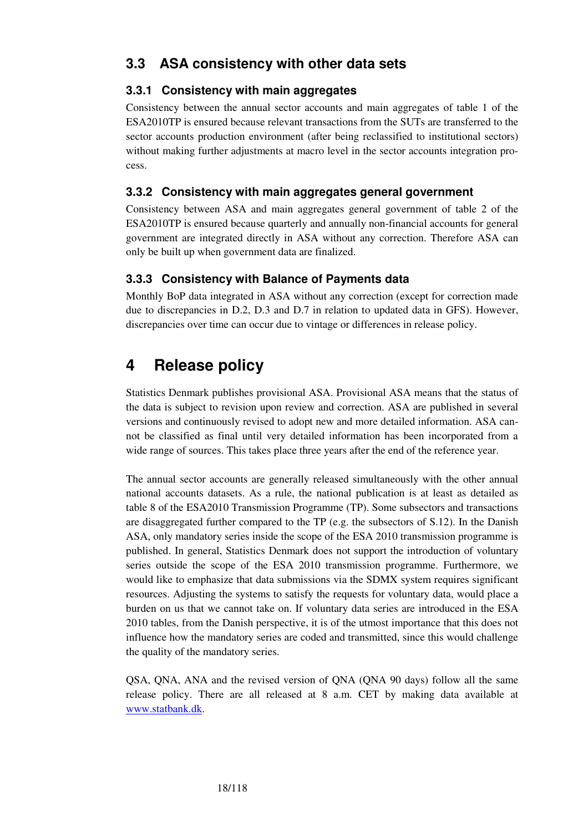## **3.3.1 Consistency with main aggregates**

Consistency between the annual sector accounts and main aggregates of table 1 of the ESA2010TP is ensured because relevant transactions from the SUTs are transferred to the sector accounts production environment (after being reclassified to institutional sectors) without making further adjustments at macro level in the sector accounts integration process.

## **3.3.2 Consistency with main aggregates general government**

Consistency between ASA and main aggregates general government of table 2 of the ESA2010TP is ensured because quarterly and annually non-financial accounts for general government are integrated directly in ASA without any correction. Therefore ASA can only be built up when government data are finalized.

## **3.3.3 Consistency with Balance of Payments data**

Monthly BoP data integrated in ASA without any correction (except for correction made due to discrepancies in D.2, D.3 and D.7 in relation to updated data in GFS). However, discrepancies over time can occur due to vintage or differences in release policy.

# **4 Release policy**

Statistics Denmark publishes provisional ASA. Provisional ASA means that the status of the data is subject to revision upon review and correction. ASA are published in several versions and continuously revised to adopt new and more detailed information. ASA cannot be classified as final until very detailed information has been incorporated from a wide range of sources. This takes place three years after the end of the reference year.

The annual sector accounts are generally released simultaneously with the other annual national accounts datasets. As a rule, the national publication is at least as detailed as table 8 of the ESA2010 Transmission Programme (TP). Some subsectors and transactions are disaggregated further compared to the TP (e.g. the subsectors of S.12). In the Danish ASA, only mandatory series inside the scope of the ESA 2010 transmission programme is published. In general, Statistics Denmark does not support the introduction of voluntary series outside the scope of the ESA 2010 transmission programme. Furthermore, we would like to emphasize that data submissions via the SDMX system requires significant resources. Adjusting the systems to satisfy the requests for voluntary data, would place a burden on us that we cannot take on. If voluntary data series are introduced in the ESA 2010 tables, from the Danish perspective, it is of the utmost importance that this does not influence how the mandatory series are coded and transmitted, since this would challenge the quality of the mandatory series.

QSA, QNA, ANA and the revised version of QNA (QNA 90 days) follow all the same release policy. There are all released at 8 a.m. CET by making data available at www.statbank.dk.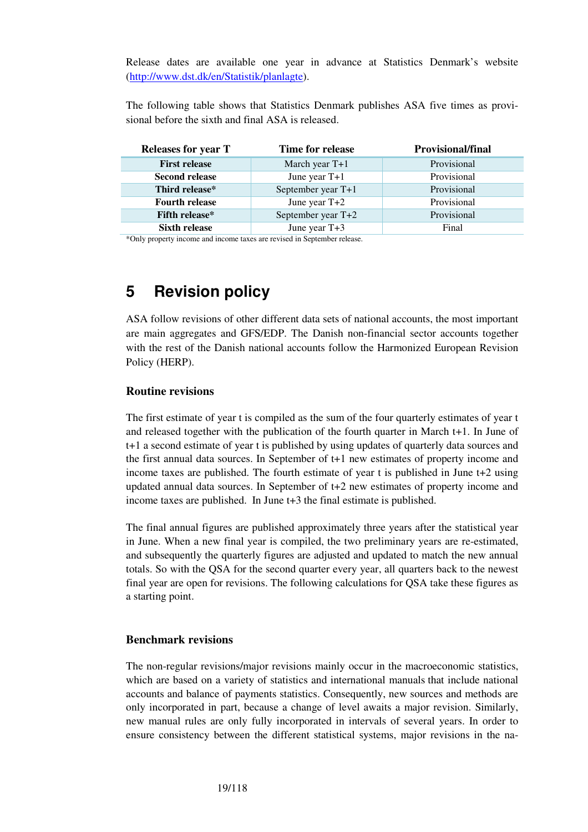Release dates are available one year in advance at Statistics Denmark's website (http://www.dst.dk/en/Statistik/planlagte).

The following table shows that Statistics Denmark publishes ASA five times as provisional before the sixth and final ASA is released.

| <b>Releases for year T</b> | Time for release   | <b>Provisional/final</b> |
|----------------------------|--------------------|--------------------------|
| <b>First release</b>       | March year $T+1$   | Provisional              |
| <b>Second release</b>      | June year $T+1$    | Provisional              |
| Third release*             | September year T+1 | Provisional              |
| <b>Fourth release</b>      | June year $T+2$    | Provisional              |
| <b>Fifth release*</b>      | September year T+2 | Provisional              |
| <b>Sixth release</b>       | June year $T+3$    | Final                    |

\*Only property income and income taxes are revised in September release.

# **5 Revision policy**

ASA follow revisions of other different data sets of national accounts, the most important are main aggregates and GFS/EDP. The Danish non-financial sector accounts together with the rest of the Danish national accounts follow the Harmonized European Revision Policy (HERP).

### **Routine revisions**

The first estimate of year t is compiled as the sum of the four quarterly estimates of year t and released together with the publication of the fourth quarter in March t+1. In June of t+1 a second estimate of year t is published by using updates of quarterly data sources and the first annual data sources. In September of t+1 new estimates of property income and income taxes are published. The fourth estimate of year t is published in June t+2 using updated annual data sources. In September of t+2 new estimates of property income and income taxes are published. In June t+3 the final estimate is published.

The final annual figures are published approximately three years after the statistical year in June. When a new final year is compiled, the two preliminary years are re-estimated, and subsequently the quarterly figures are adjusted and updated to match the new annual totals. So with the QSA for the second quarter every year, all quarters back to the newest final year are open for revisions. The following calculations for QSA take these figures as a starting point.

### **Benchmark revisions**

The non-regular revisions/major revisions mainly occur in the macroeconomic statistics, which are based on a variety of statistics and international manuals that include national accounts and balance of payments statistics. Consequently, new sources and methods are only incorporated in part, because a change of level awaits a major revision. Similarly, new manual rules are only fully incorporated in intervals of several years. In order to ensure consistency between the different statistical systems, major revisions in the na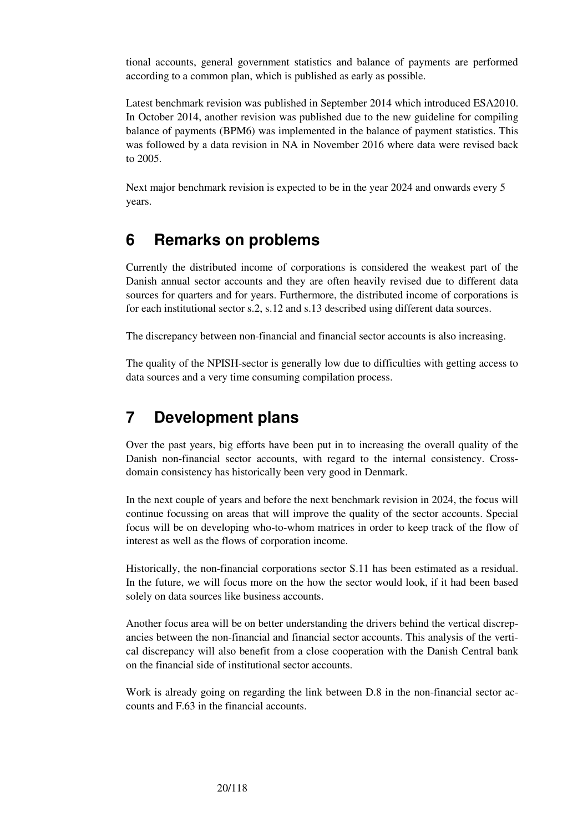tional accounts, general government statistics and balance of payments are performed according to a common plan, which is published as early as possible.

Latest benchmark revision was published in September 2014 which introduced ESA2010. In October 2014, another revision was published due to the new guideline for compiling balance of payments (BPM6) was implemented in the balance of payment statistics. This was followed by a data revision in NA in November 2016 where data were revised back to 2005.

Next major benchmark revision is expected to be in the year 2024 and onwards every 5 years.

# **6 Remarks on problems**

Currently the distributed income of corporations is considered the weakest part of the Danish annual sector accounts and they are often heavily revised due to different data sources for quarters and for years. Furthermore, the distributed income of corporations is for each institutional sector s.2, s.12 and s.13 described using different data sources.

The discrepancy between non-financial and financial sector accounts is also increasing.

The quality of the NPISH-sector is generally low due to difficulties with getting access to data sources and a very time consuming compilation process.

# **7 Development plans**

Over the past years, big efforts have been put in to increasing the overall quality of the Danish non-financial sector accounts, with regard to the internal consistency. Crossdomain consistency has historically been very good in Denmark.

In the next couple of years and before the next benchmark revision in 2024, the focus will continue focussing on areas that will improve the quality of the sector accounts. Special focus will be on developing who-to-whom matrices in order to keep track of the flow of interest as well as the flows of corporation income.

Historically, the non-financial corporations sector S.11 has been estimated as a residual. In the future, we will focus more on the how the sector would look, if it had been based solely on data sources like business accounts.

Another focus area will be on better understanding the drivers behind the vertical discrepancies between the non-financial and financial sector accounts. This analysis of the vertical discrepancy will also benefit from a close cooperation with the Danish Central bank on the financial side of institutional sector accounts.

Work is already going on regarding the link between D.8 in the non-financial sector accounts and F.63 in the financial accounts.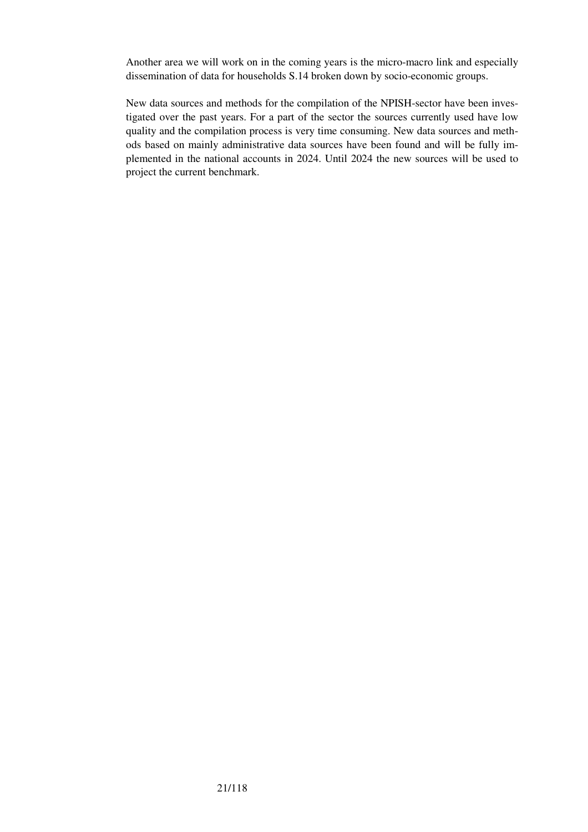Another area we will work on in the coming years is the micro-macro link and especially dissemination of data for households S.14 broken down by socio-economic groups.

New data sources and methods for the compilation of the NPISH-sector have been investigated over the past years. For a part of the sector the sources currently used have low quality and the compilation process is very time consuming. New data sources and methods based on mainly administrative data sources have been found and will be fully implemented in the national accounts in 2024. Until 2024 the new sources will be used to project the current benchmark.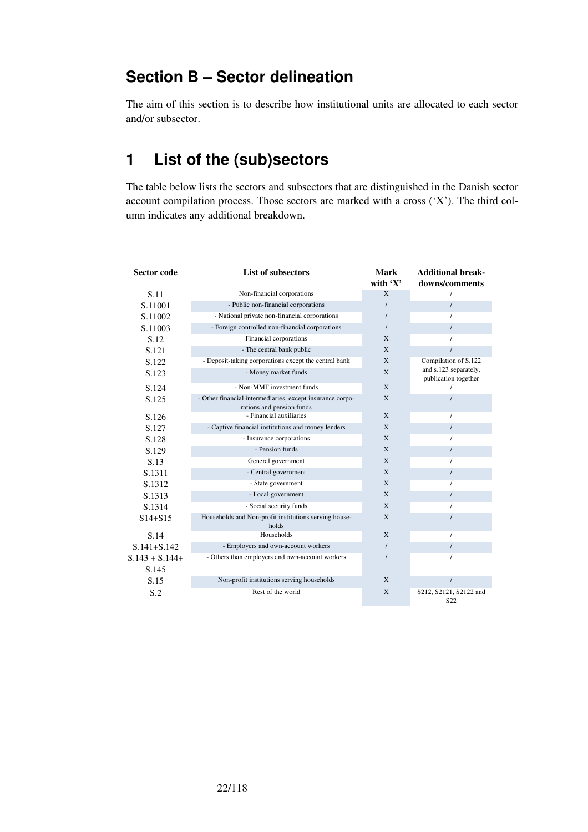# **Section B – Sector delineation**

The aim of this section is to describe how institutional units are allocated to each sector and/or subsector.

# **1 List of the (sub)sectors**

The table below lists the sectors and subsectors that are distinguished in the Danish sector account compilation process. Those sectors are marked with a cross  $(X')$ . The third column indicates any additional breakdown.

| <b>Sector code</b> | <b>List of subsectors</b>                                                              | Mark<br>with $'X'$ | <b>Additional break-</b><br>downs/comments    |
|--------------------|----------------------------------------------------------------------------------------|--------------------|-----------------------------------------------|
| S.11               | Non-financial corporations                                                             | X                  | 1                                             |
| S.11001            | - Public non-financial corporations                                                    |                    | $\prime$                                      |
| S.11002            | - National private non-financial corporations                                          |                    | $\prime$                                      |
| S.11003            | - Foreign controlled non-financial corporations                                        |                    | $\prime$                                      |
| S.12               | Financial corporations                                                                 | X                  |                                               |
| S.121              | - The central bank public                                                              | X                  |                                               |
| S.122              | - Deposit-taking corporations except the central bank                                  | X                  | Compilation of S.122                          |
| S.123              | - Money market funds                                                                   | X                  | and s.123 separately,<br>publication together |
| S.124              | - Non-MMF investment funds                                                             | X                  |                                               |
| S.125              | - Other financial intermediaries, except insurance corpo-<br>rations and pension funds | X                  |                                               |
| S.126              | - Financial auxiliaries                                                                | X                  | $\prime$                                      |
| S.127              | - Captive financial institutions and money lenders                                     | X                  | $\prime$                                      |
| S.128              | - Insurance corporations                                                               | X                  | $\prime$                                      |
| S.129              | - Pension funds                                                                        | X                  | $\prime$                                      |
| S.13               | General government                                                                     | X                  | $\prime$                                      |
| S.1311             | - Central government                                                                   | X                  | $\prime$                                      |
| S.1312             | - State government                                                                     | X                  | $\prime$                                      |
| S.1313             | - Local government                                                                     | X                  | $\prime$                                      |
| S.1314             | - Social security funds                                                                | X                  | $\prime$                                      |
| $S14 + S15$        | Households and Non-profit institutions serving house-<br>holds                         | X                  |                                               |
| S.14               | Households                                                                             | X                  | $\prime$                                      |
| $S.141 + S.142$    | - Employers and own-account workers                                                    |                    | $\prime$                                      |
| $S.143 + S.144+$   | - Others than employers and own-account workers                                        |                    | $\prime$                                      |
| S.145              |                                                                                        |                    |                                               |
| S.15               | Non-profit institutions serving households                                             | X                  | $\prime$                                      |
| S.2                | Rest of the world                                                                      | X                  | S212, S2121, S2122 and<br>S <sub>22</sub>     |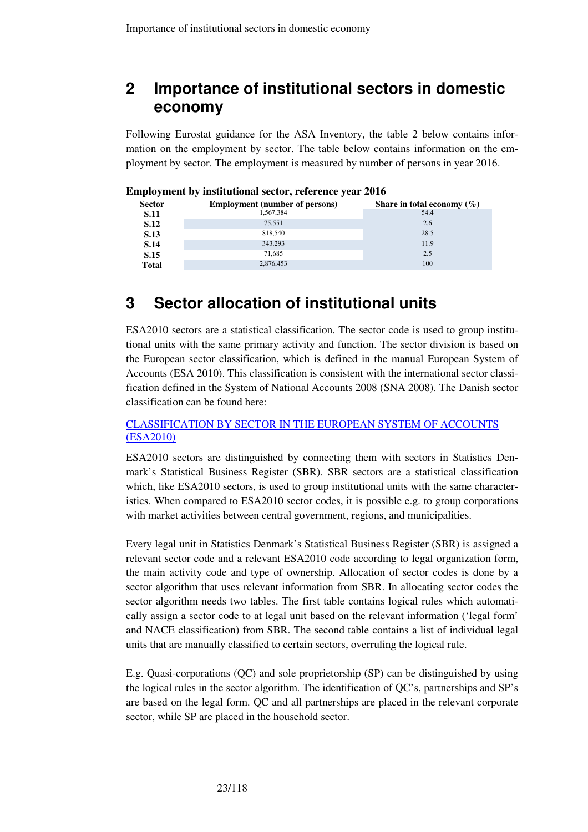# **2 Importance of institutional sectors in domestic economy**

Following Eurostat guidance for the ASA Inventory, the table 2 below contains information on the employment by sector. The table below contains information on the employment by sector. The employment is measured by number of persons in year 2016.

| <b>Sector</b> | <b>Employment</b> (number of persons) | Share in total economy $(\% )$ |  |  |
|---------------|---------------------------------------|--------------------------------|--|--|
| <b>S.11</b>   | 1.567.384                             | 54.4                           |  |  |
| <b>S.12</b>   | 75.551                                | 2.6                            |  |  |
| S.13          | 818,540                               | 28.5                           |  |  |
| S.14          | 343.293                               | 11.9                           |  |  |
| <b>S.15</b>   | 71.685                                | 2.5                            |  |  |
| Total         | 2,876,453                             | 100                            |  |  |
|               |                                       |                                |  |  |

#### **Employment by institutional sector, reference year 2016**

# **3 Sector allocation of institutional units**

ESA2010 sectors are a statistical classification. The sector code is used to group institutional units with the same primary activity and function. The sector division is based on the European sector classification, which is defined in the manual European System of Accounts (ESA 2010). This classification is consistent with the international sector classification defined in the System of National Accounts 2008 (SNA 2008). The Danish sector classification can be found here:

### CLASSIFICATION BY SECTOR IN THE EUROPEAN SYSTEM OF ACCOUNTS (ESA2010)

ESA2010 sectors are distinguished by connecting them with sectors in Statistics Denmark's Statistical Business Register (SBR). SBR sectors are a statistical classification which, like ESA2010 sectors, is used to group institutional units with the same characteristics. When compared to ESA2010 sector codes, it is possible e.g. to group corporations with market activities between central government, regions, and municipalities.

Every legal unit in Statistics Denmark's Statistical Business Register (SBR) is assigned a relevant sector code and a relevant ESA2010 code according to legal organization form, the main activity code and type of ownership. Allocation of sector codes is done by a sector algorithm that uses relevant information from SBR. In allocating sector codes the sector algorithm needs two tables. The first table contains logical rules which automatically assign a sector code to at legal unit based on the relevant information ('legal form' and NACE classification) from SBR. The second table contains a list of individual legal units that are manually classified to certain sectors, overruling the logical rule.

E.g. Quasi-corporations (QC) and sole proprietorship (SP) can be distinguished by using the logical rules in the sector algorithm. The identification of QC's, partnerships and SP's are based on the legal form. QC and all partnerships are placed in the relevant corporate sector, while SP are placed in the household sector.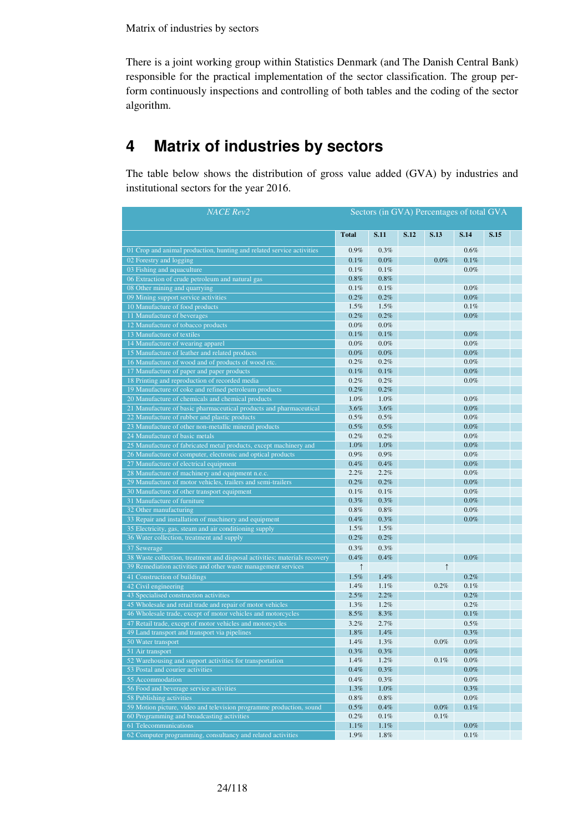There is a joint working group within Statistics Denmark (and The Danish Central Bank) responsible for the practical implementation of the sector classification. The group perform continuously inspections and controlling of both tables and the coding of the sector algorithm.

# **4 Matrix of industries by sectors**

The table below shows the distribution of gross value added (GVA) by industries and institutional sectors for the year 2016.

| <b>NACE</b> Rev2                                                                                                                            | Sectors (in GVA) Percentages of total GVA |              |      |            |              |      |  |
|---------------------------------------------------------------------------------------------------------------------------------------------|-------------------------------------------|--------------|------|------------|--------------|------|--|
|                                                                                                                                             | <b>Total</b>                              | S.11         | S.12 | S.13       | S.14         | S.15 |  |
| 01 Crop and animal production, hunting and related service activities                                                                       | 0.9%                                      | 0.3%         |      |            | 0.6%         |      |  |
| 02 Forestry and logging                                                                                                                     | 0.1%                                      | $0.0\%$      |      | $0.0\%$    | 0.1%         |      |  |
| 03 Fishing and aquaculture                                                                                                                  | 0.1%                                      | 0.1%         |      |            | 0.0%         |      |  |
| 06 Extraction of crude petroleum and natural gas                                                                                            | $0.8\%$                                   | 0.8%         |      |            |              |      |  |
| 08 Other mining and quarrying                                                                                                               | 0.1%                                      | 0.1%         |      |            | 0.0%         |      |  |
| 09 Mining support service activities                                                                                                        | $0.2\%$                                   | 0.2%         |      |            | 0.0%         |      |  |
| 10 Manufacture of food products                                                                                                             | 1.5%                                      | 1.5%         |      |            | 0.1%         |      |  |
| 11 Manufacture of beverages                                                                                                                 | 0.2%                                      | 0.2%         |      |            | 0.0%         |      |  |
| 12 Manufacture of tobacco products                                                                                                          | $0.0\%$                                   | 0.0%         |      |            |              |      |  |
| 13 Manufacture of textiles                                                                                                                  | 0.1%                                      | 0.1%         |      |            | 0.0%         |      |  |
| 14 Manufacture of wearing apparel                                                                                                           | 0.0%                                      | 0.0%         |      |            | 0.0%         |      |  |
| 15 Manufacture of leather and related products                                                                                              | $0.0\%$                                   | $0.0\%$      |      |            | 0.0%         |      |  |
| 16 Manufacture of wood and of products of wood etc.                                                                                         | 0.2%                                      | 0.2%         |      |            | 0.0%         |      |  |
| 17 Manufacture of paper and paper products                                                                                                  | 0.1%                                      | 0.1%         |      |            | 0.0%         |      |  |
| 18 Printing and reproduction of recorded media                                                                                              | 0.2%                                      | 0.2%         |      |            | 0.0%         |      |  |
| 19 Manufacture of coke and refined petroleum products                                                                                       | 0.2%                                      | 0.2%         |      |            |              |      |  |
| 20 Manufacture of chemicals and chemical products                                                                                           | 1.0%                                      | 1.0%         |      |            | 0.0%         |      |  |
| 21 Manufacture of basic pharmaceutical products and pharmaceutical                                                                          | 3.6%                                      | 3.6%         |      |            | 0.0%         |      |  |
| 22 Manufacture of rubber and plastic products                                                                                               | 0.5%                                      | 0.5%         |      |            | 0.0%         |      |  |
| 23 Manufacture of other non-metallic mineral products                                                                                       | 0.5%                                      | 0.5%         |      |            | 0.0%         |      |  |
| 24 Manufacture of basic metals                                                                                                              | 0.2%                                      | 0.2%         |      |            | 0.0%         |      |  |
| 25 Manufacture of fabricated metal products, except machinery and                                                                           | $1.0\%$                                   | 1.0%         |      |            | $0.0\%$      |      |  |
| 26 Manufacture of computer, electronic and optical products                                                                                 | 0.9%                                      | 0.9%         |      |            | 0.0%         |      |  |
| 27 Manufacture of electrical equipment                                                                                                      | 0.4%                                      | 0.4%         |      |            | 0.0%         |      |  |
| 28 Manufacture of machinery and equipment n.e.c.                                                                                            | 2.2%                                      | 2.2%         |      |            | 0.0%         |      |  |
| 29 Manufacture of motor vehicles, trailers and semi-trailers                                                                                | 0.2%                                      | 0.2%         |      |            | 0.0%         |      |  |
| 30 Manufacture of other transport equipment                                                                                                 | 0.1%                                      | 0.1%         |      |            | 0.0%         |      |  |
| 31 Manufacture of furniture                                                                                                                 | 0.3%                                      | 0.3%         |      |            | 0.0%         |      |  |
| 32 Other manufacturing                                                                                                                      | 0.8%<br>0.4%                              | 0.8%<br>0.3% |      |            | 0.0%<br>0.0% |      |  |
| 33 Repair and installation of machinery and equipment<br>35 Electricity, gas, steam and air conditioning supply                             | 1.5%                                      | 1.5%         |      |            |              |      |  |
| 36 Water collection, treatment and supply                                                                                                   | $0.2\%$                                   | 0.2%         |      |            |              |      |  |
|                                                                                                                                             | 0.3%                                      | 0.3%         |      |            |              |      |  |
| 37 Sewerage                                                                                                                                 | 0.4%                                      | 0.4%         |      |            | 0.0%         |      |  |
| 38 Waste collection, treatment and disposal activities; materials recovery<br>39 Remediation activities and other waste management services |                                           |              |      | $\uparrow$ |              |      |  |
|                                                                                                                                             | $\uparrow$                                |              |      |            |              |      |  |
| 41 Construction of buildings                                                                                                                | 1.5%<br>1.4%                              | 1.4%<br>1.1% |      | 0.2%       | 0.2%<br>0.1% |      |  |
| 42 Civil engineering<br>43 Specialised construction activities                                                                              | 2.5%                                      | 2.2%         |      |            | 0.2%         |      |  |
| 45 Wholesale and retail trade and repair of motor vehicles                                                                                  | 1.3%                                      | 1.2%         |      |            | $0.2\%$      |      |  |
| 46 Wholesale trade, except of motor vehicles and motorcycles                                                                                | 8.5%                                      | 8.3%         |      |            | 0.1%         |      |  |
| 47 Retail trade, except of motor vehicles and motorcycles                                                                                   | 3.2%                                      | 2.7%         |      |            | 0.5%         |      |  |
| 49 Land transport and transport via pipelines                                                                                               | 1.8%                                      | 1.4%         |      |            | 0.3%         |      |  |
| 50 Water transport                                                                                                                          | 1.4%                                      | 1.3%         |      | 0.0%       | 0.0%         |      |  |
| 51 Air transport                                                                                                                            | $0.3\%$                                   | $0.3\%$      |      |            | $0.0\%$      |      |  |
| 52 Warehousing and support activities for transportation                                                                                    | 1.4%                                      | 1.2%         |      | 0.1%       | $0.0\%$      |      |  |
| 53 Postal and courier activities                                                                                                            | 0.4%                                      | 0.3%         |      |            | $0.0\%$      |      |  |
| 55 Accommodation                                                                                                                            | 0.4%                                      | 0.3%         |      |            | 0.0%         |      |  |
| 56 Food and beverage service activities                                                                                                     | 1.3%                                      | 1.0%         |      |            | 0.3%         |      |  |
| 58 Publishing activities                                                                                                                    | $0.8\%$                                   | 0.8%         |      |            | 0.0%         |      |  |
| 59 Motion picture, video and television programme production, sound                                                                         | $0.5\%$                                   | 0.4%         |      | $0.0\%$    | 0.1%         |      |  |
| 60 Programming and broadcasting activities                                                                                                  | 0.2%                                      | 0.1%         |      | 0.1%       |              |      |  |
| 61 Telecommunications                                                                                                                       | 1.1%                                      | 1.1%         |      |            | $0.0\%$      |      |  |
| 62 Computer programming, consultancy and related activities                                                                                 | 1.9%                                      | 1.8%         |      |            | 0.1%         |      |  |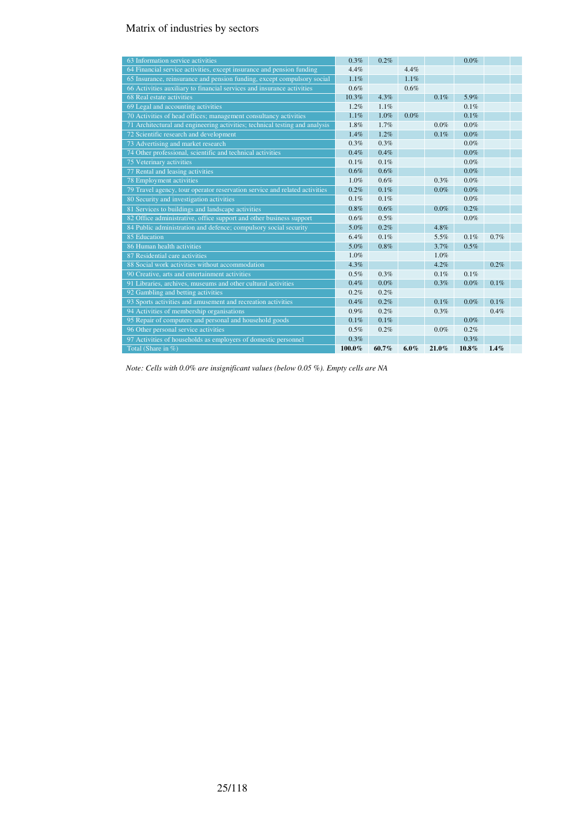## Matrix of industries by sectors

| 63 Information service activities                                           | 0.3%    | 0.2%    |         |          | $0.0\%$ |      |  |
|-----------------------------------------------------------------------------|---------|---------|---------|----------|---------|------|--|
| 64 Financial service activities, except insurance and pension funding       | 4.4%    |         | 4.4%    |          |         |      |  |
| 65 Insurance, reinsurance and pension funding, except compulsory social     | 1.1%    |         | 1.1%    |          |         |      |  |
| 66 Activities auxiliary to financial services and insurance activities      | 0.6%    |         | 0.6%    |          |         |      |  |
| 68 Real estate activities                                                   | 10.3%   | 4.3%    |         | 0.1%     | 5.9%    |      |  |
| 69 Legal and accounting activities                                          | 1.2%    | 1.1%    |         |          | 0.1%    |      |  |
| 70 Activities of head offices; management consultancy activities            | 1.1%    | 1.0%    | $0.0\%$ |          | 0.1%    |      |  |
| 71 Architectural and engineering activities; technical testing and analysis | 1.8%    | 1.7%    |         | 0.0%     | $0.0\%$ |      |  |
| 72 Scientific research and development                                      | 1.4%    | 1.2%    |         | 0.1%     | $0.0\%$ |      |  |
| 73 Advertising and market research                                          | 0.3%    | 0.3%    |         |          | 0.0%    |      |  |
| 74 Other professional, scientific and technical activities                  | 0.4%    | 0.4%    |         |          | $0.0\%$ |      |  |
| 75 Veterinary activities                                                    | 0.1%    | 0.1%    |         |          | $0.0\%$ |      |  |
| 77 Rental and leasing activities                                            | $0.6\%$ | 0.6%    |         |          | $0.0\%$ |      |  |
| 78 Employment activities                                                    | 1.0%    | 0.6%    |         | 0.3%     | 0.0%    |      |  |
| 79 Travel agency, tour operator reservation service and related activities  | 0.2%    | 0.1%    |         | 0.0%     | $0.0\%$ |      |  |
| 80 Security and investigation activities                                    | 0.1%    | 0.1%    |         |          | 0.0%    |      |  |
| 81 Services to buildings and landscape activities                           | 0.8%    | 0.6%    |         | 0.0%     | 0.2%    |      |  |
| 82 Office administrative, office support and other business support         | 0.6%    | 0.5%    |         |          | $0.0\%$ |      |  |
| 84 Public administration and defence; compulsory social security            | 5.0%    | 0.2%    |         | 4.8%     |         |      |  |
| 85 Education                                                                | 6.4%    | 0.1%    |         | 5.5%     | 0.1%    | 0.7% |  |
| 86 Human health activities                                                  | 5.0%    | 0.8%    |         | 3.7%     | 0.5%    |      |  |
| 87 Residential care activities                                              | 1.0%    |         |         | 1.0%     |         |      |  |
| 88 Social work activities without accommodation                             | $4.3\%$ |         |         | 4.2%     |         | 0.2% |  |
| 90 Creative, arts and entertainment activities                              | 0.5%    | 0.3%    |         | 0.1%     | 0.1%    |      |  |
| 91 Libraries, archives, museums and other cultural activities               | 0.4%    | $0.0\%$ |         | 0.3%     | $0.0\%$ | 0.1% |  |
| 92 Gambling and betting activities                                          | 0.2%    | 0.2%    |         |          |         |      |  |
| 93 Sports activities and amusement and recreation activities                | 0.4%    | 0.2%    |         | 0.1%     | $0.0\%$ | 0.1% |  |
| 94 Activities of membership organisations                                   | 0.9%    | 0.2%    |         | 0.3%     |         | 0.4% |  |
| 95 Repair of computers and personal and household goods                     | 0.1%    | 0.1%    |         |          | $0.0\%$ |      |  |
| 96 Other personal service activities                                        | 0.5%    | 0.2%    |         | 0.0%     | 0.2%    |      |  |
| 97 Activities of households as employers of domestic personnel              | 0.3%    |         |         |          | 0.3%    |      |  |
| Total (Share in %)                                                          | 100.0%  | 60.7%   | $6.0\%$ | $21.0\%$ | 10.8%   | 1.4% |  |

*Note: Cells with 0.0% are insignificant values (below 0.05 %). Empty cells are NA*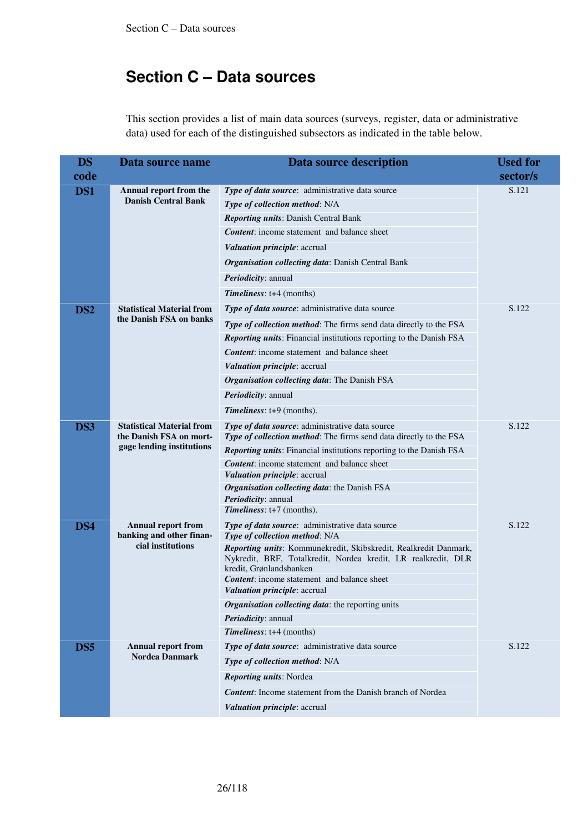This section provides a list of main data sources (surveys, register, data or administrative data) used for each of the distinguished subsectors as indicated in the table below.

| <b>DS</b>       | Data source name                                                                         | Data source description                                                                            | <b>Used for</b> |
|-----------------|------------------------------------------------------------------------------------------|----------------------------------------------------------------------------------------------------|-----------------|
| code            |                                                                                          |                                                                                                    | sector/s        |
| DS1             | Annual report from the                                                                   | Type of data source: administrative data source                                                    | S.121           |
|                 | <b>Danish Central Bank</b>                                                               | Type of collection method: N/A                                                                     |                 |
|                 |                                                                                          | Reporting units: Danish Central Bank                                                               |                 |
|                 |                                                                                          | <b>Content:</b> income statement and balance sheet                                                 |                 |
|                 |                                                                                          | Valuation principle: accrual                                                                       |                 |
|                 |                                                                                          | Organisation collecting data: Danish Central Bank                                                  |                 |
|                 |                                                                                          | Periodicity: annual                                                                                |                 |
|                 |                                                                                          | Timeliness: t+4 (months)                                                                           |                 |
| DS <sub>2</sub> | <b>Statistical Material from</b>                                                         | Type of data source: administrative data source                                                    | S.122           |
|                 | the Danish FSA on banks                                                                  | Type of collection method: The firms send data directly to the FSA                                 |                 |
|                 |                                                                                          | Reporting units: Financial institutions reporting to the Danish FSA                                |                 |
|                 |                                                                                          | <b>Content:</b> income statement and balance sheet                                                 |                 |
|                 |                                                                                          | Valuation principle: accrual                                                                       |                 |
|                 |                                                                                          | Organisation collecting data: The Danish FSA                                                       |                 |
|                 |                                                                                          | Periodicity: annual                                                                                |                 |
|                 |                                                                                          | Timeliness: t+9 (months).                                                                          |                 |
| DS3             | <b>Statistical Material from</b><br>the Danish FSA on mort-<br>gage lending institutions | Type of data source: administrative data source                                                    | S.122           |
|                 |                                                                                          | Type of collection method: The firms send data directly to the FSA                                 |                 |
|                 |                                                                                          | Reporting units: Financial institutions reporting to the Danish FSA                                |                 |
|                 |                                                                                          | <b>Content:</b> income statement and balance sheet<br>Valuation principle: accrual                 |                 |
|                 |                                                                                          | Organisation collecting data: the Danish FSA                                                       |                 |
|                 |                                                                                          | Periodicity: annual                                                                                |                 |
|                 |                                                                                          | Timeliness: t+7 (months).                                                                          |                 |
| DS4             | <b>Annual report from</b>                                                                | Type of data source: administrative data source                                                    | S.122           |
|                 | banking and other finan-<br>cial institutions                                            | Type of collection method: N/A<br>Reporting units: Kommunekredit, Skibskredit, Realkredit Danmark, |                 |
|                 |                                                                                          | Nykredit, BRF, Totalkredit, Nordea kredit, LR realkredit, DLR<br>kredit, Grønlandsbanken           |                 |
|                 |                                                                                          | <b>Content:</b> income statement and balance sheet                                                 |                 |
|                 |                                                                                          | Valuation principle: accrual                                                                       |                 |
|                 |                                                                                          | Organisation collecting data: the reporting units                                                  |                 |
|                 |                                                                                          | Periodicity: annual                                                                                |                 |
|                 |                                                                                          | Timeliness: t+4 (months)                                                                           |                 |
| DS5             | Annual report from<br><b>Nordea Danmark</b>                                              | Type of data source: administrative data source                                                    | S.122           |
|                 |                                                                                          | Type of collection method: N/A                                                                     |                 |
|                 |                                                                                          | Reporting units: Nordea                                                                            |                 |
|                 |                                                                                          | <b>Content:</b> Income statement from the Danish branch of Nordea                                  |                 |
|                 |                                                                                          | Valuation principle: accrual                                                                       |                 |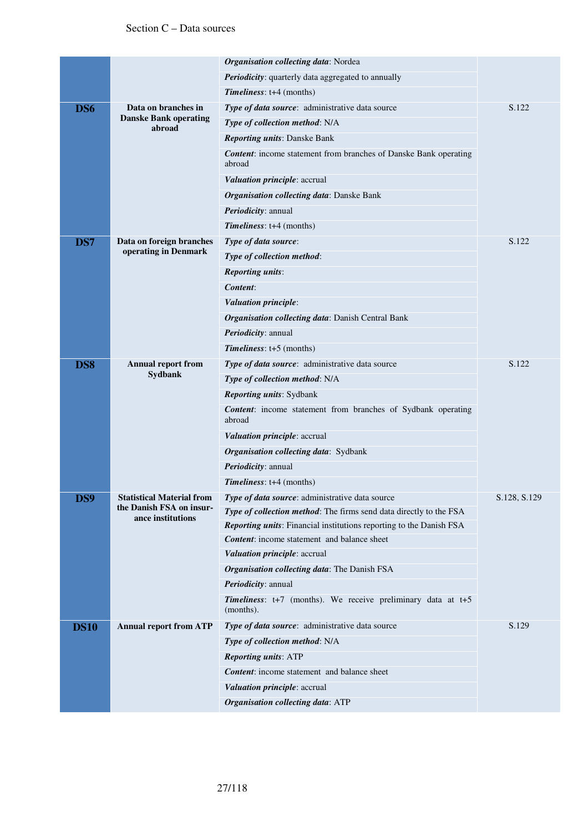|                 |                                               | Organisation collecting data: Nordea                                              |              |
|-----------------|-----------------------------------------------|-----------------------------------------------------------------------------------|--------------|
|                 |                                               | Periodicity: quarterly data aggregated to annually                                |              |
|                 |                                               | Timeliness: t+4 (months)                                                          |              |
| DS6             | Data on branches in                           | Type of data source: administrative data source                                   | S.122        |
|                 | <b>Danske Bank operating</b><br>abroad        | Type of collection method: N/A                                                    |              |
|                 |                                               | <b>Reporting units: Danske Bank</b>                                               |              |
|                 |                                               | <b>Content:</b> income statement from branches of Danske Bank operating<br>abroad |              |
|                 |                                               | Valuation principle: accrual                                                      |              |
|                 |                                               | Organisation collecting data: Danske Bank                                         |              |
|                 |                                               | Periodicity: annual                                                               |              |
|                 |                                               | Timeliness: t+4 (months)                                                          |              |
| DS7             | Data on foreign branches                      | Type of data source:                                                              | S.122        |
|                 | operating in Denmark                          | Type of collection method:                                                        |              |
|                 |                                               | <b>Reporting units:</b>                                                           |              |
|                 |                                               | Content:                                                                          |              |
|                 |                                               | Valuation principle:                                                              |              |
|                 |                                               | Organisation collecting data: Danish Central Bank                                 |              |
|                 |                                               | Periodicity: annual                                                               |              |
|                 |                                               | $Timelines: t+5 (months)$                                                         |              |
| DS <sub>8</sub> | <b>Annual report from</b><br>Sydbank          | Type of data source: administrative data source                                   | S.122        |
|                 |                                               | Type of collection method: N/A                                                    |              |
|                 |                                               | <b>Reporting units: Sydbank</b>                                                   |              |
|                 |                                               | <b>Content:</b> income statement from branches of Sydbank operating<br>abroad     |              |
|                 |                                               | Valuation principle: accrual                                                      |              |
|                 |                                               | Organisation collecting data: Sydbank                                             |              |
|                 |                                               | <i>Periodicity: annual</i>                                                        |              |
|                 |                                               | Timeliness: t+4 (months)                                                          |              |
| DS9             | <b>Statistical Material from</b>              | Type of data source: administrative data source                                   | S.128, S.129 |
|                 | the Danish FSA on insur-<br>ance institutions | Type of collection method: The firms send data directly to the FSA                |              |
|                 |                                               | Reporting units: Financial institutions reporting to the Danish FSA               |              |
|                 |                                               | <b>Content:</b> income statement and balance sheet                                |              |
|                 |                                               | Valuation principle: accrual                                                      |              |
|                 |                                               | <b>Organisation collecting data:</b> The Danish FSA                               |              |
|                 |                                               | Periodicity: annual                                                               |              |
|                 |                                               | Timeliness: t+7 (months). We receive preliminary data at t+5<br>(months).         |              |
| <b>DS10</b>     | <b>Annual report from ATP</b>                 | Type of data source: administrative data source                                   | S.129        |
|                 |                                               | Type of collection method: N/A                                                    |              |
|                 |                                               | <b>Reporting units: ATP</b>                                                       |              |
|                 |                                               | <b>Content:</b> income statement and balance sheet                                |              |
|                 |                                               | Valuation principle: accrual                                                      |              |
|                 |                                               | Organisation collecting data: ATP                                                 |              |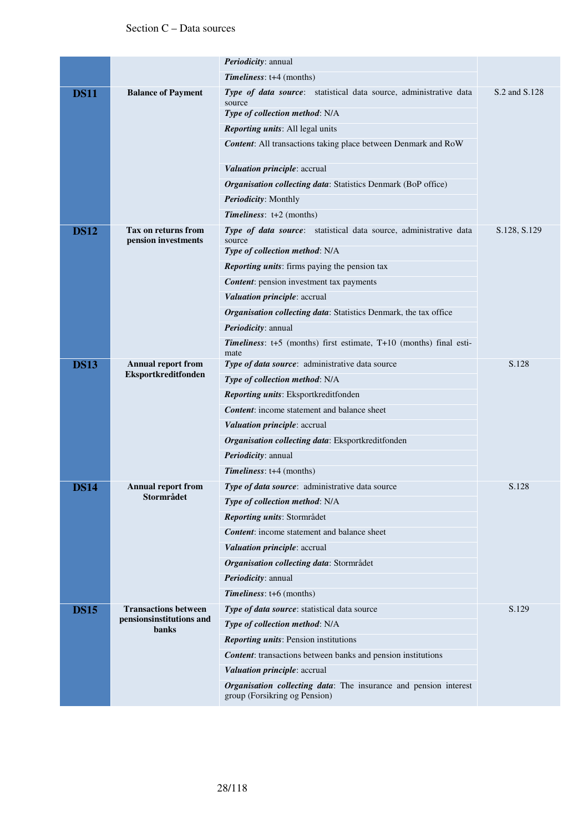|             |                                                         | Periodicity: annual                                                                                           |               |
|-------------|---------------------------------------------------------|---------------------------------------------------------------------------------------------------------------|---------------|
|             |                                                         | Timeliness: t+4 (months)                                                                                      |               |
| <b>DS11</b> | <b>Balance of Payment</b>                               | Type of data source: statistical data source, administrative data<br>source<br>Type of collection method: N/A | S.2 and S.128 |
|             |                                                         | Reporting units: All legal units                                                                              |               |
|             |                                                         | <b>Content:</b> All transactions taking place between Denmark and RoW                                         |               |
|             |                                                         | Valuation principle: accrual                                                                                  |               |
|             |                                                         | <b>Organisation collecting data:</b> Statistics Denmark (BoP office)                                          |               |
|             |                                                         | Periodicity: Monthly                                                                                          |               |
|             |                                                         | Timeliness: $t+2$ (months)                                                                                    |               |
| <b>DS12</b> | <b>Tax on returns from</b><br>pension investments       | Type of data source: statistical data source, administrative data<br>source                                   | S.128, S.129  |
|             |                                                         | Type of collection method: N/A                                                                                |               |
|             |                                                         | <b>Reporting units:</b> firms paying the pension tax                                                          |               |
|             |                                                         | <b>Content:</b> pension investment tax payments                                                               |               |
|             |                                                         | Valuation principle: accrual                                                                                  |               |
|             |                                                         | Organisation collecting data: Statistics Denmark, the tax office                                              |               |
|             |                                                         | Periodicity: annual                                                                                           |               |
|             |                                                         | Timeliness: t+5 (months) first estimate, T+10 (months) final esti-<br>mate                                    |               |
| <b>DS13</b> | <b>Annual report from</b><br>Eksportkreditfonden        | Type of data source: administrative data source                                                               | S.128         |
|             |                                                         | Type of collection method: N/A                                                                                |               |
|             |                                                         | Reporting units: Eksportkreditfonden                                                                          |               |
|             |                                                         | <b>Content:</b> income statement and balance sheet                                                            |               |
|             |                                                         | Valuation principle: accrual                                                                                  |               |
|             |                                                         | Organisation collecting data: Eksportkreditfonden                                                             |               |
|             |                                                         | Periodicity: annual                                                                                           |               |
|             |                                                         | Timeliness: t+4 (months)                                                                                      |               |
| <b>DS14</b> | <b>Annual report from</b>                               | Type of data source: administrative data source                                                               | S.128         |
|             | Stormrådet                                              | Type of collection method: N/A                                                                                |               |
|             |                                                         | Reporting units: Stormrådet                                                                                   |               |
|             |                                                         | <b>Content:</b> income statement and balance sheet                                                            |               |
|             |                                                         | Valuation principle: accrual                                                                                  |               |
|             |                                                         | Organisation collecting data: Stormrådet                                                                      |               |
|             |                                                         | Periodicity: annual                                                                                           |               |
|             |                                                         | Timeliness: t+6 (months)                                                                                      |               |
| <b>DS15</b> | <b>Transactions between</b><br>pensionsinstitutions and | Type of data source: statistical data source                                                                  | S.129         |
|             | <b>banks</b>                                            | Type of collection method: N/A                                                                                |               |
|             |                                                         | <b>Reporting units: Pension institutions</b>                                                                  |               |
|             |                                                         | <b>Content:</b> transactions between banks and pension institutions                                           |               |
|             |                                                         | Valuation principle: accrual                                                                                  |               |
|             |                                                         | Organisation collecting data: The insurance and pension interest<br>group (Forsikring og Pension)             |               |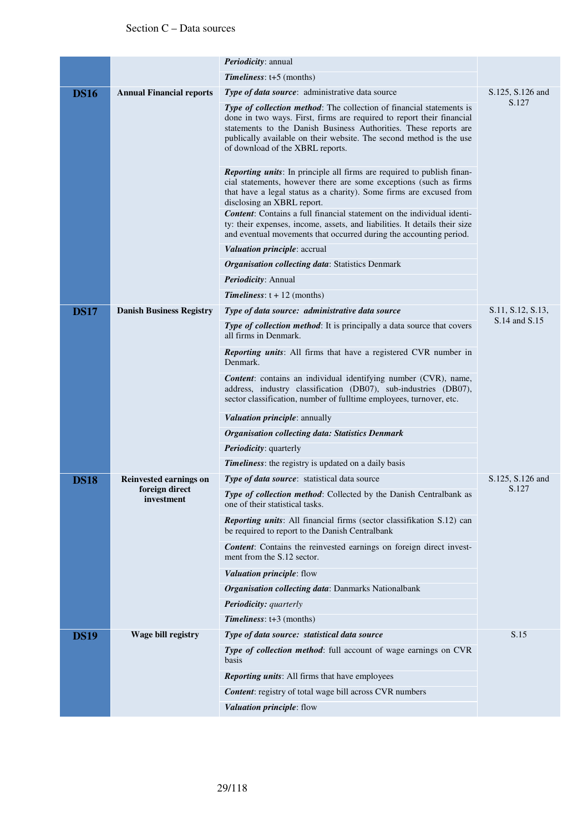|             |                                                        | Periodicity: annual                                                                                                                                                                                                                                                                                                                 |                   |
|-------------|--------------------------------------------------------|-------------------------------------------------------------------------------------------------------------------------------------------------------------------------------------------------------------------------------------------------------------------------------------------------------------------------------------|-------------------|
|             |                                                        | <b>Timeliness:</b> $t+5$ (months)                                                                                                                                                                                                                                                                                                   |                   |
| <b>DS16</b> | <b>Annual Financial reports</b>                        | Type of data source: administrative data source                                                                                                                                                                                                                                                                                     | S.125, S.126 and  |
|             |                                                        | <b>Type of collection method:</b> The collection of financial statements is<br>done in two ways. First, firms are required to report their financial<br>statements to the Danish Business Authorities. These reports are<br>publically available on their website. The second method is the use<br>of download of the XBRL reports. | S.127             |
|             |                                                        | Reporting units: In principle all firms are required to publish finan-<br>cial statements, however there are some exceptions (such as firms<br>that have a legal status as a charity). Some firms are excused from<br>disclosing an XBRL report.<br>Content: Contains a full financial statement on the individual identi-          |                   |
|             |                                                        | ty: their expenses, income, assets, and liabilities. It details their size<br>and eventual movements that occurred during the accounting period.                                                                                                                                                                                    |                   |
|             |                                                        | <i>Valuation principle: accrual</i>                                                                                                                                                                                                                                                                                                 |                   |
|             |                                                        | <b>Organisation collecting data: Statistics Denmark</b>                                                                                                                                                                                                                                                                             |                   |
|             |                                                        | Periodicity: Annual                                                                                                                                                                                                                                                                                                                 |                   |
|             |                                                        | <b>Timeliness:</b> $t + 12$ (months)                                                                                                                                                                                                                                                                                                |                   |
| <b>DS17</b> | <b>Danish Business Registry</b>                        | Type of data source: administrative data source                                                                                                                                                                                                                                                                                     | S.11, S.12, S.13, |
|             |                                                        | <b>Type of collection method:</b> It is principally a data source that covers<br>all firms in Denmark.                                                                                                                                                                                                                              | S.14 and S.15     |
|             |                                                        | <b>Reporting units:</b> All firms that have a registered CVR number in<br>Denmark.                                                                                                                                                                                                                                                  |                   |
|             |                                                        | <b>Content:</b> contains an individual identifying number (CVR), name,<br>address, industry classification (DB07), sub-industries (DB07),<br>sector classification, number of fulltime employees, turnover, etc.                                                                                                                    |                   |
|             |                                                        | Valuation principle: annually                                                                                                                                                                                                                                                                                                       |                   |
|             |                                                        | <b>Organisation collecting data: Statistics Denmark</b>                                                                                                                                                                                                                                                                             |                   |
|             |                                                        | <b>Periodicity:</b> quarterly                                                                                                                                                                                                                                                                                                       |                   |
|             |                                                        | <b>Timeliness:</b> the registry is updated on a daily basis                                                                                                                                                                                                                                                                         |                   |
| <b>DS18</b> | Reinvested earnings on<br>foreign direct<br>investment | Type of data source: statistical data source                                                                                                                                                                                                                                                                                        | S.125, S.126 and  |
|             |                                                        | Type of collection method: Collected by the Danish Centralbank as<br>one of their statistical tasks.                                                                                                                                                                                                                                | S.127             |
|             |                                                        | Reporting units: All financial firms (sector classifikation S.12) can<br>be required to report to the Danish Centralbank                                                                                                                                                                                                            |                   |
|             |                                                        | <b>Content:</b> Contains the reinvested earnings on foreign direct invest-<br>ment from the S.12 sector.                                                                                                                                                                                                                            |                   |
|             |                                                        | Valuation principle: flow                                                                                                                                                                                                                                                                                                           |                   |
|             |                                                        | Organisation collecting data: Danmarks Nationalbank                                                                                                                                                                                                                                                                                 |                   |
|             |                                                        | <b>Periodicity:</b> quarterly                                                                                                                                                                                                                                                                                                       |                   |
|             |                                                        | Timeliness: t+3 (months)                                                                                                                                                                                                                                                                                                            |                   |
| <b>DS19</b> | Wage bill registry                                     | Type of data source: statistical data source                                                                                                                                                                                                                                                                                        | S.15              |
|             |                                                        | <b>Type of collection method:</b> full account of wage earnings on CVR<br>basis                                                                                                                                                                                                                                                     |                   |
|             |                                                        | <b>Reporting units:</b> All firms that have employees                                                                                                                                                                                                                                                                               |                   |
|             |                                                        | <b>Content:</b> registry of total wage bill across CVR numbers                                                                                                                                                                                                                                                                      |                   |
|             |                                                        | Valuation principle: flow                                                                                                                                                                                                                                                                                                           |                   |
|             |                                                        |                                                                                                                                                                                                                                                                                                                                     |                   |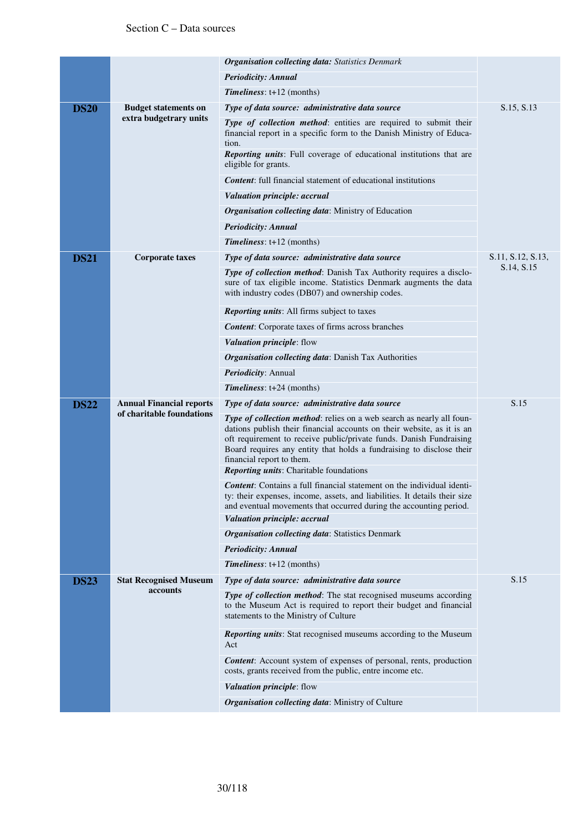|             |                                                              | <b>Organisation collecting data:</b> Statistics Denmark                                                                                                                                                                                                                                                                                                                       |                   |
|-------------|--------------------------------------------------------------|-------------------------------------------------------------------------------------------------------------------------------------------------------------------------------------------------------------------------------------------------------------------------------------------------------------------------------------------------------------------------------|-------------------|
|             |                                                              | <b>Periodicity: Annual</b>                                                                                                                                                                                                                                                                                                                                                    |                   |
|             |                                                              | $Timelines: t+12 (months)$                                                                                                                                                                                                                                                                                                                                                    |                   |
| <b>DS20</b> | <b>Budget statements on</b>                                  | Type of data source: administrative data source                                                                                                                                                                                                                                                                                                                               | S.15, S.13        |
|             | extra budgetrary units                                       | Type of collection method: entities are required to submit their<br>financial report in a specific form to the Danish Ministry of Educa-<br>tion.<br><b>Reporting units:</b> Full coverage of educational institutions that are<br>eligible for grants.                                                                                                                       |                   |
|             |                                                              | <b>Content:</b> full financial statement of educational institutions                                                                                                                                                                                                                                                                                                          |                   |
|             |                                                              | Valuation principle: accrual                                                                                                                                                                                                                                                                                                                                                  |                   |
|             |                                                              | <b>Organisation collecting data:</b> Ministry of Education                                                                                                                                                                                                                                                                                                                    |                   |
|             |                                                              | <b>Periodicity: Annual</b>                                                                                                                                                                                                                                                                                                                                                    |                   |
|             |                                                              | <b>Timeliness:</b> $t+12$ (months)                                                                                                                                                                                                                                                                                                                                            |                   |
| <b>DS21</b> | <b>Corporate taxes</b>                                       | Type of data source: administrative data source                                                                                                                                                                                                                                                                                                                               | S.11, S.12, S.13, |
|             |                                                              | <b>Type of collection method:</b> Danish Tax Authority requires a disclo-<br>sure of tax eligible income. Statistics Denmark augments the data<br>with industry codes (DB07) and ownership codes.                                                                                                                                                                             | S.14, S.15        |
|             |                                                              | <b>Reporting units:</b> All firms subject to taxes                                                                                                                                                                                                                                                                                                                            |                   |
|             |                                                              | <b>Content:</b> Corporate taxes of firms across branches                                                                                                                                                                                                                                                                                                                      |                   |
|             |                                                              | Valuation principle: flow                                                                                                                                                                                                                                                                                                                                                     |                   |
|             |                                                              | Organisation collecting data: Danish Tax Authorities                                                                                                                                                                                                                                                                                                                          |                   |
|             |                                                              | Periodicity: Annual                                                                                                                                                                                                                                                                                                                                                           |                   |
|             |                                                              | <b>Timeliness:</b> $t+24$ (months)                                                                                                                                                                                                                                                                                                                                            |                   |
| <b>DS22</b> | <b>Annual Financial reports</b><br>of charitable foundations | Type of data source: administrative data source                                                                                                                                                                                                                                                                                                                               | S.15              |
|             |                                                              | Type of collection method: relies on a web search as nearly all foun-<br>dations publish their financial accounts on their website, as it is an<br>oft requirement to receive public/private funds. Danish Fundraising<br>Board requires any entity that holds a fundraising to disclose their<br>financial report to them.<br><b>Reporting units:</b> Charitable foundations |                   |
|             |                                                              | Content: Contains a full financial statement on the individual identi-<br>ty: their expenses, income, assets, and liabilities. It details their size<br>and eventual movements that occurred during the accounting period.                                                                                                                                                    |                   |
|             |                                                              | Valuation principle: accrual                                                                                                                                                                                                                                                                                                                                                  |                   |
|             |                                                              | <b>Organisation collecting data: Statistics Denmark</b>                                                                                                                                                                                                                                                                                                                       |                   |
|             |                                                              | <b>Periodicity: Annual</b>                                                                                                                                                                                                                                                                                                                                                    |                   |
|             |                                                              | <b>Timeliness:</b> $t+12$ (months)                                                                                                                                                                                                                                                                                                                                            |                   |
| <b>DS23</b> | <b>Stat Recognised Museum</b>                                | Type of data source: administrative data source                                                                                                                                                                                                                                                                                                                               | S.15              |
|             | accounts                                                     | <b>Type of collection method:</b> The stat recognised museums according<br>to the Museum Act is required to report their budget and financial<br>statements to the Ministry of Culture                                                                                                                                                                                        |                   |
|             |                                                              | <b>Reporting units:</b> Stat recognised museums according to the Museum<br>Act                                                                                                                                                                                                                                                                                                |                   |
|             |                                                              | Content: Account system of expenses of personal, rents, production<br>costs, grants received from the public, entre income etc.                                                                                                                                                                                                                                               |                   |
|             |                                                              | Valuation principle: flow                                                                                                                                                                                                                                                                                                                                                     |                   |
|             |                                                              | <b>Organisation collecting data:</b> Ministry of Culture                                                                                                                                                                                                                                                                                                                      |                   |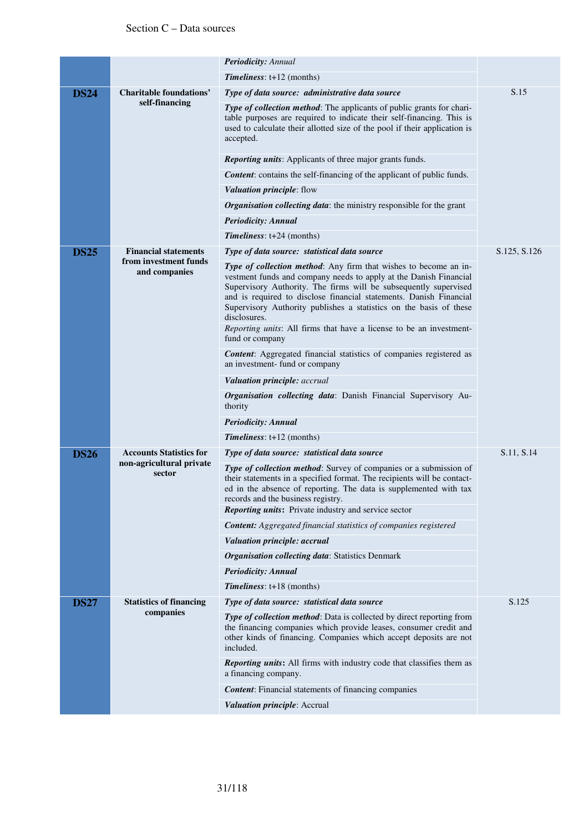|             |                                                  | Periodicity: Annual                                                                                                                                                                                                                                                                                                                                                                                                                                 |              |
|-------------|--------------------------------------------------|-----------------------------------------------------------------------------------------------------------------------------------------------------------------------------------------------------------------------------------------------------------------------------------------------------------------------------------------------------------------------------------------------------------------------------------------------------|--------------|
|             |                                                  | <b>Timeliness:</b> $t+12$ (months)                                                                                                                                                                                                                                                                                                                                                                                                                  |              |
| <b>DS24</b> | <b>Charitable foundations'</b><br>self-financing | Type of data source: administrative data source                                                                                                                                                                                                                                                                                                                                                                                                     | S.15         |
|             |                                                  | Type of collection method: The applicants of public grants for chari-<br>table purposes are required to indicate their self-financing. This is<br>used to calculate their allotted size of the pool if their application is<br>accepted.                                                                                                                                                                                                            |              |
|             |                                                  | Reporting units: Applicants of three major grants funds.                                                                                                                                                                                                                                                                                                                                                                                            |              |
|             |                                                  | <b>Content:</b> contains the self-financing of the applicant of public funds.                                                                                                                                                                                                                                                                                                                                                                       |              |
|             |                                                  | Valuation principle: flow                                                                                                                                                                                                                                                                                                                                                                                                                           |              |
|             |                                                  | <b>Organisation collecting data:</b> the ministry responsible for the grant                                                                                                                                                                                                                                                                                                                                                                         |              |
|             |                                                  | <b>Periodicity: Annual</b>                                                                                                                                                                                                                                                                                                                                                                                                                          |              |
|             |                                                  | Timeliness: t+24 (months)                                                                                                                                                                                                                                                                                                                                                                                                                           |              |
| <b>DS25</b> | <b>Financial statements</b>                      | Type of data source: statistical data source                                                                                                                                                                                                                                                                                                                                                                                                        | S.125, S.126 |
|             | from investment funds<br>and companies           | Type of collection method: Any firm that wishes to become an in-<br>vestment funds and company needs to apply at the Danish Financial<br>Supervisory Authority. The firms will be subsequently supervised<br>and is required to disclose financial statements. Danish Financial<br>Supervisory Authority publishes a statistics on the basis of these<br>disclosures.<br><i>Reporting units:</i> All firms that have a license to be an investment- |              |
|             |                                                  | fund or company                                                                                                                                                                                                                                                                                                                                                                                                                                     |              |
|             |                                                  | <b>Content:</b> Aggregated financial statistics of companies registered as<br>an investment- fund or company                                                                                                                                                                                                                                                                                                                                        |              |
|             |                                                  | Valuation principle: accrual                                                                                                                                                                                                                                                                                                                                                                                                                        |              |
|             |                                                  | <b>Organisation collecting data:</b> Danish Financial Supervisory Au-<br>thority                                                                                                                                                                                                                                                                                                                                                                    |              |
|             |                                                  | <b>Periodicity: Annual</b>                                                                                                                                                                                                                                                                                                                                                                                                                          |              |
|             |                                                  | <b>Timeliness:</b> $t+12$ (months)                                                                                                                                                                                                                                                                                                                                                                                                                  |              |
| <b>DS26</b> | <b>Accounts Statistics for</b>                   | Type of data source: statistical data source                                                                                                                                                                                                                                                                                                                                                                                                        | S.11, S.14   |
|             | non-agricultural private<br>sector               | <b>Type of collection method:</b> Survey of companies or a submission of<br>their statements in a specified format. The recipients will be contact-<br>ed in the absence of reporting. The data is supplemented with tax<br>records and the business registry.<br><b>Reporting units:</b> Private industry and service sector                                                                                                                       |              |
|             |                                                  | <b>Content:</b> Aggregated financial statistics of companies registered                                                                                                                                                                                                                                                                                                                                                                             |              |
|             |                                                  | Valuation principle: accrual                                                                                                                                                                                                                                                                                                                                                                                                                        |              |
|             |                                                  | <b>Organisation collecting data: Statistics Denmark</b>                                                                                                                                                                                                                                                                                                                                                                                             |              |
|             |                                                  | <b>Periodicity: Annual</b>                                                                                                                                                                                                                                                                                                                                                                                                                          |              |
|             |                                                  | <b>Timeliness:</b> t+18 (months)                                                                                                                                                                                                                                                                                                                                                                                                                    |              |
| <b>DS27</b> | <b>Statistics of financing</b>                   | Type of data source: statistical data source                                                                                                                                                                                                                                                                                                                                                                                                        | S.125        |
|             | companies                                        | <b>Type of collection method:</b> Data is collected by direct reporting from<br>the financing companies which provide leases, consumer credit and<br>other kinds of financing. Companies which accept deposits are not<br>included.                                                                                                                                                                                                                 |              |
|             |                                                  | Reporting units: All firms with industry code that classifies them as<br>a financing company.                                                                                                                                                                                                                                                                                                                                                       |              |
|             |                                                  | <b>Content:</b> Financial statements of financing companies                                                                                                                                                                                                                                                                                                                                                                                         |              |
|             |                                                  | Valuation principle: Accrual                                                                                                                                                                                                                                                                                                                                                                                                                        |              |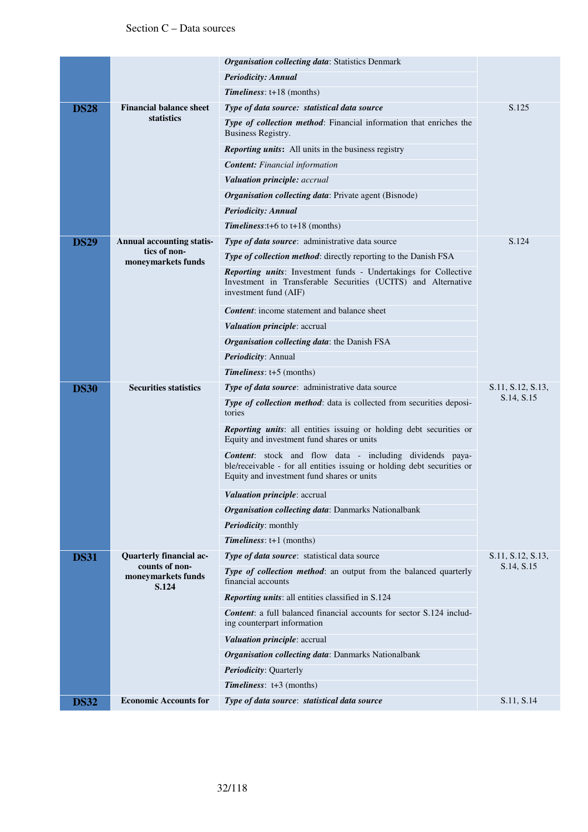|             |                                               | <b>Organisation collecting data: Statistics Denmark</b>                                                                                                                                  |                   |
|-------------|-----------------------------------------------|------------------------------------------------------------------------------------------------------------------------------------------------------------------------------------------|-------------------|
|             |                                               | Periodicity: Annual                                                                                                                                                                      |                   |
|             |                                               | <b>Timeliness:</b> $t+18$ (months)                                                                                                                                                       |                   |
| <b>DS28</b> | <b>Financial balance sheet</b>                | Type of data source: statistical data source                                                                                                                                             | S.125             |
|             | statistics                                    | Type of collection method: Financial information that enriches the<br>Business Registry.                                                                                                 |                   |
|             |                                               | <b>Reporting units:</b> All units in the business registry                                                                                                                               |                   |
|             |                                               | <b>Content:</b> Financial information                                                                                                                                                    |                   |
|             |                                               | Valuation principle: accrual                                                                                                                                                             |                   |
|             |                                               | <b>Organisation collecting data:</b> Private agent (Bisnode)                                                                                                                             |                   |
|             |                                               | <b>Periodicity: Annual</b>                                                                                                                                                               |                   |
|             |                                               | <b>Timeliness:</b> $t+6$ to $t+18$ (months)                                                                                                                                              |                   |
| <b>DS29</b> | <b>Annual accounting statis-</b>              | Type of data source: administrative data source                                                                                                                                          | S.124             |
|             | tics of non-<br>moneymarkets funds            | Type of collection method: directly reporting to the Danish FSA                                                                                                                          |                   |
|             |                                               | <b>Reporting units:</b> Investment funds - Undertakings for Collective<br>Investment in Transferable Securities (UCITS) and Alternative<br>investment fund (AIF)                         |                   |
|             |                                               | <b>Content:</b> income statement and balance sheet                                                                                                                                       |                   |
|             |                                               | <i>Valuation principle: accrual</i>                                                                                                                                                      |                   |
|             |                                               | Organisation collecting data: the Danish FSA                                                                                                                                             |                   |
|             |                                               | Periodicity: Annual                                                                                                                                                                      |                   |
|             |                                               | <b>Timeliness:</b> $t+5$ (months)                                                                                                                                                        |                   |
| <b>DS30</b> | <b>Securities statistics</b>                  | Type of data source: administrative data source                                                                                                                                          | S.11, S.12, S.13, |
|             |                                               | Type of collection method: data is collected from securities deposi-<br>tories                                                                                                           | S.14, S.15        |
|             |                                               | Reporting units: all entities issuing or holding debt securities or<br>Equity and investment fund shares or units                                                                        |                   |
|             |                                               | <b>Content:</b> stock and flow data - including dividends paya-<br>ble/receivable - for all entities issuing or holding debt securities or<br>Equity and investment fund shares or units |                   |
|             |                                               | <i>Valuation principle: accrual</i>                                                                                                                                                      |                   |
|             |                                               | Organisation collecting data: Danmarks Nationalbank                                                                                                                                      |                   |
|             |                                               | Periodicity: monthly                                                                                                                                                                     |                   |
|             |                                               | Timeliness: t+1 (months)                                                                                                                                                                 |                   |
| <b>DS31</b> | Quarterly financial ac-                       | Type of data source: statistical data source                                                                                                                                             | S.11, S.12, S.13, |
|             | counts of non-<br>moneymarkets funds<br>S.124 | Type of collection method: an output from the balanced quarterly<br>financial accounts                                                                                                   | S.14, S.15        |
|             |                                               | Reporting units: all entities classified in S.124                                                                                                                                        |                   |
|             |                                               | <b>Content:</b> a full balanced financial accounts for sector S.124 includ-<br>ing counterpart information                                                                               |                   |
|             |                                               | <i>Valuation principle: accrual</i>                                                                                                                                                      |                   |
|             |                                               | Organisation collecting data: Danmarks Nationalbank                                                                                                                                      |                   |
|             |                                               | <b>Periodicity: Quarterly</b>                                                                                                                                                            |                   |
|             |                                               |                                                                                                                                                                                          |                   |
|             |                                               | <b>Timeliness:</b> $t+3$ (months)                                                                                                                                                        |                   |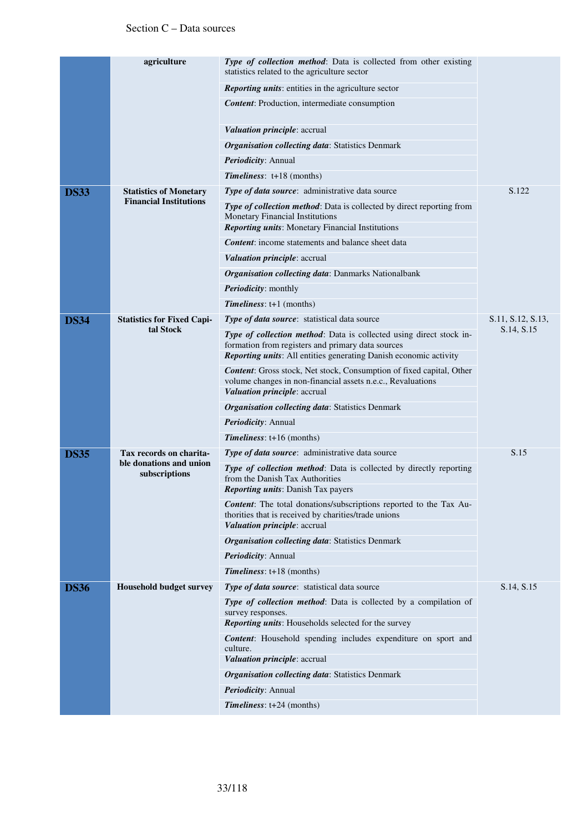|             | agriculture                              | Type of collection method: Data is collected from other existing<br>statistics related to the agriculture sector                                                                              |                   |
|-------------|------------------------------------------|-----------------------------------------------------------------------------------------------------------------------------------------------------------------------------------------------|-------------------|
|             |                                          | <b>Reporting units:</b> entities in the agriculture sector                                                                                                                                    |                   |
|             |                                          | <b>Content:</b> Production, intermediate consumption                                                                                                                                          |                   |
|             |                                          | <i>Valuation principle: accrual</i>                                                                                                                                                           |                   |
|             |                                          | <b>Organisation collecting data: Statistics Denmark</b>                                                                                                                                       |                   |
|             |                                          | Periodicity: Annual                                                                                                                                                                           |                   |
|             |                                          | <b>Timeliness:</b> $t+18$ (months)                                                                                                                                                            |                   |
| <b>DS33</b> | <b>Statistics of Monetary</b>            | Type of data source: administrative data source                                                                                                                                               | S.122             |
|             | <b>Financial Institutions</b>            | <b>Type of collection method:</b> Data is collected by direct reporting from<br>Monetary Financial Institutions<br><b>Reporting units:</b> Monetary Financial Institutions                    |                   |
|             |                                          | <b>Content:</b> income statements and balance sheet data                                                                                                                                      |                   |
|             |                                          | Valuation principle: accrual                                                                                                                                                                  |                   |
|             |                                          | <b>Organisation collecting data: Danmarks Nationalbank</b>                                                                                                                                    |                   |
|             |                                          | <b>Periodicity:</b> monthly                                                                                                                                                                   |                   |
|             |                                          | $Timelines: t+1 (months)$                                                                                                                                                                     |                   |
| <b>DS34</b> | <b>Statistics for Fixed Capi-</b>        | Type of data source: statistical data source                                                                                                                                                  | S.11, S.12, S.13, |
|             | tal Stock                                | Type of collection method: Data is collected using direct stock in-<br>formation from registers and primary data sources<br>Reporting units: All entities generating Danish economic activity | S.14, S.15        |
|             |                                          | Content: Gross stock, Net stock, Consumption of fixed capital, Other<br>volume changes in non-financial assets n.e.c., Revaluations<br>Valuation principle: accrual                           |                   |
|             |                                          | <b>Organisation collecting data: Statistics Denmark</b>                                                                                                                                       |                   |
|             |                                          | Periodicity: Annual                                                                                                                                                                           |                   |
|             |                                          | <b>Timeliness:</b> $t+16$ (months)                                                                                                                                                            |                   |
| <b>DS35</b> | Tax records on charita-                  | Type of data source: administrative data source                                                                                                                                               | S.15              |
|             | ble donations and union<br>subscriptions | <b>Type of collection method:</b> Data is collected by directly reporting<br>from the Danish Tax Authorities<br><b>Reporting units:</b> Danish Tax payers                                     |                   |
|             |                                          | <b>Content:</b> The total donations/subscriptions reported to the Tax Au-<br>thorities that is received by charities/trade unions<br>Valuation principle: accrual                             |                   |
|             |                                          | <b>Organisation collecting data: Statistics Denmark</b>                                                                                                                                       |                   |
|             |                                          | Periodicity: Annual                                                                                                                                                                           |                   |
|             |                                          | <b>Timeliness:</b> t+18 (months)                                                                                                                                                              |                   |
| <b>DS36</b> | <b>Household budget survey</b>           | Type of data source: statistical data source                                                                                                                                                  | S.14, S.15        |
|             |                                          | Type of collection method: Data is collected by a compilation of<br>survey responses.<br>Reporting units: Households selected for the survey                                                  |                   |
|             |                                          | <b>Content:</b> Household spending includes expenditure on sport and                                                                                                                          |                   |
|             |                                          | culture.<br>Valuation principle: accrual                                                                                                                                                      |                   |
|             |                                          | <b>Organisation collecting data: Statistics Denmark</b>                                                                                                                                       |                   |
|             |                                          | Periodicity: Annual                                                                                                                                                                           |                   |
|             |                                          | Timeliness: t+24 (months)                                                                                                                                                                     |                   |
|             |                                          |                                                                                                                                                                                               |                   |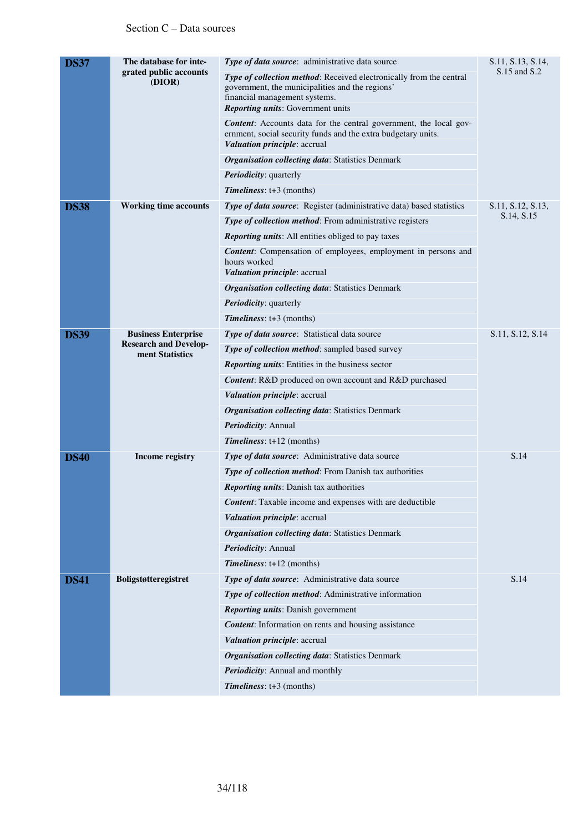| <b>DS37</b> | The database for inte-<br>grated public accounts<br>(DIOR)                    | Type of data source: administrative data source                                                                                                                           | S.11, S.13, S.14, |
|-------------|-------------------------------------------------------------------------------|---------------------------------------------------------------------------------------------------------------------------------------------------------------------------|-------------------|
|             |                                                                               | <b>Type of collection method:</b> Received electronically from the central<br>government, the municipalities and the regions'<br>financial management systems.            | S.15 and S.2      |
|             |                                                                               | <b>Reporting units:</b> Government units                                                                                                                                  |                   |
|             |                                                                               | <b>Content:</b> Accounts data for the central government, the local gov-<br>ernment, social security funds and the extra budgetary units.<br>Valuation principle: accrual |                   |
|             |                                                                               | <b>Organisation collecting data: Statistics Denmark</b>                                                                                                                   |                   |
|             |                                                                               | <b>Periodicity:</b> quarterly                                                                                                                                             |                   |
|             |                                                                               | $Timelines: t+3 (months)$                                                                                                                                                 |                   |
| <b>DS38</b> | <b>Working time accounts</b>                                                  | Type of data source: Register (administrative data) based statistics                                                                                                      | S.11, S.12, S.13, |
|             |                                                                               | Type of collection method: From administrative registers                                                                                                                  | S.14, S.15        |
|             |                                                                               | Reporting units: All entities obliged to pay taxes                                                                                                                        |                   |
|             |                                                                               | <b>Content:</b> Compensation of employees, employment in persons and<br>hours worked                                                                                      |                   |
|             |                                                                               | Valuation principle: accrual                                                                                                                                              |                   |
|             |                                                                               | <b>Organisation collecting data: Statistics Denmark</b>                                                                                                                   |                   |
|             |                                                                               | Periodicity: quarterly                                                                                                                                                    |                   |
|             |                                                                               | $Timelines: t+3 (months)$                                                                                                                                                 |                   |
| <b>DS39</b> | <b>Business Enterprise</b><br><b>Research and Develop-</b><br>ment Statistics | Type of data source: Statistical data source                                                                                                                              | S.11, S.12, S.14  |
|             |                                                                               | Type of collection method: sampled based survey                                                                                                                           |                   |
|             |                                                                               | <b>Reporting units:</b> Entities in the business sector                                                                                                                   |                   |
|             |                                                                               | Content: R&D produced on own account and R&D purchased                                                                                                                    |                   |
|             |                                                                               | Valuation principle: accrual                                                                                                                                              |                   |
|             |                                                                               | <b>Organisation collecting data: Statistics Denmark</b>                                                                                                                   |                   |
|             |                                                                               | Periodicity: Annual                                                                                                                                                       |                   |
|             |                                                                               | Timeliness: t+12 (months)                                                                                                                                                 |                   |
| <b>DS40</b> | Income registry                                                               | Type of data source: Administrative data source                                                                                                                           | S.14              |
|             |                                                                               | Type of collection method: From Danish tax authorities                                                                                                                    |                   |
|             |                                                                               | <b>Reporting units:</b> Danish tax authorities                                                                                                                            |                   |
|             |                                                                               | <b>Content:</b> Taxable income and expenses with are deductible                                                                                                           |                   |
|             |                                                                               | Valuation principle: accrual                                                                                                                                              |                   |
|             |                                                                               | <b>Organisation collecting data: Statistics Denmark</b>                                                                                                                   |                   |
|             |                                                                               | Periodicity: Annual                                                                                                                                                       |                   |
|             |                                                                               | Timeliness: t+12 (months)                                                                                                                                                 |                   |
| <b>DS41</b> | Boligstøtteregistret                                                          | Type of data source: Administrative data source                                                                                                                           | S.14              |
|             |                                                                               | Type of collection method: Administrative information                                                                                                                     |                   |
|             |                                                                               | <b>Reporting units:</b> Danish government                                                                                                                                 |                   |
|             |                                                                               | <b>Content:</b> Information on rents and housing assistance                                                                                                               |                   |
|             |                                                                               | Valuation principle: accrual                                                                                                                                              |                   |
|             |                                                                               | <b>Organisation collecting data: Statistics Denmark</b>                                                                                                                   |                   |
|             |                                                                               | Periodicity: Annual and monthly                                                                                                                                           |                   |
|             |                                                                               | Timeliness: t+3 (months)                                                                                                                                                  |                   |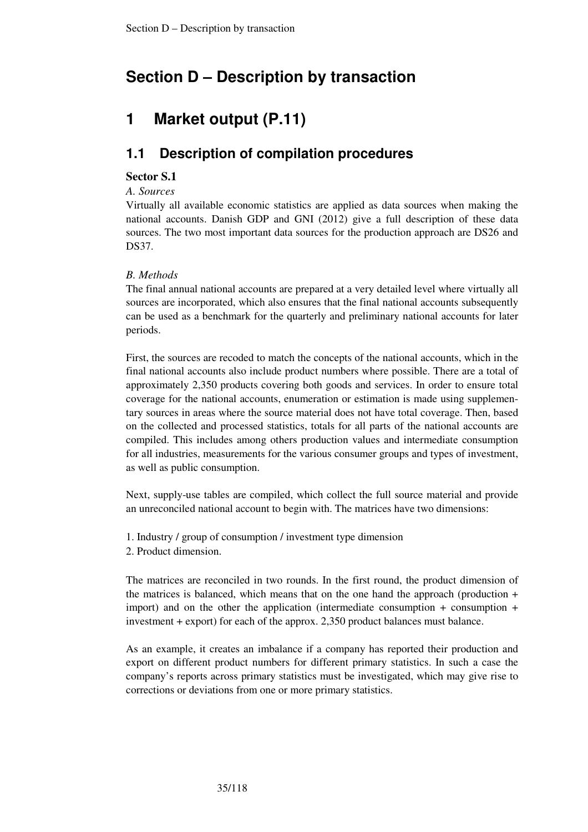# **Section D – Description by transaction**

# **1 Market output (P.11)**

# **1.1 Description of compilation procedures**

## **Sector S.1**

*A. Sources* 

Virtually all available economic statistics are applied as data sources when making the national accounts. Danish GDP and GNI (2012) give a full description of these data sources. The two most important data sources for the production approach are DS26 and DS37.

## *B. Methods*

The final annual national accounts are prepared at a very detailed level where virtually all sources are incorporated, which also ensures that the final national accounts subsequently can be used as a benchmark for the quarterly and preliminary national accounts for later periods.

First, the sources are recoded to match the concepts of the national accounts, which in the final national accounts also include product numbers where possible. There are a total of approximately 2,350 products covering both goods and services. In order to ensure total coverage for the national accounts, enumeration or estimation is made using supplementary sources in areas where the source material does not have total coverage. Then, based on the collected and processed statistics, totals for all parts of the national accounts are compiled. This includes among others production values and intermediate consumption for all industries, measurements for the various consumer groups and types of investment, as well as public consumption.

Next, supply-use tables are compiled, which collect the full source material and provide an unreconciled national account to begin with. The matrices have two dimensions:

- 1. Industry / group of consumption / investment type dimension
- 2. Product dimension.

The matrices are reconciled in two rounds. In the first round, the product dimension of the matrices is balanced, which means that on the one hand the approach (production  $+$ import) and on the other the application (intermediate consumption + consumption + investment + export) for each of the approx. 2,350 product balances must balance.

As an example, it creates an imbalance if a company has reported their production and export on different product numbers for different primary statistics. In such a case the company's reports across primary statistics must be investigated, which may give rise to corrections or deviations from one or more primary statistics.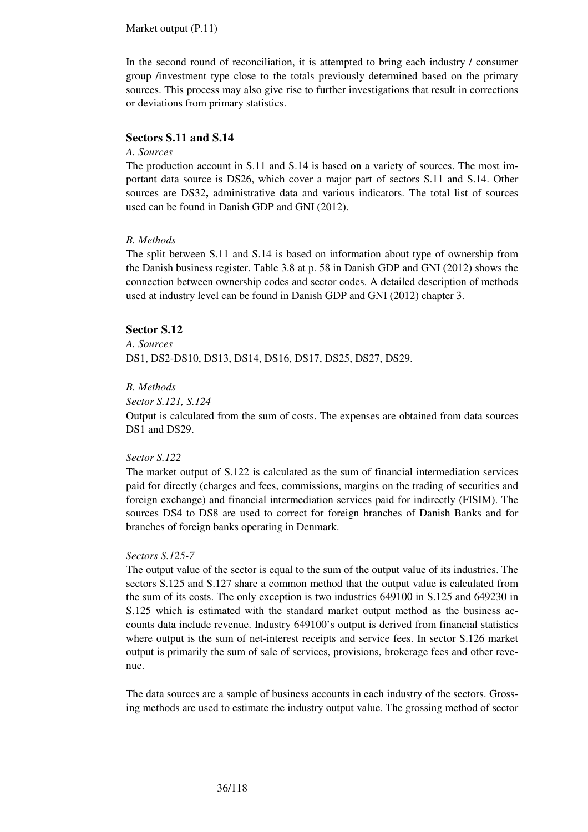#### Market output (P.11)

In the second round of reconciliation, it is attempted to bring each industry / consumer group /investment type close to the totals previously determined based on the primary sources. This process may also give rise to further investigations that result in corrections or deviations from primary statistics.

### **Sectors S.11 and S.14**

#### *A. Sources*

The production account in S.11 and S.14 is based on a variety of sources. The most important data source is DS26, which cover a major part of sectors S.11 and S.14. Other sources are DS32**,** administrative data and various indicators. The total list of sources used can be found in Danish GDP and GNI (2012).

#### *B. Methods*

The split between S.11 and S.14 is based on information about type of ownership from the Danish business register. Table 3.8 at p. 58 in Danish GDP and GNI (2012) shows the connection between ownership codes and sector codes. A detailed description of methods used at industry level can be found in Danish GDP and GNI (2012) chapter 3.

#### **Sector S.12**

## *A. Sources*

DS1, DS2-DS10, DS13, DS14, DS16, DS17, DS25, DS27, DS29.

### *B. Methods*

#### *Sector S.121, S.124*

Output is calculated from the sum of costs. The expenses are obtained from data sources DS1 and DS29.

#### *Sector S.122*

The market output of S.122 is calculated as the sum of financial intermediation services paid for directly (charges and fees, commissions, margins on the trading of securities and foreign exchange) and financial intermediation services paid for indirectly (FISIM). The sources DS4 to DS8 are used to correct for foreign branches of Danish Banks and for branches of foreign banks operating in Denmark.

#### *Sectors S.125-7*

The output value of the sector is equal to the sum of the output value of its industries. The sectors S.125 and S.127 share a common method that the output value is calculated from the sum of its costs. The only exception is two industries 649100 in S.125 and 649230 in S.125 which is estimated with the standard market output method as the business accounts data include revenue. Industry 649100's output is derived from financial statistics where output is the sum of net-interest receipts and service fees. In sector S.126 market output is primarily the sum of sale of services, provisions, brokerage fees and other revenue.

The data sources are a sample of business accounts in each industry of the sectors. Grossing methods are used to estimate the industry output value. The grossing method of sector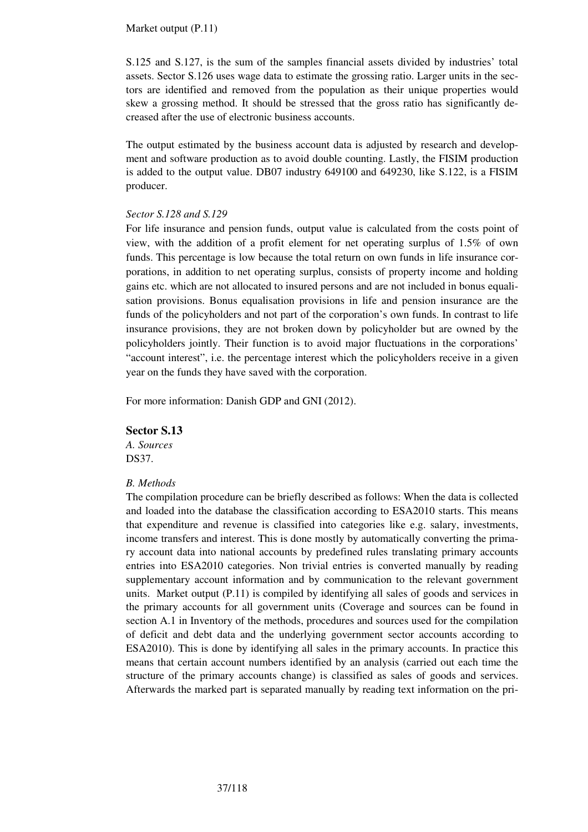Market output (P.11)

S.125 and S.127, is the sum of the samples financial assets divided by industries' total assets. Sector S.126 uses wage data to estimate the grossing ratio. Larger units in the sectors are identified and removed from the population as their unique properties would skew a grossing method. It should be stressed that the gross ratio has significantly decreased after the use of electronic business accounts.

The output estimated by the business account data is adjusted by research and development and software production as to avoid double counting. Lastly, the FISIM production is added to the output value. DB07 industry 649100 and 649230, like S.122, is a FISIM producer.

#### *Sector S.128 and S.129*

For life insurance and pension funds, output value is calculated from the costs point of view, with the addition of a profit element for net operating surplus of 1.5% of own funds. This percentage is low because the total return on own funds in life insurance corporations, in addition to net operating surplus, consists of property income and holding gains etc. which are not allocated to insured persons and are not included in bonus equalisation provisions. Bonus equalisation provisions in life and pension insurance are the funds of the policyholders and not part of the corporation's own funds. In contrast to life insurance provisions, they are not broken down by policyholder but are owned by the policyholders jointly. Their function is to avoid major fluctuations in the corporations' "account interest", i.e. the percentage interest which the policyholders receive in a given year on the funds they have saved with the corporation.

For more information: Danish GDP and GNI (2012).

#### **Sector S.13**

*A. Sources*  DS37.

#### *B. Methods*

The compilation procedure can be briefly described as follows: When the data is collected and loaded into the database the classification according to ESA2010 starts. This means that expenditure and revenue is classified into categories like e.g. salary, investments, income transfers and interest. This is done mostly by automatically converting the primary account data into national accounts by predefined rules translating primary accounts entries into ESA2010 categories. Non trivial entries is converted manually by reading supplementary account information and by communication to the relevant government units. Market output (P.11) is compiled by identifying all sales of goods and services in the primary accounts for all government units (Coverage and sources can be found in section A.1 in Inventory of the methods, procedures and sources used for the compilation of deficit and debt data and the underlying government sector accounts according to ESA2010). This is done by identifying all sales in the primary accounts. In practice this means that certain account numbers identified by an analysis (carried out each time the structure of the primary accounts change) is classified as sales of goods and services. Afterwards the marked part is separated manually by reading text information on the pri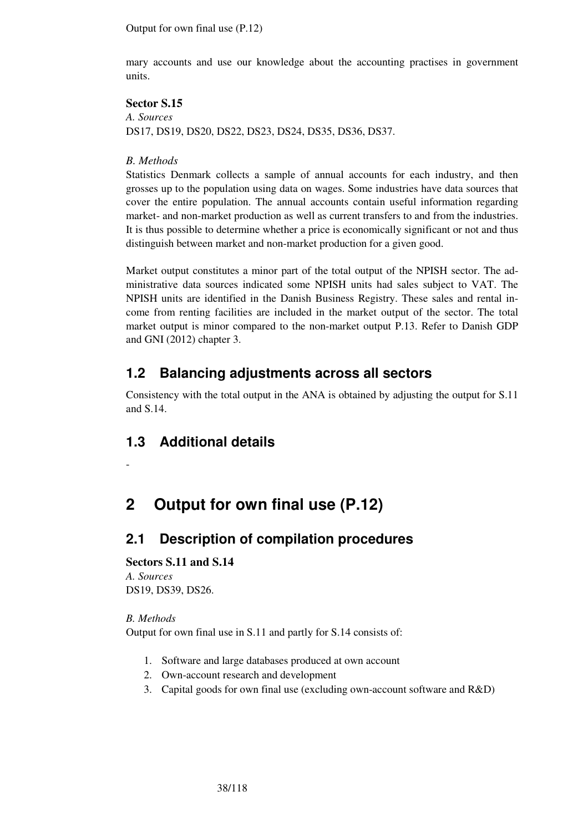Output for own final use (P.12)

mary accounts and use our knowledge about the accounting practises in government units.

#### **Sector S.15**

*A. Sources*  DS17, DS19, DS20, DS22, DS23, DS24, DS35, DS36, DS37.

### *B. Methods*

Statistics Denmark collects a sample of annual accounts for each industry, and then grosses up to the population using data on wages. Some industries have data sources that cover the entire population. The annual accounts contain useful information regarding market- and non-market production as well as current transfers to and from the industries. It is thus possible to determine whether a price is economically significant or not and thus distinguish between market and non-market production for a given good.

Market output constitutes a minor part of the total output of the NPISH sector. The administrative data sources indicated some NPISH units had sales subject to VAT. The NPISH units are identified in the Danish Business Registry. These sales and rental income from renting facilities are included in the market output of the sector. The total market output is minor compared to the non-market output P.13. Refer to Danish GDP and GNI (2012) chapter 3.

# **1.2 Balancing adjustments across all sectors**

Consistency with the total output in the ANA is obtained by adjusting the output for S.11 and S.14.

# **1.3 Additional details**

-

# **2 Output for own final use (P.12)**

# **2.1 Description of compilation procedures**

## **Sectors S.11 and S.14**

*A. Sources*  DS19, DS39, DS26.

#### *B. Methods*

Output for own final use in S.11 and partly for S.14 consists of:

- 1. Software and large databases produced at own account
- 2. Own-account research and development
- 3. Capital goods for own final use (excluding own-account software and R&D)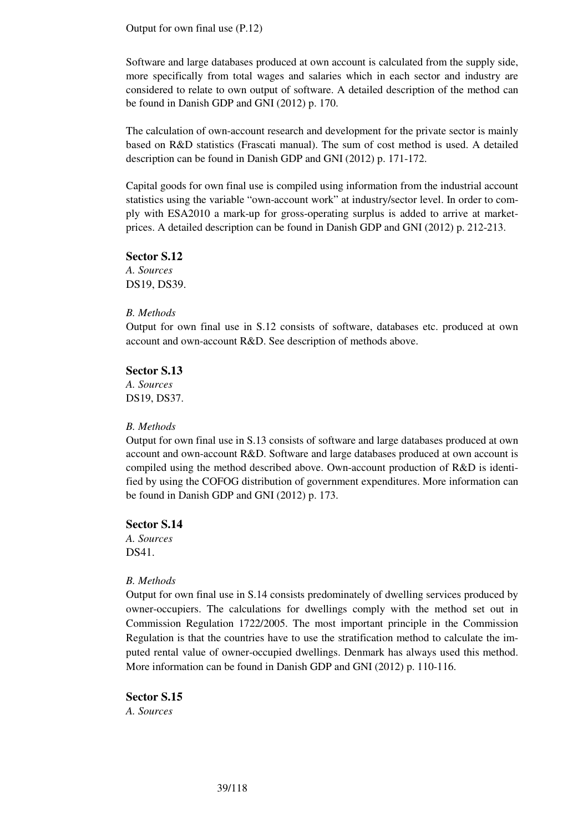Output for own final use (P.12)

Software and large databases produced at own account is calculated from the supply side, more specifically from total wages and salaries which in each sector and industry are considered to relate to own output of software. A detailed description of the method can be found in Danish GDP and GNI (2012) p. 170.

The calculation of own-account research and development for the private sector is mainly based on R&D statistics (Frascati manual). The sum of cost method is used. A detailed description can be found in Danish GDP and GNI (2012) p. 171-172.

Capital goods for own final use is compiled using information from the industrial account statistics using the variable "own-account work" at industry/sector level. In order to comply with ESA2010 a mark-up for gross-operating surplus is added to arrive at marketprices. A detailed description can be found in Danish GDP and GNI (2012) p. 212-213.

**Sector S.12** 

*A. Sources*  DS19, DS39.

#### *B. Methods*

Output for own final use in S.12 consists of software, databases etc. produced at own account and own-account R&D. See description of methods above.

#### **Sector S.13**

*A. Sources*  DS19, DS37.

#### *B. Methods*

Output for own final use in S.13 consists of software and large databases produced at own account and own-account R&D. Software and large databases produced at own account is compiled using the method described above. Own-account production of R&D is identified by using the COFOG distribution of government expenditures. More information can be found in Danish GDP and GNI (2012) p. 173.

### **Sector S.14**

*A. Sources*  DS41.

## *B. Methods*

Output for own final use in S.14 consists predominately of dwelling services produced by owner-occupiers. The calculations for dwellings comply with the method set out in Commission Regulation 1722/2005. The most important principle in the Commission Regulation is that the countries have to use the stratification method to calculate the imputed rental value of owner-occupied dwellings. Denmark has always used this method. More information can be found in Danish GDP and GNI (2012) p. 110-116.

**Sector S.15**  *A. Sources*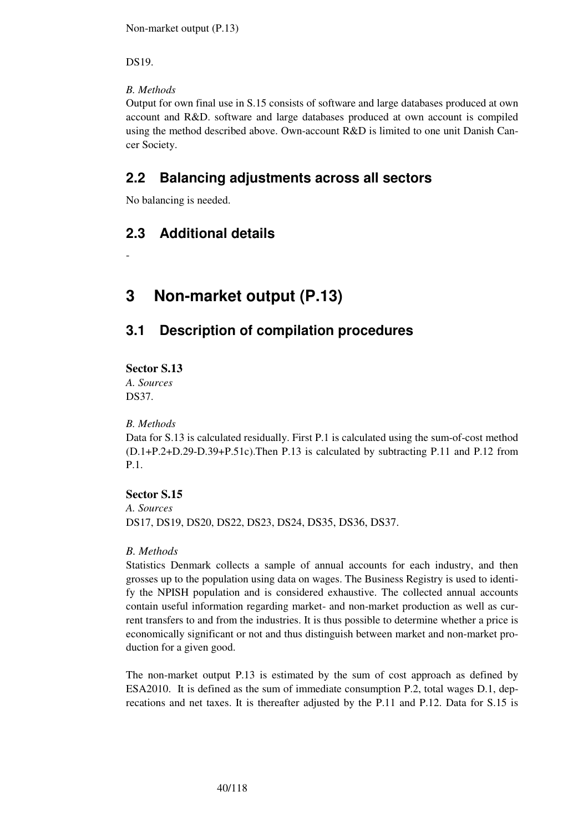Non-market output (P.13)

DS19.

## *B. Methods*

Output for own final use in S.15 consists of software and large databases produced at own account and R&D. software and large databases produced at own account is compiled using the method described above. Own-account R&D is limited to one unit Danish Cancer Society.

# **2.2 Balancing adjustments across all sectors**

No balancing is needed.

# **2.3 Additional details**

**3 Non-market output (P.13)** 

# **3.1 Description of compilation procedures**

## **Sector S.13**

-

*A. Sources*  DS37.

## *B. Methods*

Data for S.13 is calculated residually. First P.1 is calculated using the sum-of-cost method (D.1+P.2+D.29-D.39+P.51c).Then P.13 is calculated by subtracting P.11 and P.12 from P.1.

## **Sector S.15**

*A. Sources*  DS17, DS19, DS20, DS22, DS23, DS24, DS35, DS36, DS37.

## *B. Methods*

Statistics Denmark collects a sample of annual accounts for each industry, and then grosses up to the population using data on wages. The Business Registry is used to identify the NPISH population and is considered exhaustive. The collected annual accounts contain useful information regarding market- and non-market production as well as current transfers to and from the industries. It is thus possible to determine whether a price is economically significant or not and thus distinguish between market and non-market production for a given good.

The non-market output P.13 is estimated by the sum of cost approach as defined by ESA2010. It is defined as the sum of immediate consumption P.2, total wages D.1, deprecations and net taxes. It is thereafter adjusted by the P.11 and P.12. Data for S.15 is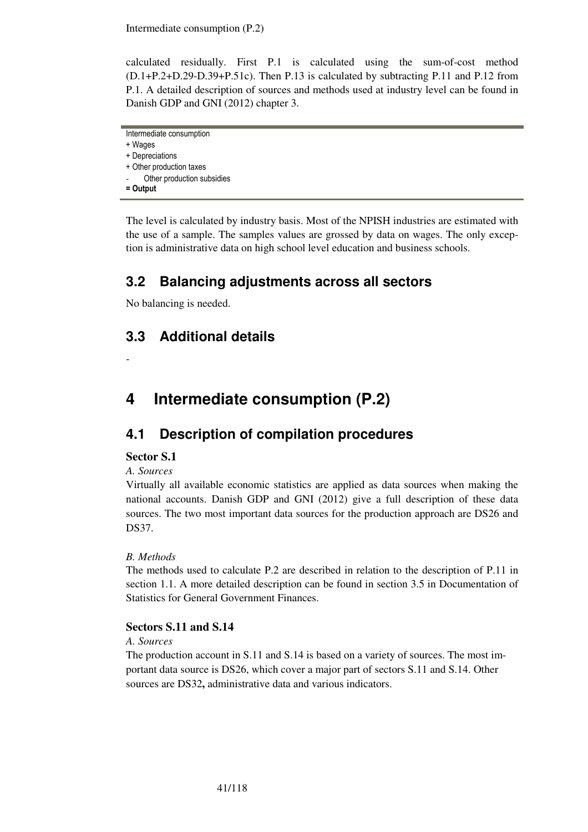Intermediate consumption (P.2)

calculated residually. First P.1 is calculated using the sum-of-cost method (D.1+P.2+D.29-D.39+P.51c). Then P.13 is calculated by subtracting P.11 and P.12 from P.1. A detailed description of sources and methods used at industry level can be found in Danish GDP and GNI (2012) chapter 3.

```
Intermediate consumption
```

```
+ Wages
```
+ Depreciations

+ Other production taxes Other production subsidies

```
= Output
```
The level is calculated by industry basis. Most of the NPISH industries are estimated with the use of a sample. The samples values are grossed by data on wages. The only exception is administrative data on high school level education and business schools.

# **3.2 Balancing adjustments across all sectors**

No balancing is needed.

# **3.3 Additional details**

-

# **4 Intermediate consumption (P.2)**

# **4.1 Description of compilation procedures**

## **Sector S.1**

## *A. Sources*

Virtually all available economic statistics are applied as data sources when making the national accounts. Danish GDP and GNI (2012) give a full description of these data sources. The two most important data sources for the production approach are DS26 and DS37.

## *B. Methods*

The methods used to calculate P.2 are described in relation to the description of P.11 in section 1.1. A more detailed description can be found in section 3.5 in Documentation of Statistics for General Government Finances.

## **Sectors S.11 and S.14**

## *A. Sources*

The production account in S.11 and S.14 is based on a variety of sources. The most important data source is DS26, which cover a major part of sectors S.11 and S.14. Other sources are DS32**,** administrative data and various indicators.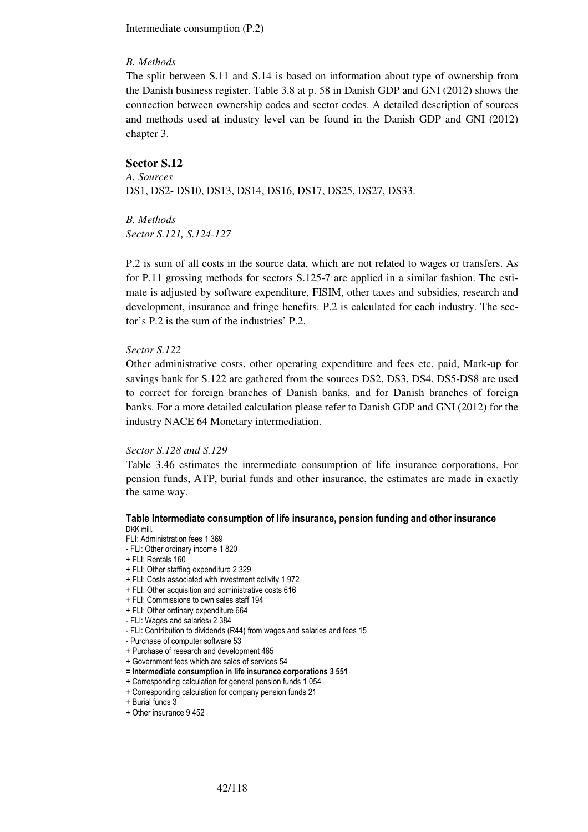Intermediate consumption (P.2)

#### *B. Methods*

The split between S.11 and S.14 is based on information about type of ownership from the Danish business register. Table 3.8 at p. 58 in Danish GDP and GNI (2012) shows the connection between ownership codes and sector codes. A detailed description of sources and methods used at industry level can be found in the Danish GDP and GNI (2012) chapter 3.

#### **Sector S.12**

*A. Sources*  DS1, DS2- DS10, DS13, DS14, DS16, DS17, DS25, DS27, DS33.

*B. Methods Sector S.121, S.124-127* 

P.2 is sum of all costs in the source data, which are not related to wages or transfers. As for P.11 grossing methods for sectors S.125-7 are applied in a similar fashion. The estimate is adjusted by software expenditure, FISIM, other taxes and subsidies, research and development, insurance and fringe benefits. P.2 is calculated for each industry. The sector's P.2 is the sum of the industries' P.2.

#### *Sector S.122*

Other administrative costs, other operating expenditure and fees etc. paid, Mark-up for savings bank for S.122 are gathered from the sources DS2, DS3, DS4. DS5-DS8 are used to correct for foreign branches of Danish banks, and for Danish branches of foreign banks. For a more detailed calculation please refer to Danish GDP and GNI (2012) for the industry NACE 64 Monetary intermediation.

#### *Sector S.128 and S.129*

Table 3.46 estimates the intermediate consumption of life insurance corporations. For pension funds, ATP, burial funds and other insurance, the estimates are made in exactly the same way.

#### Table Intermediate consumption of life insurance, pension funding and other insurance DKK mill.

- FLI: Administration fees 1 369
- FLI: Other ordinary income 1 820
- + FLI: Rentals 160
- + FLI: Other staffing expenditure 2 329
- + FLI: Costs associated with investment activity 1 972
- + FLI: Other acquisition and administrative costs 616
- + FLI: Commissions to own sales staff 194
- + FLI: Other ordinary expenditure 664
- FLI: Wages and salaries1 2 384
- FLI: Contribution to dividends (R44) from wages and salaries and fees 15
- Purchase of computer software 53
- + Purchase of research and development 465
- + Government fees which are sales of services 54
- = Intermediate consumption in life insurance corporations 3 551
- + Corresponding calculation for general pension funds 1 054
- + Corresponding calculation for company pension funds 21
- + Burial funds 3
- + Other insurance 9 452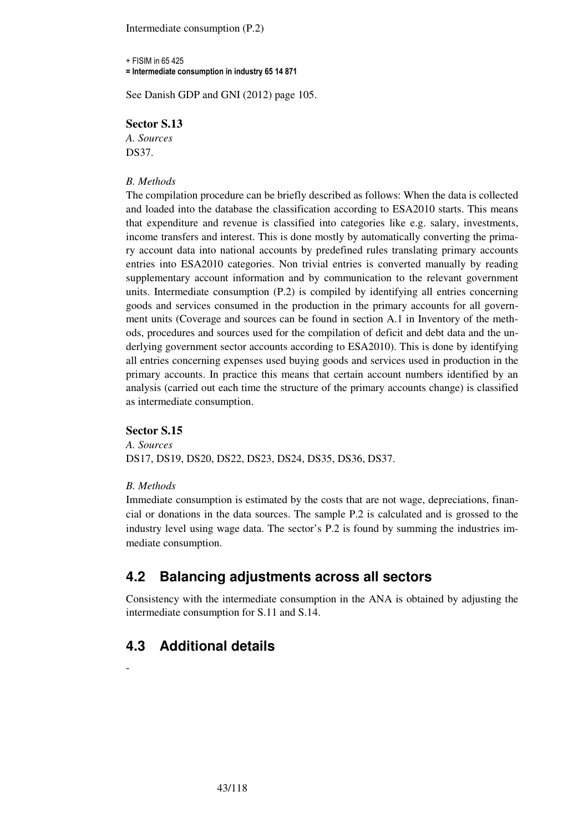Intermediate consumption (P.2)

+ FISIM in 65 425 = Intermediate consumption in industry 65 14 871

See Danish GDP and GNI (2012) page 105.

#### **Sector S.13**

*A. Sources*  DS37.

#### *B. Methods*

The compilation procedure can be briefly described as follows: When the data is collected and loaded into the database the classification according to ESA2010 starts. This means that expenditure and revenue is classified into categories like e.g. salary, investments, income transfers and interest. This is done mostly by automatically converting the primary account data into national accounts by predefined rules translating primary accounts entries into ESA2010 categories. Non trivial entries is converted manually by reading supplementary account information and by communication to the relevant government units. Intermediate consumption (P.2) is compiled by identifying all entries concerning goods and services consumed in the production in the primary accounts for all government units (Coverage and sources can be found in section A.1 in Inventory of the methods, procedures and sources used for the compilation of deficit and debt data and the underlying government sector accounts according to ESA2010). This is done by identifying all entries concerning expenses used buying goods and services used in production in the primary accounts. In practice this means that certain account numbers identified by an analysis (carried out each time the structure of the primary accounts change) is classified as intermediate consumption.

### **Sector S.15**

*A. Sources*  DS17, DS19, DS20, DS22, DS23, DS24, DS35, DS36, DS37.

#### *B. Methods*

Immediate consumption is estimated by the costs that are not wage, depreciations, financial or donations in the data sources. The sample P.2 is calculated and is grossed to the industry level using wage data. The sector's P.2 is found by summing the industries immediate consumption.

# **4.2 Balancing adjustments across all sectors**

Consistency with the intermediate consumption in the ANA is obtained by adjusting the intermediate consumption for S.11 and S.14.

# **4.3 Additional details**

-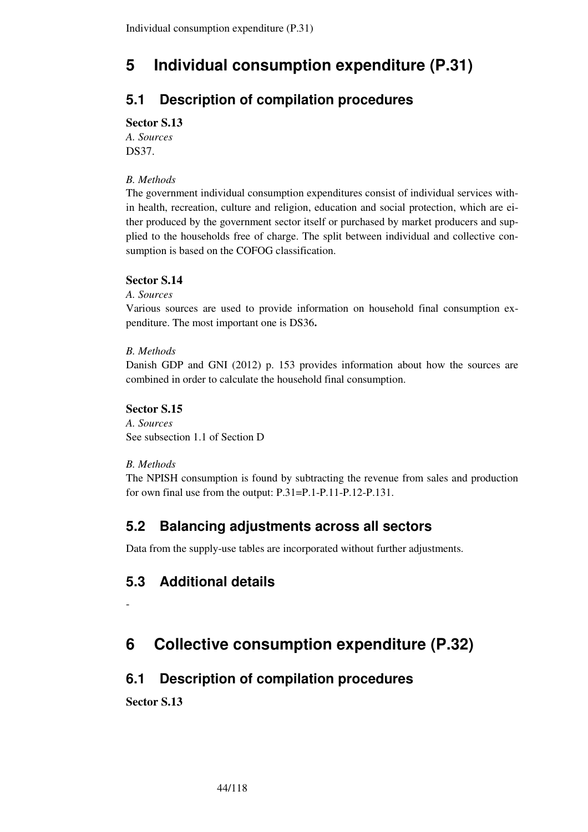# **5 Individual consumption expenditure (P.31)**

# **5.1 Description of compilation procedures**

## **Sector S.13**

*A. Sources*  DS37.

## *B. Methods*

The government individual consumption expenditures consist of individual services within health, recreation, culture and religion, education and social protection, which are either produced by the government sector itself or purchased by market producers and supplied to the households free of charge. The split between individual and collective consumption is based on the COFOG classification.

## **Sector S.14**

### *A. Sources*

Various sources are used to provide information on household final consumption expenditure. The most important one is DS36**.**

## *B. Methods*

Danish GDP and GNI (2012) p. 153 provides information about how the sources are combined in order to calculate the household final consumption.

## **Sector S.15**

*A. Sources*  See subsection 1.1 of Section D

## *B. Methods*

The NPISH consumption is found by subtracting the revenue from sales and production for own final use from the output: P.31=P.1-P.11-P.12-P.131.

# **5.2 Balancing adjustments across all sectors**

Data from the supply-use tables are incorporated without further adjustments.

# **5.3 Additional details**

# **6 Collective consumption expenditure (P.32)**

# **6.1 Description of compilation procedures**

**Sector S.13** 

-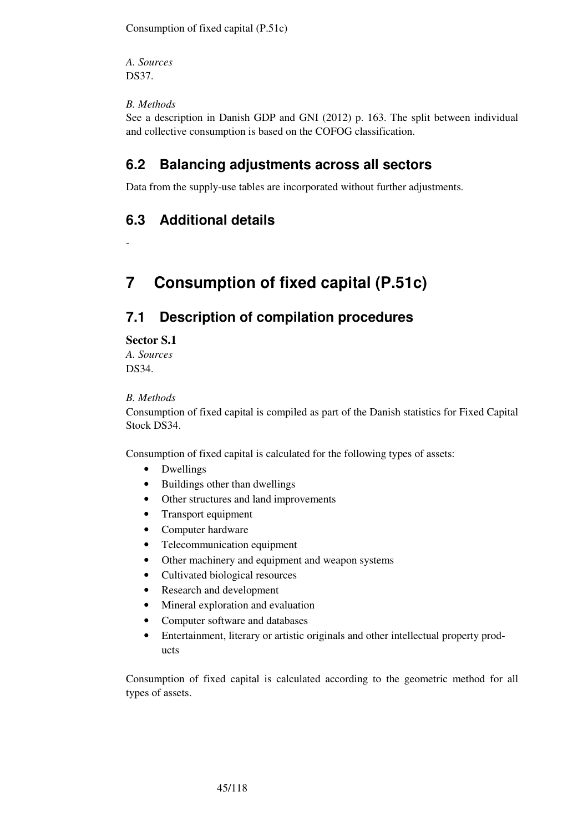Consumption of fixed capital (P.51c)

*A. Sources*  DS37.

## *B. Methods*

See a description in Danish GDP and GNI (2012) p. 163. The split between individual and collective consumption is based on the COFOG classification.

# **6.2 Balancing adjustments across all sectors**

Data from the supply-use tables are incorporated without further adjustments.

# **6.3 Additional details**

-

# **7 Consumption of fixed capital (P.51c)**

# **7.1 Description of compilation procedures**

**Sector S.1** 

*A. Sources*  DS34.

### *B. Methods*

Consumption of fixed capital is compiled as part of the Danish statistics for Fixed Capital Stock DS34.

Consumption of fixed capital is calculated for the following types of assets:

- Dwellings
- Buildings other than dwellings
- Other structures and land improvements
- Transport equipment
- Computer hardware
- Telecommunication equipment
- Other machinery and equipment and weapon systems
- Cultivated biological resources
- Research and development
- Mineral exploration and evaluation
- Computer software and databases
- Entertainment, literary or artistic originals and other intellectual property products

Consumption of fixed capital is calculated according to the geometric method for all types of assets.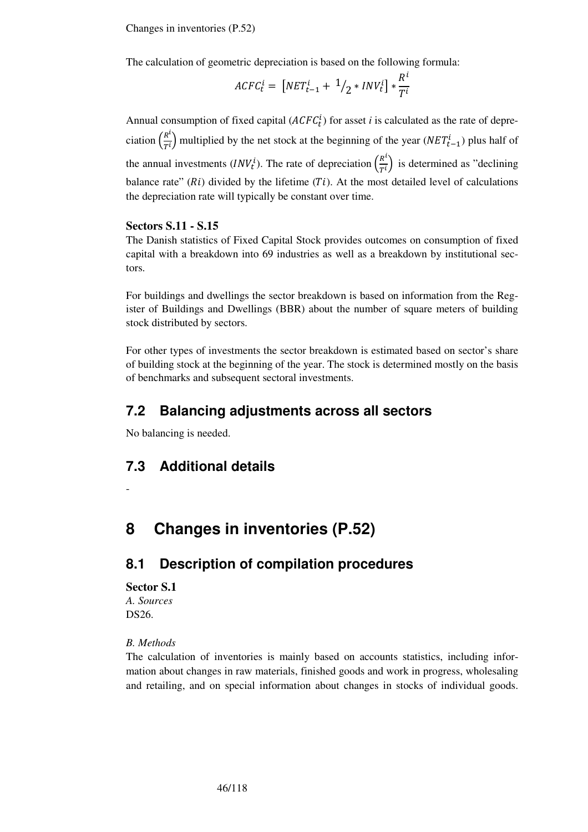Changes in inventories (P.52)

The calculation of geometric depreciation is based on the following formula:

$$
ACFC_t^i = \left[NET_{t-1}^i + \frac{1}{2} * INV_t^i\right] * \frac{R^i}{T^i}
$$

Annual consumption of fixed capital  $(ACFC_t^i)$  for asset *i* is calculated as the rate of depreciation  $\left(\frac{R^i}{T^i}\right)$  $\frac{R^2}{T^i}$ ) multiplied by the net stock at the beginning of the year ( $NET_{t-1}^i$ ) plus half of the annual investments  $(INV_t^i)$ . The rate of depreciation  $\left(\frac{R^i}{T^i}\right)$  $\frac{\pi}{T^i}$ ) is determined as "declining" balance rate" ( $Ri$ ) divided by the lifetime ( $Ti$ ). At the most detailed level of calculations the depreciation rate will typically be constant over time.

#### **Sectors S.11 - S.15**

The Danish statistics of Fixed Capital Stock provides outcomes on consumption of fixed capital with a breakdown into 69 industries as well as a breakdown by institutional sectors.

For buildings and dwellings the sector breakdown is based on information from the Register of Buildings and Dwellings (BBR) about the number of square meters of building stock distributed by sectors.

For other types of investments the sector breakdown is estimated based on sector's share of building stock at the beginning of the year. The stock is determined mostly on the basis of benchmarks and subsequent sectoral investments.

# **7.2 Balancing adjustments across all sectors**

No balancing is needed.

# **7.3 Additional details**

-

# **8 Changes in inventories (P.52)**

# **8.1 Description of compilation procedures**

#### **Sector S.1**

*A. Sources*  DS26.

*B. Methods* 

The calculation of inventories is mainly based on accounts statistics, including information about changes in raw materials, finished goods and work in progress, wholesaling and retailing, and on special information about changes in stocks of individual goods.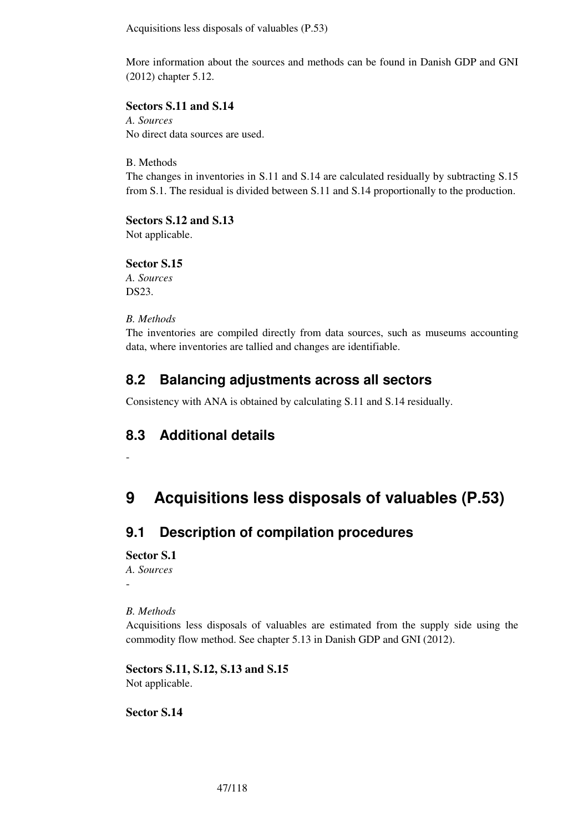Acquisitions less disposals of valuables (P.53)

More information about the sources and methods can be found in Danish GDP and GNI (2012) chapter 5.12.

## **Sectors S.11 and S.14**

*A. Sources*  No direct data sources are used.

B. Methods

The changes in inventories in S.11 and S.14 are calculated residually by subtracting S.15 from S.1. The residual is divided between S.11 and S.14 proportionally to the production.

**Sectors S.12 and S.13**  Not applicable.

**Sector S.15**  *A. Sources*  DS23.

## *B. Methods*

The inventories are compiled directly from data sources, such as museums accounting data, where inventories are tallied and changes are identifiable.

# **8.2 Balancing adjustments across all sectors**

Consistency with ANA is obtained by calculating S.11 and S.14 residually.

# **8.3 Additional details**

# **9 Acquisitions less disposals of valuables (P.53)**

# **9.1 Description of compilation procedures**

## **Sector S.1**

-

*A. Sources*  -

## *B. Methods*

Acquisitions less disposals of valuables are estimated from the supply side using the commodity flow method. See chapter 5.13 in Danish GDP and GNI (2012).

**Sectors S.11, S.12, S.13 and S.15**  Not applicable.

**Sector S.14**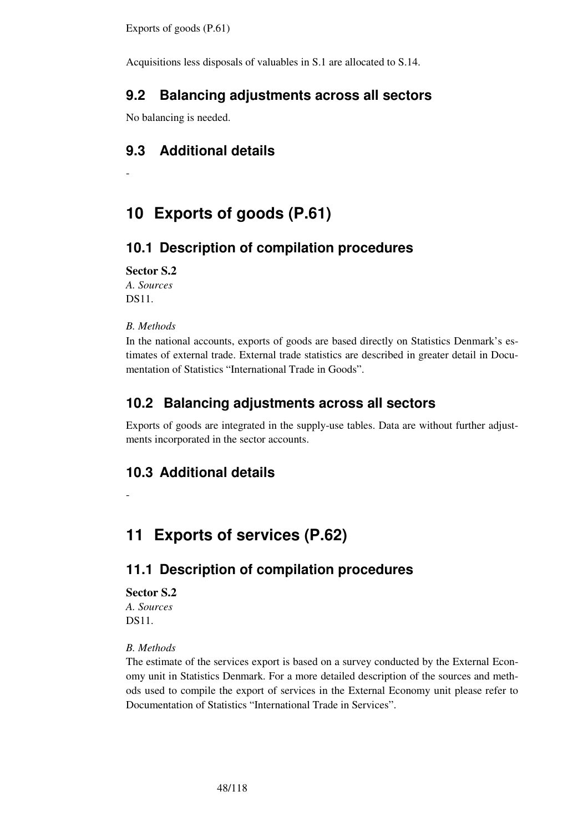Exports of goods (P.61)

Acquisitions less disposals of valuables in S.1 are allocated to S.14.

# **9.2 Balancing adjustments across all sectors**

No balancing is needed.

# **9.3 Additional details**

# **10 Exports of goods (P.61)**

# **10.1 Description of compilation procedures**

**Sector S.2** 

*A. Sources*  DS11.

-

## *B. Methods*

In the national accounts, exports of goods are based directly on Statistics Denmark's estimates of external trade. External trade statistics are described in greater detail in Documentation of Statistics "International Trade in Goods".

# **10.2 Balancing adjustments across all sectors**

Exports of goods are integrated in the supply-use tables. Data are without further adjustments incorporated in the sector accounts.

# **10.3 Additional details**

# **11 Exports of services (P.62)**

# **11.1 Description of compilation procedures**

#### **Sector S.2**

-

*A. Sources*  DS11.

## *B. Methods*

The estimate of the services export is based on a survey conducted by the External Economy unit in Statistics Denmark. For a more detailed description of the sources and methods used to compile the export of services in the External Economy unit please refer to Documentation of Statistics "International Trade in Services".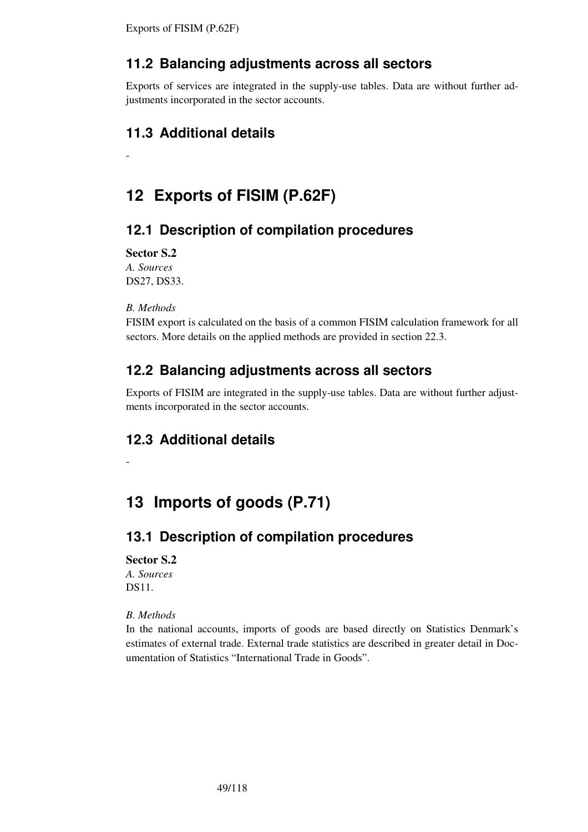# **11.2 Balancing adjustments across all sectors**

Exports of services are integrated in the supply-use tables. Data are without further adjustments incorporated in the sector accounts.

# **11.3 Additional details**

# **12 Exports of FISIM (P.62F)**

# **12.1 Description of compilation procedures**

**Sector S.2** 

-

*A. Sources*  DS27, DS33.

## *B. Methods*

FISIM export is calculated on the basis of a common FISIM calculation framework for all sectors. More details on the applied methods are provided in section 22.3.

# **12.2 Balancing adjustments across all sectors**

Exports of FISIM are integrated in the supply-use tables. Data are without further adjustments incorporated in the sector accounts.

# **12.3 Additional details**

# **13 Imports of goods (P.71)**

# **13.1 Description of compilation procedures**

## **Sector S.2**

-

*A. Sources*  DS11.

## *B. Methods*

In the national accounts, imports of goods are based directly on Statistics Denmark's estimates of external trade. External trade statistics are described in greater detail in Documentation of Statistics "International Trade in Goods".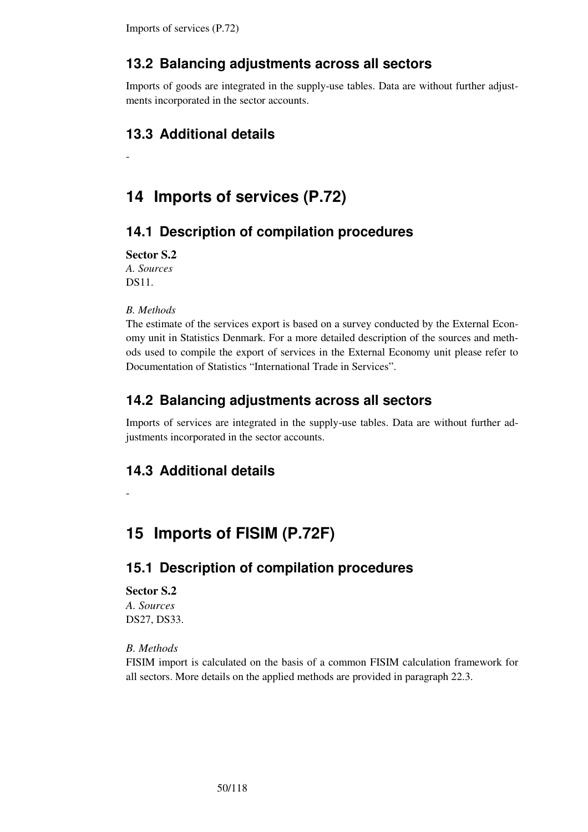# **13.2 Balancing adjustments across all sectors**

Imports of goods are integrated in the supply-use tables. Data are without further adjustments incorporated in the sector accounts.

# **13.3 Additional details**

# **14 Imports of services (P.72)**

# **14.1 Description of compilation procedures**

**Sector S.2** 

-

*A. Sources*  DS11.

*B. Methods* 

The estimate of the services export is based on a survey conducted by the External Economy unit in Statistics Denmark. For a more detailed description of the sources and methods used to compile the export of services in the External Economy unit please refer to Documentation of Statistics "International Trade in Services".

# **14.2 Balancing adjustments across all sectors**

Imports of services are integrated in the supply-use tables. Data are without further adjustments incorporated in the sector accounts.

# **14.3 Additional details**

-

# **15 Imports of FISIM (P.72F)**

# **15.1 Description of compilation procedures**

#### **Sector S.2**

*A. Sources*  DS27, DS33.

### *B. Methods*

FISIM import is calculated on the basis of a common FISIM calculation framework for all sectors. More details on the applied methods are provided in paragraph 22.3.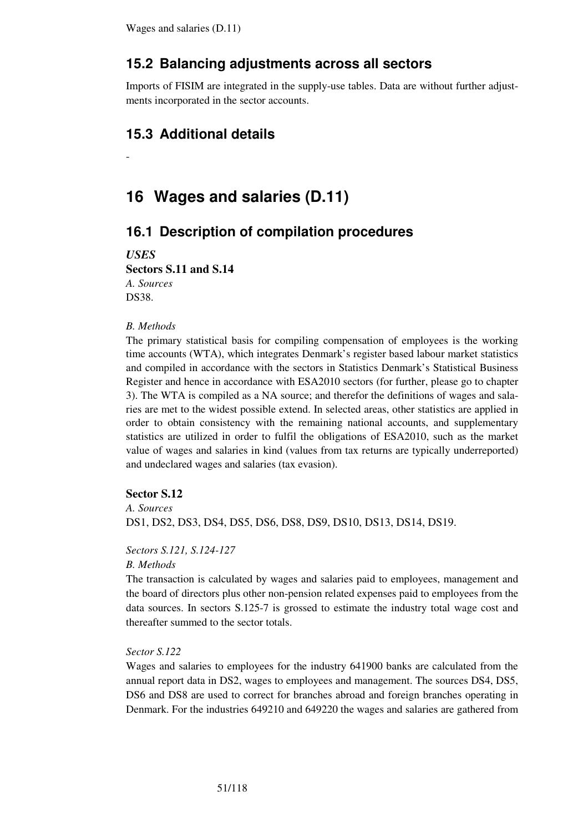## **15.2 Balancing adjustments across all sectors**

Imports of FISIM are integrated in the supply-use tables. Data are without further adjustments incorporated in the sector accounts.

## **15.3 Additional details**

# **16 Wages and salaries (D.11)**

## **16.1 Description of compilation procedures**

*USES* 

-

**Sectors S.11 and S.14** 

*A. Sources*  DS38.

#### *B. Methods*

The primary statistical basis for compiling compensation of employees is the working time accounts (WTA), which integrates Denmark's register based labour market statistics and compiled in accordance with the sectors in Statistics Denmark's Statistical Business Register and hence in accordance with ESA2010 sectors (for further, please go to chapter 3). The WTA is compiled as a NA source; and therefor the definitions of wages and salaries are met to the widest possible extend. In selected areas, other statistics are applied in order to obtain consistency with the remaining national accounts, and supplementary statistics are utilized in order to fulfil the obligations of ESA2010, such as the market value of wages and salaries in kind (values from tax returns are typically underreported) and undeclared wages and salaries (tax evasion).

#### **Sector S.12**

*A. Sources* 

DS1, DS2, DS3, DS4, DS5, DS6, DS8, DS9, DS10, DS13, DS14, DS19.

#### *Sectors S.121, S.124-127*

*B. Methods* 

The transaction is calculated by wages and salaries paid to employees, management and the board of directors plus other non-pension related expenses paid to employees from the data sources. In sectors S.125-7 is grossed to estimate the industry total wage cost and thereafter summed to the sector totals.

#### *Sector S.122*

Wages and salaries to employees for the industry 641900 banks are calculated from the annual report data in DS2, wages to employees and management. The sources DS4, DS5, DS6 and DS8 are used to correct for branches abroad and foreign branches operating in Denmark. For the industries 649210 and 649220 the wages and salaries are gathered from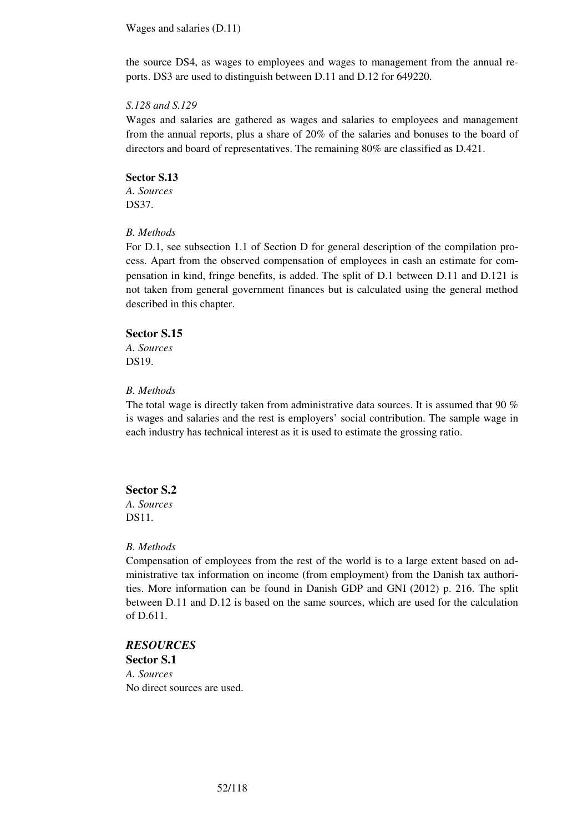Wages and salaries (D.11)

the source DS4, as wages to employees and wages to management from the annual reports. DS3 are used to distinguish between D.11 and D.12 for 649220.

#### *S.128 and S.129*

Wages and salaries are gathered as wages and salaries to employees and management from the annual reports, plus a share of 20% of the salaries and bonuses to the board of directors and board of representatives. The remaining 80% are classified as D.421.

**Sector S.13**  *A. Sources*  DS37.

### *B. Methods*

For D.1, see subsection 1.1 of Section D for general description of the compilation process. Apart from the observed compensation of employees in cash an estimate for compensation in kind, fringe benefits, is added. The split of D.1 between D.11 and D.121 is not taken from general government finances but is calculated using the general method described in this chapter.

#### **Sector S.15**

*A. Sources*  DS19.

#### *B. Methods*

The total wage is directly taken from administrative data sources. It is assumed that 90 % is wages and salaries and the rest is employers' social contribution. The sample wage in each industry has technical interest as it is used to estimate the grossing ratio.

#### **Sector S.2**

*A. Sources*  DS11.

#### *B. Methods*

Compensation of employees from the rest of the world is to a large extent based on administrative tax information on income (from employment) from the Danish tax authorities. More information can be found in Danish GDP and GNI (2012) p. 216. The split between D.11 and D.12 is based on the same sources, which are used for the calculation of D.611.

## *RESOURCES*

**Sector S.1**  *A. Sources*  No direct sources are used.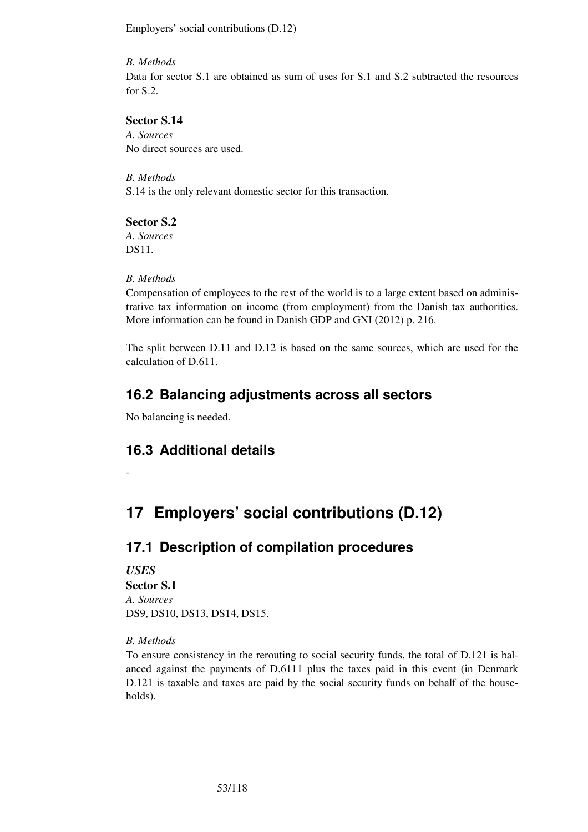Employers' social contributions (D.12)

### *B. Methods*

Data for sector S.1 are obtained as sum of uses for S.1 and S.2 subtracted the resources for S.2.

## **Sector S.14**

*A. Sources*  No direct sources are used.

*B. Methods*  S.14 is the only relevant domestic sector for this transaction.

# **Sector S.2**

*A. Sources*  DS11.

## *B. Methods*

Compensation of employees to the rest of the world is to a large extent based on administrative tax information on income (from employment) from the Danish tax authorities. More information can be found in Danish GDP and GNI (2012) p. 216.

The split between D.11 and D.12 is based on the same sources, which are used for the calculation of D.611.

# **16.2 Balancing adjustments across all sectors**

No balancing is needed.

# **16.3 Additional details**

**17 Employers' social contributions (D.12)** 

# **17.1 Description of compilation procedures**

*USES*  **Sector S.1**  *A. Sources*  DS9, DS10, DS13, DS14, DS15.

## *B. Methods*

-

To ensure consistency in the rerouting to social security funds, the total of D.121 is balanced against the payments of D.6111 plus the taxes paid in this event (in Denmark D.121 is taxable and taxes are paid by the social security funds on behalf of the households).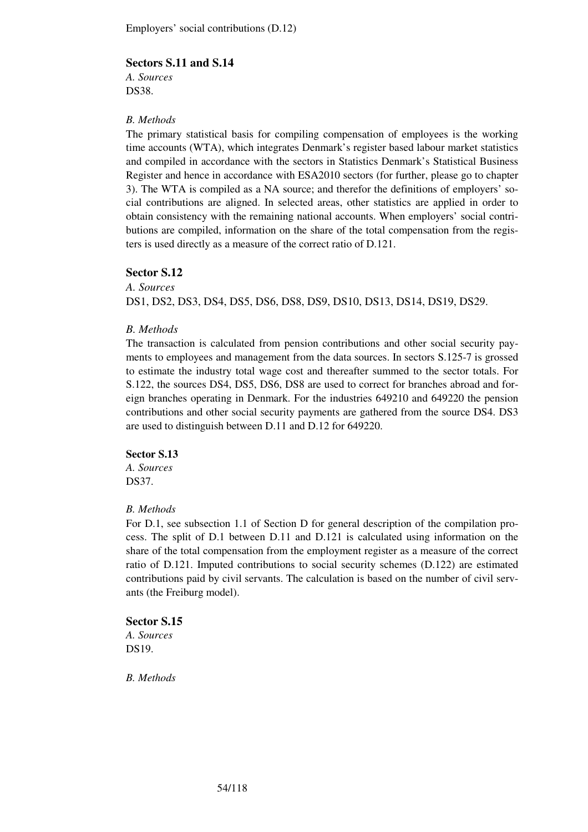### **Sectors S.11 and S.14**

*A. Sources*  DS38.

### *B. Methods*

The primary statistical basis for compiling compensation of employees is the working time accounts (WTA), which integrates Denmark's register based labour market statistics and compiled in accordance with the sectors in Statistics Denmark's Statistical Business Register and hence in accordance with ESA2010 sectors (for further, please go to chapter 3). The WTA is compiled as a NA source; and therefor the definitions of employers' social contributions are aligned. In selected areas, other statistics are applied in order to obtain consistency with the remaining national accounts. When employers' social contributions are compiled, information on the share of the total compensation from the registers is used directly as a measure of the correct ratio of D.121.

### **Sector S.12**

*A. Sources*  DS1, DS2, DS3, DS4, DS5, DS6, DS8, DS9, DS10, DS13, DS14, DS19, DS29.

### *B. Methods*

The transaction is calculated from pension contributions and other social security payments to employees and management from the data sources. In sectors S.125-7 is grossed to estimate the industry total wage cost and thereafter summed to the sector totals. For S.122, the sources DS4, DS5, DS6, DS8 are used to correct for branches abroad and foreign branches operating in Denmark. For the industries 649210 and 649220 the pension contributions and other social security payments are gathered from the source DS4. DS3 are used to distinguish between D.11 and D.12 for 649220.

#### **Sector S.13**

*A. Sources*  DS37.

### *B. Methods*

For D.1, see subsection 1.1 of Section D for general description of the compilation process. The split of D.1 between D.11 and D.121 is calculated using information on the share of the total compensation from the employment register as a measure of the correct ratio of D.121. Imputed contributions to social security schemes (D.122) are estimated contributions paid by civil servants. The calculation is based on the number of civil servants (the Freiburg model).

#### **Sector S.15**

*A. Sources*  DS19.

*B. Methods*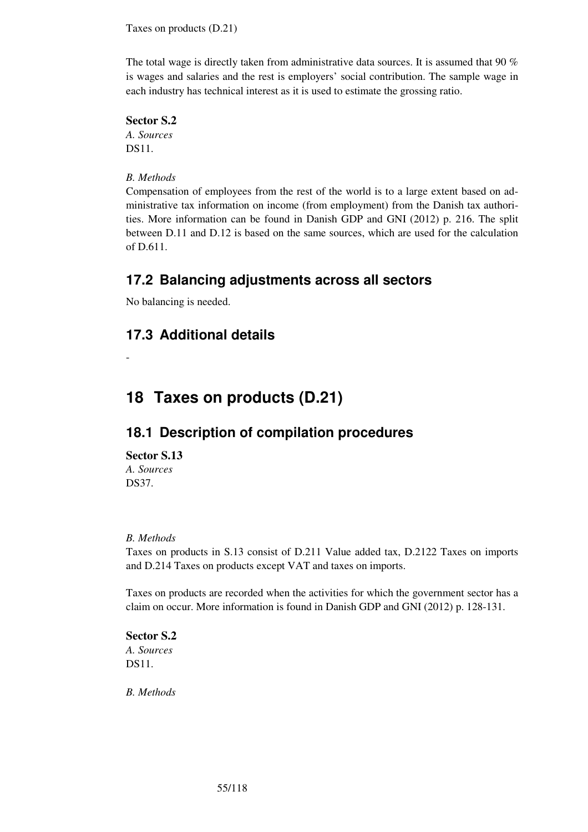Taxes on products (D.21)

The total wage is directly taken from administrative data sources. It is assumed that 90 % is wages and salaries and the rest is employers' social contribution. The sample wage in each industry has technical interest as it is used to estimate the grossing ratio.

## **Sector S.2**

*A. Sources*  DS11.

## *B. Methods*

Compensation of employees from the rest of the world is to a large extent based on administrative tax information on income (from employment) from the Danish tax authorities. More information can be found in Danish GDP and GNI (2012) p. 216. The split between D.11 and D.12 is based on the same sources, which are used for the calculation of D.611.

# **17.2 Balancing adjustments across all sectors**

No balancing is needed.

# **17.3 Additional details**

-

# **18 Taxes on products (D.21)**

# **18.1 Description of compilation procedures**

#### **Sector S.13**  *A. Sources*  DS37.

## *B. Methods*

Taxes on products in S.13 consist of D.211 Value added tax, D.2122 Taxes on imports and D.214 Taxes on products except VAT and taxes on imports.

Taxes on products are recorded when the activities for which the government sector has a claim on occur. More information is found in Danish GDP and GNI (2012) p. 128-131.

**Sector S.2**  *A. Sources*  DS11.

*B. Methods*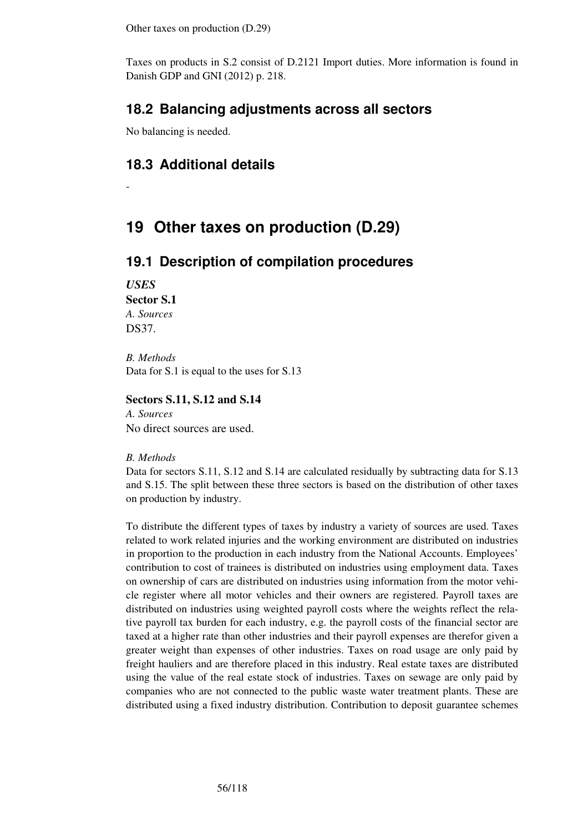Other taxes on production (D.29)

Taxes on products in S.2 consist of D.2121 Import duties. More information is found in Danish GDP and GNI (2012) p. 218.

# **18.2 Balancing adjustments across all sectors**

No balancing is needed.

# **18.3 Additional details**

# **19 Other taxes on production (D.29)**

## **19.1 Description of compilation procedures**

*USES*  **Sector S.1**  *A. Sources*  DS37.

-

*B. Methods*  Data for S.1 is equal to the uses for S.13

## **Sectors S.11, S.12 and S.14**

*A. Sources*  No direct sources are used.

#### *B. Methods*

Data for sectors S.11, S.12 and S.14 are calculated residually by subtracting data for S.13 and S.15. The split between these three sectors is based on the distribution of other taxes on production by industry.

To distribute the different types of taxes by industry a variety of sources are used. Taxes related to work related injuries and the working environment are distributed on industries in proportion to the production in each industry from the National Accounts. Employees' contribution to cost of trainees is distributed on industries using employment data. Taxes on ownership of cars are distributed on industries using information from the motor vehicle register where all motor vehicles and their owners are registered. Payroll taxes are distributed on industries using weighted payroll costs where the weights reflect the relative payroll tax burden for each industry, e.g. the payroll costs of the financial sector are taxed at a higher rate than other industries and their payroll expenses are therefor given a greater weight than expenses of other industries. Taxes on road usage are only paid by freight hauliers and are therefore placed in this industry. Real estate taxes are distributed using the value of the real estate stock of industries. Taxes on sewage are only paid by companies who are not connected to the public waste water treatment plants. These are distributed using a fixed industry distribution. Contribution to deposit guarantee schemes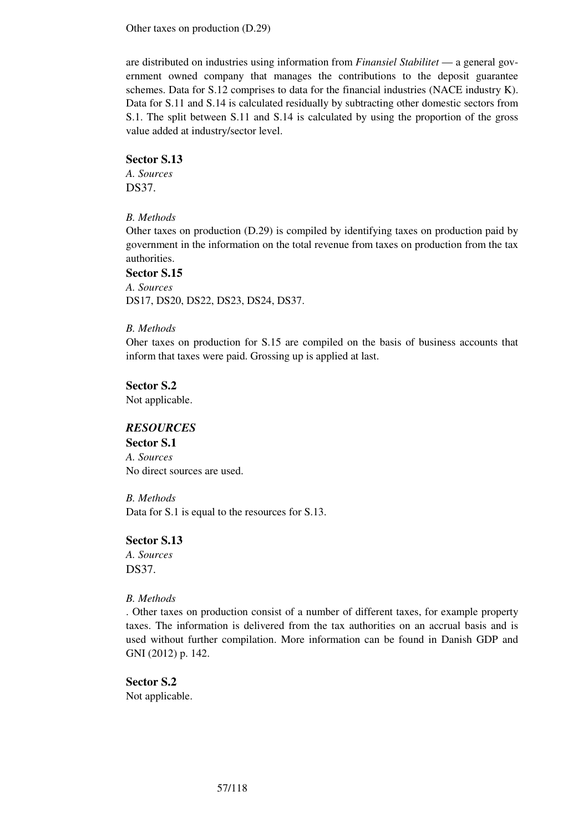Other taxes on production (D.29)

are distributed on industries using information from *Finansiel Stabilitet* — a general government owned company that manages the contributions to the deposit guarantee schemes. Data for S.12 comprises to data for the financial industries (NACE industry K). Data for S.11 and S.14 is calculated residually by subtracting other domestic sectors from S.1. The split between S.11 and S.14 is calculated by using the proportion of the gross value added at industry/sector level.

### **Sector S.13**

*A. Sources*  DS37.

### *B. Methods*

Other taxes on production (D.29) is compiled by identifying taxes on production paid by government in the information on the total revenue from taxes on production from the tax authorities.

#### **Sector S.15**

*A. Sources*  DS17, DS20, DS22, DS23, DS24, DS37.

### *B. Methods*

Oher taxes on production for S.15 are compiled on the basis of business accounts that inform that taxes were paid. Grossing up is applied at last.

**Sector S.2**  Not applicable.

## *RESOURCES*

**Sector S.1**  *A. Sources*  No direct sources are used.

*B. Methods*  Data for S.1 is equal to the resources for S.13.

## **Sector S.13**

*A. Sources*  DS37.

#### *B. Methods*

. Other taxes on production consist of a number of different taxes, for example property taxes. The information is delivered from the tax authorities on an accrual basis and is used without further compilation. More information can be found in Danish GDP and GNI (2012) p. 142.

**Sector S.2**  Not applicable.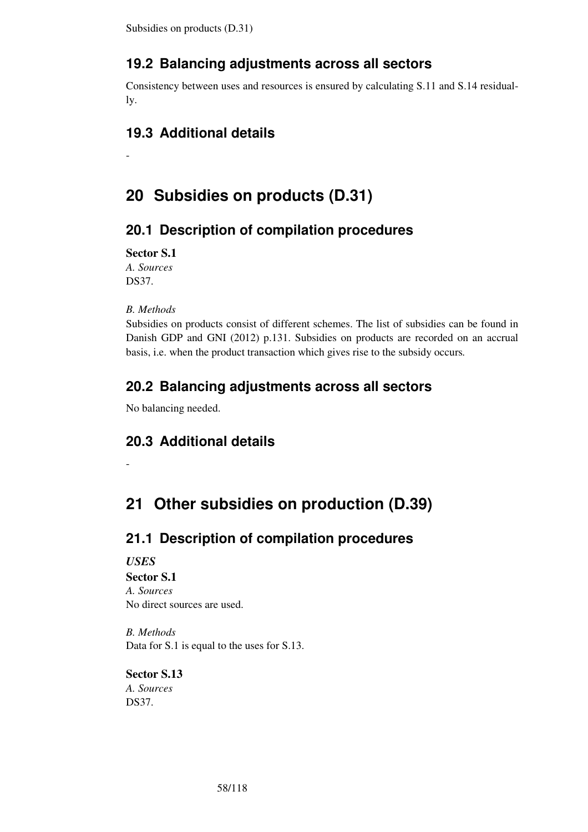Subsidies on products (D.31)

# **19.2 Balancing adjustments across all sectors**

Consistency between uses and resources is ensured by calculating S.11 and S.14 residually.

# **19.3 Additional details**

# **20 Subsidies on products (D.31)**

# **20.1 Description of compilation procedures**

**Sector S.1** 

-

*A. Sources*  DS37.

*B. Methods* 

-

Subsidies on products consist of different schemes. The list of subsidies can be found in Danish GDP and GNI (2012) p.131. Subsidies on products are recorded on an accrual basis, i.e. when the product transaction which gives rise to the subsidy occurs*.* 

# **20.2 Balancing adjustments across all sectors**

No balancing needed.

# **20.3 Additional details**

# **21 Other subsidies on production (D.39)**

# **21.1 Description of compilation procedures**

## *USES*  **Sector S.1**  *A. Sources*  No direct sources are used.

*B. Methods*  Data for S.1 is equal to the uses for S.13.

# **Sector S.13**

*A. Sources*  DS37.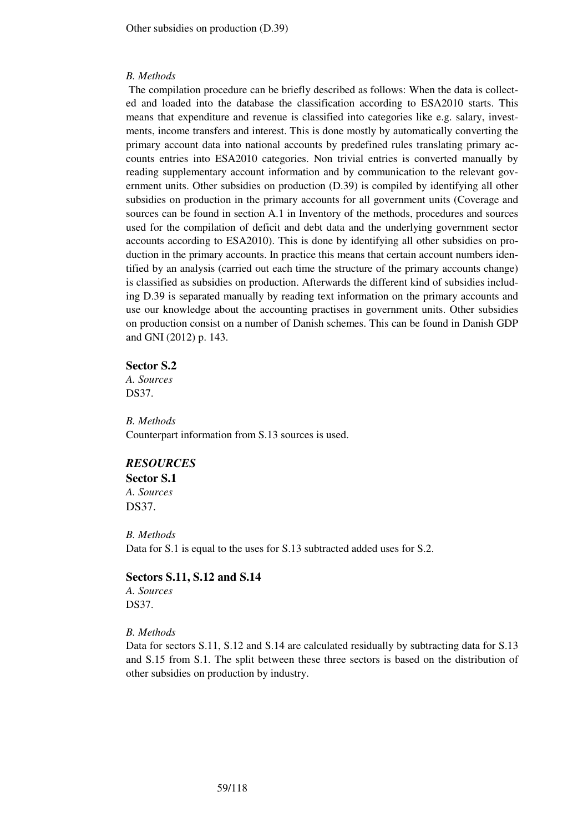#### *B. Methods*

 The compilation procedure can be briefly described as follows: When the data is collected and loaded into the database the classification according to ESA2010 starts. This means that expenditure and revenue is classified into categories like e.g. salary, investments, income transfers and interest. This is done mostly by automatically converting the primary account data into national accounts by predefined rules translating primary accounts entries into ESA2010 categories. Non trivial entries is converted manually by reading supplementary account information and by communication to the relevant government units. Other subsidies on production (D.39) is compiled by identifying all other subsidies on production in the primary accounts for all government units (Coverage and sources can be found in section A.1 in Inventory of the methods, procedures and sources used for the compilation of deficit and debt data and the underlying government sector accounts according to ESA2010). This is done by identifying all other subsidies on production in the primary accounts. In practice this means that certain account numbers identified by an analysis (carried out each time the structure of the primary accounts change) is classified as subsidies on production. Afterwards the different kind of subsidies including D.39 is separated manually by reading text information on the primary accounts and use our knowledge about the accounting practises in government units. Other subsidies on production consist on a number of Danish schemes. This can be found in Danish GDP and GNI (2012) p. 143.

#### **Sector S.2**

*A. Sources*  DS37.

*B. Methods*  Counterpart information from S.13 sources is used.

#### *RESOURCES*

**Sector S.1** 

*A. Sources*  DS37.

*B. Methods*  Data for S.1 is equal to the uses for S.13 subtracted added uses for S.2.

# **Sectors S.11, S.12 and S.14**

*A. Sources*  DS37.

*B. Methods* 

Data for sectors S.11, S.12 and S.14 are calculated residually by subtracting data for S.13 and S.15 from S.1. The split between these three sectors is based on the distribution of other subsidies on production by industry.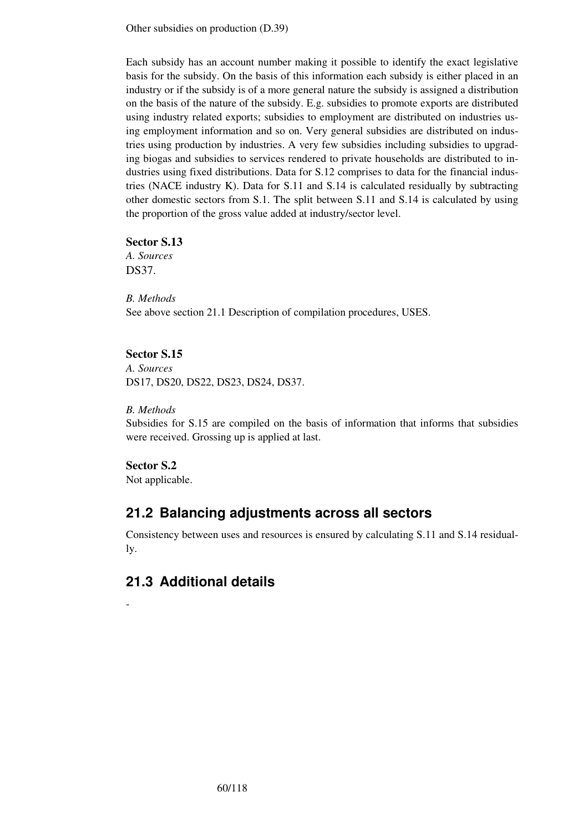Other subsidies on production (D.39)

Each subsidy has an account number making it possible to identify the exact legislative basis for the subsidy. On the basis of this information each subsidy is either placed in an industry or if the subsidy is of a more general nature the subsidy is assigned a distribution on the basis of the nature of the subsidy. E.g. subsidies to promote exports are distributed using industry related exports; subsidies to employment are distributed on industries using employment information and so on. Very general subsidies are distributed on industries using production by industries. A very few subsidies including subsidies to upgrading biogas and subsidies to services rendered to private households are distributed to industries using fixed distributions. Data for S.12 comprises to data for the financial industries (NACE industry K). Data for S.11 and S.14 is calculated residually by subtracting other domestic sectors from S.1. The split between S.11 and S.14 is calculated by using the proportion of the gross value added at industry/sector level.

#### **Sector S.13**

*A. Sources*  DS37.

*B. Methods*  See above section 21.1 Description of compilation procedures, USES.

## **Sector S.15**

*A. Sources*  DS17, DS20, DS22, DS23, DS24, DS37.

#### *B. Methods*

Subsidies for S.15 are compiled on the basis of information that informs that subsidies were received. Grossing up is applied at last.

#### **Sector S.2**

-

Not applicable.

# **21.2 Balancing adjustments across all sectors**

Consistency between uses and resources is ensured by calculating S.11 and S.14 residually.

# **21.3 Additional details**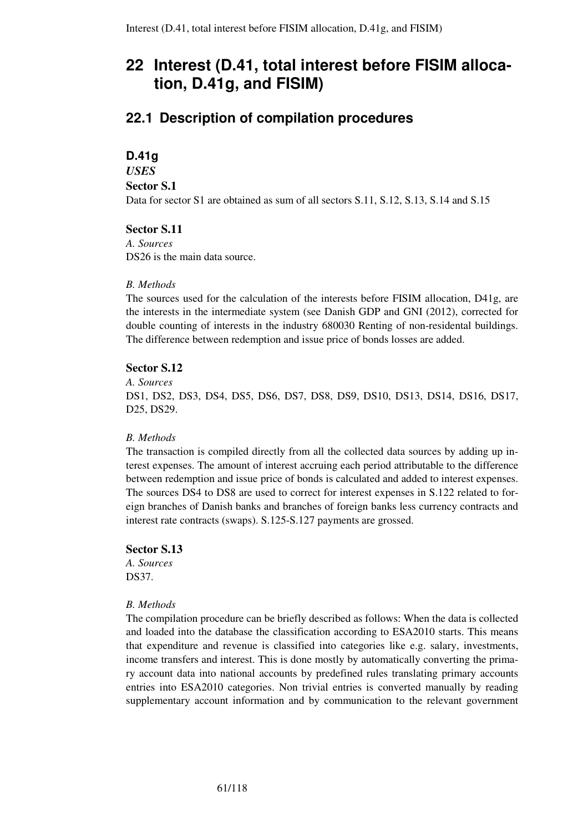# **22.1 Description of compilation procedures**

## **D.41g**

## *USES*

## **Sector S.1**

Data for sector S1 are obtained as sum of all sectors S.11, S.12, S.13, S.14 and S.15

## **Sector S.11**

*A. Sources*  DS<sub>26</sub> is the main data source.

## *B. Methods*

The sources used for the calculation of the interests before FISIM allocation, D41g, are the interests in the intermediate system (see Danish GDP and GNI (2012), corrected for double counting of interests in the industry 680030 Renting of non-residental buildings. The difference between redemption and issue price of bonds losses are added.

## **Sector S.12**

*A. Sources* 

DS1, DS2, DS3, DS4, DS5, DS6, DS7, DS8, DS9, DS10, DS13, DS14, DS16, DS17, D25, DS29.

## *B. Methods*

The transaction is compiled directly from all the collected data sources by adding up interest expenses. The amount of interest accruing each period attributable to the difference between redemption and issue price of bonds is calculated and added to interest expenses. The sources DS4 to DS8 are used to correct for interest expenses in S.122 related to foreign branches of Danish banks and branches of foreign banks less currency contracts and interest rate contracts (swaps). S.125-S.127 payments are grossed.

## **Sector S.13**

*A. Sources*  DS37.

## *B. Methods*

The compilation procedure can be briefly described as follows: When the data is collected and loaded into the database the classification according to ESA2010 starts. This means that expenditure and revenue is classified into categories like e.g. salary, investments, income transfers and interest. This is done mostly by automatically converting the primary account data into national accounts by predefined rules translating primary accounts entries into ESA2010 categories. Non trivial entries is converted manually by reading supplementary account information and by communication to the relevant government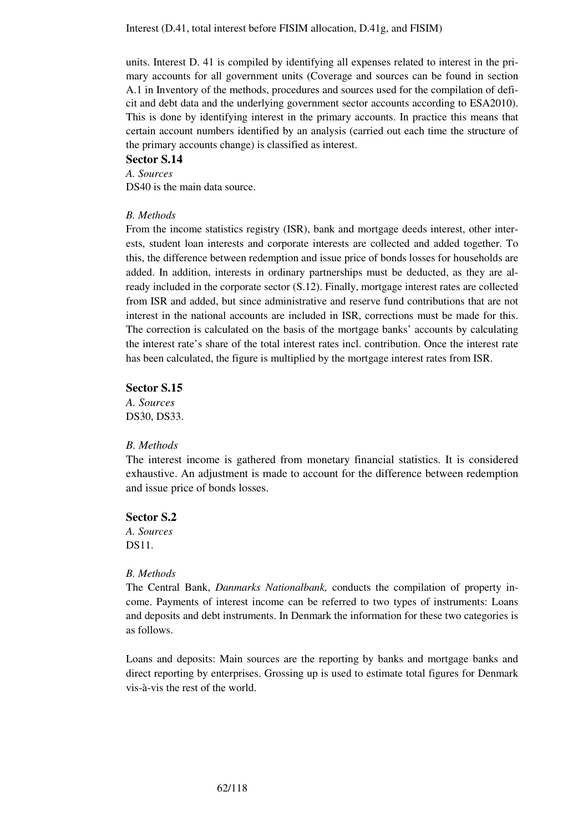units. Interest D. 41 is compiled by identifying all expenses related to interest in the primary accounts for all government units (Coverage and sources can be found in section A.1 in Inventory of the methods, procedures and sources used for the compilation of deficit and debt data and the underlying government sector accounts according to ESA2010). This is done by identifying interest in the primary accounts. In practice this means that certain account numbers identified by an analysis (carried out each time the structure of the primary accounts change) is classified as interest.

#### **Sector S.14**

*A. Sources*  DS40 is the main data source.

### *B. Methods*

From the income statistics registry (ISR), bank and mortgage deeds interest, other interests, student loan interests and corporate interests are collected and added together. To this, the difference between redemption and issue price of bonds losses for households are added. In addition, interests in ordinary partnerships must be deducted, as they are already included in the corporate sector (S.12). Finally, mortgage interest rates are collected from ISR and added, but since administrative and reserve fund contributions that are not interest in the national accounts are included in ISR, corrections must be made for this. The correction is calculated on the basis of the mortgage banks' accounts by calculating the interest rate's share of the total interest rates incl. contribution. Once the interest rate has been calculated, the figure is multiplied by the mortgage interest rates from ISR.

#### **Sector S.15**

*A. Sources*  DS30, DS33.

#### *B. Methods*

The interest income is gathered from monetary financial statistics. It is considered exhaustive. An adjustment is made to account for the difference between redemption and issue price of bonds losses.

#### **Sector S.2**

*A. Sources*  DS11.

#### *B. Methods*

The Central Bank, *Danmarks Nationalbank,* conducts the compilation of property income. Payments of interest income can be referred to two types of instruments: Loans and deposits and debt instruments. In Denmark the information for these two categories is as follows.

Loans and deposits: Main sources are the reporting by banks and mortgage banks and direct reporting by enterprises. Grossing up is used to estimate total figures for Denmark vis-à-vis the rest of the world.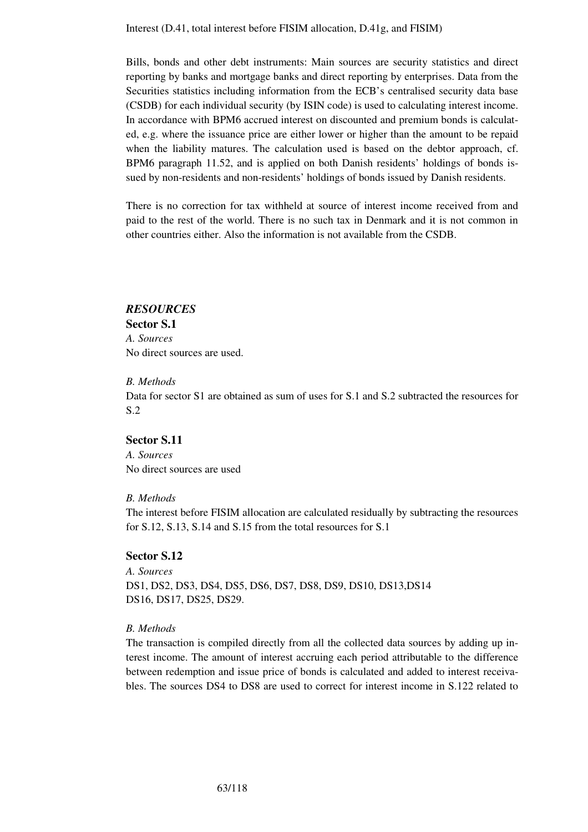Bills, bonds and other debt instruments: Main sources are security statistics and direct reporting by banks and mortgage banks and direct reporting by enterprises. Data from the Securities statistics including information from the ECB's centralised security data base (CSDB) for each individual security (by ISIN code) is used to calculating interest income. In accordance with BPM6 accrued interest on discounted and premium bonds is calculated, e.g. where the issuance price are either lower or higher than the amount to be repaid when the liability matures. The calculation used is based on the debtor approach, cf. BPM6 paragraph 11.52, and is applied on both Danish residents' holdings of bonds issued by non-residents and non-residents' holdings of bonds issued by Danish residents.

There is no correction for tax withheld at source of interest income received from and paid to the rest of the world. There is no such tax in Denmark and it is not common in other countries either. Also the information is not available from the CSDB.

## *RESOURCES*

**Sector S.1**  *A. Sources*  No direct sources are used.

#### *B. Methods*

Data for sector S1 are obtained as sum of uses for S.1 and S.2 subtracted the resources for S.2

### **Sector S.11**

*A. Sources*  No direct sources are used

#### *B. Methods*

The interest before FISIM allocation are calculated residually by subtracting the resources for S.12, S.13, S.14 and S.15 from the total resources for S.1

### **Sector S.12**

*A. Sources*  DS1, DS2, DS3, DS4, DS5, DS6, DS7, DS8, DS9, DS10, DS13,DS14 DS16, DS17, DS25, DS29.

#### *B. Methods*

The transaction is compiled directly from all the collected data sources by adding up interest income. The amount of interest accruing each period attributable to the difference between redemption and issue price of bonds is calculated and added to interest receivables. The sources DS4 to DS8 are used to correct for interest income in S.122 related to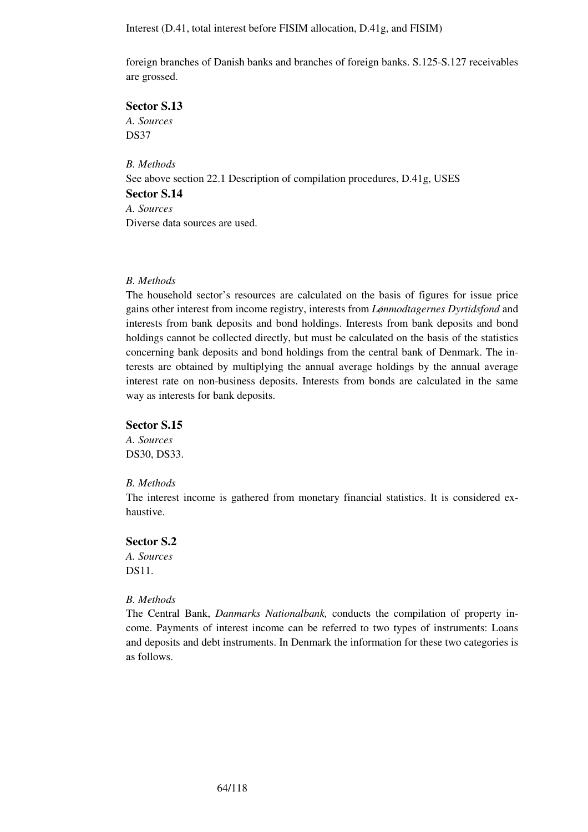foreign branches of Danish banks and branches of foreign banks. S.125-S.127 receivables are grossed.

## **Sector S.13**

*A. Sources*  DS37

*B. Methods*  See above section 22.1 Description of compilation procedures, D.41g, USES **Sector S.14**  *A. Sources*  Diverse data sources are used.

#### *B. Methods*

The household sector's resources are calculated on the basis of figures for issue price gains other interest from income registry, interests from *Lønmodtagernes Dyrtidsfond* and interests from bank deposits and bond holdings. Interests from bank deposits and bond holdings cannot be collected directly, but must be calculated on the basis of the statistics concerning bank deposits and bond holdings from the central bank of Denmark. The interests are obtained by multiplying the annual average holdings by the annual average interest rate on non-business deposits. Interests from bonds are calculated in the same way as interests for bank deposits.

#### **Sector S.15**

*A. Sources*  DS30, DS33.

#### *B. Methods*

The interest income is gathered from monetary financial statistics. It is considered exhaustive.

#### **Sector S.2**

*A. Sources*  DS11.

### *B. Methods*

The Central Bank, *Danmarks Nationalbank,* conducts the compilation of property income. Payments of interest income can be referred to two types of instruments: Loans and deposits and debt instruments. In Denmark the information for these two categories is as follows.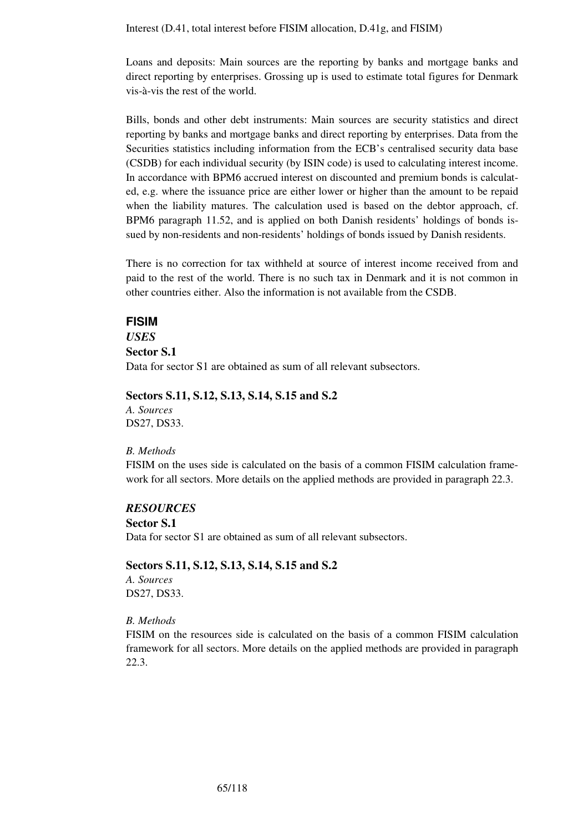Loans and deposits: Main sources are the reporting by banks and mortgage banks and direct reporting by enterprises. Grossing up is used to estimate total figures for Denmark vis-à-vis the rest of the world.

Bills, bonds and other debt instruments: Main sources are security statistics and direct reporting by banks and mortgage banks and direct reporting by enterprises. Data from the Securities statistics including information from the ECB's centralised security data base (CSDB) for each individual security (by ISIN code) is used to calculating interest income. In accordance with BPM6 accrued interest on discounted and premium bonds is calculated, e.g. where the issuance price are either lower or higher than the amount to be repaid when the liability matures. The calculation used is based on the debtor approach, cf. BPM6 paragraph 11.52, and is applied on both Danish residents' holdings of bonds issued by non-residents and non-residents' holdings of bonds issued by Danish residents.

There is no correction for tax withheld at source of interest income received from and paid to the rest of the world. There is no such tax in Denmark and it is not common in other countries either. Also the information is not available from the CSDB.

#### **FISIM**

*USES*  **Sector S.1**  Data for sector S1 are obtained as sum of all relevant subsectors.

### **Sectors S.11, S.12, S.13, S.14, S.15 and S.2**

*A. Sources*  DS27, DS33.

#### *B. Methods*

FISIM on the uses side is calculated on the basis of a common FISIM calculation framework for all sectors. More details on the applied methods are provided in paragraph 22.3.

### *RESOURCES*

#### **Sector S.1**

Data for sector S1 are obtained as sum of all relevant subsectors.

#### **Sectors S.11, S.12, S.13, S.14, S.15 and S.2**

*A. Sources*  DS27, DS33.

#### *B. Methods*

FISIM on the resources side is calculated on the basis of a common FISIM calculation framework for all sectors. More details on the applied methods are provided in paragraph 22.3.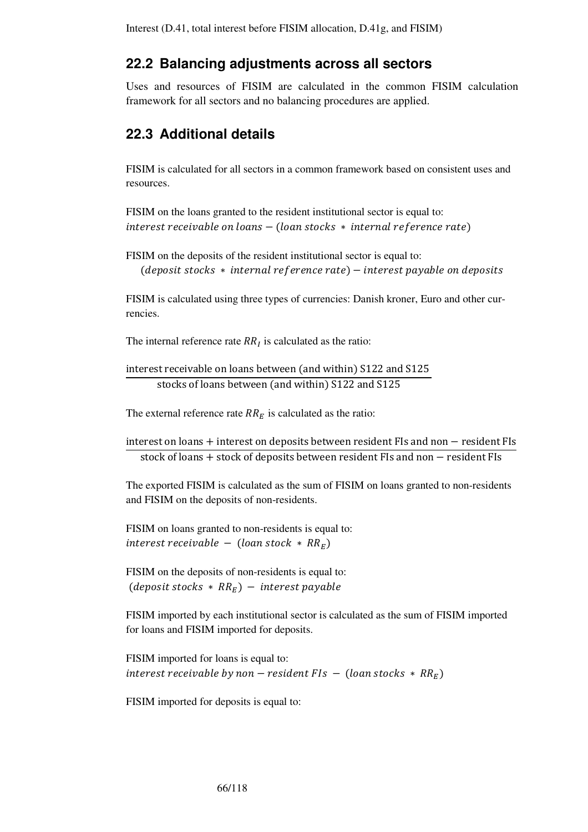# **22.2 Balancing adjustments across all sectors**

Uses and resources of FISIM are calculated in the common FISIM calculation framework for all sectors and no balancing procedures are applied.

# **22.3 Additional details**

FISIM is calculated for all sectors in a common framework based on consistent uses and resources.

```
FISIM on the loans granted to the resident institutional sector is equal to: 
interest \, receive \, table \, on \, loans - (loan \, stocks * internal \, reference \, rate)
```

```
FISIM on the deposits of the resident institutional sector is equal to: 
   (deposit stocks * internal reference rate) – interest payable on deposits
```
FISIM is calculated using three types of currencies: Danish kroner, Euro and other currencies.

The internal reference rate  $RR<sub>I</sub>$  is calculated as the ratio:

```
interest receivable on loans between (and within) S122 and S125
      stocks of loans between (and within) S122 and S125
```
The external reference rate  $RR<sub>E</sub>$  is calculated as the ratio:

 $interest$  on loans + interest on deposits between resident FIs and non  $-$  resident FIs stock of loans + stock of deposits between resident FIs and non  $-$  resident FIs

The exported FISIM is calculated as the sum of FISIM on loans granted to non-residents and FISIM on the deposits of non-residents.

FISIM on loans granted to non-residents is equal to: interest receivable  $-$  (loan stock  $*$  RR<sub>E</sub>)

FISIM on the deposits of non-residents is equal to: (deposit stocks  $*$  RR<sub>E</sub>) – interest payable

FISIM imported by each institutional sector is calculated as the sum of FISIM imported for loans and FISIM imported for deposits.

FISIM imported for loans is equal to: interest receivable by non – resident FIs – (loan stocks  $*$  RR<sub>E</sub>)

FISIM imported for deposits is equal to: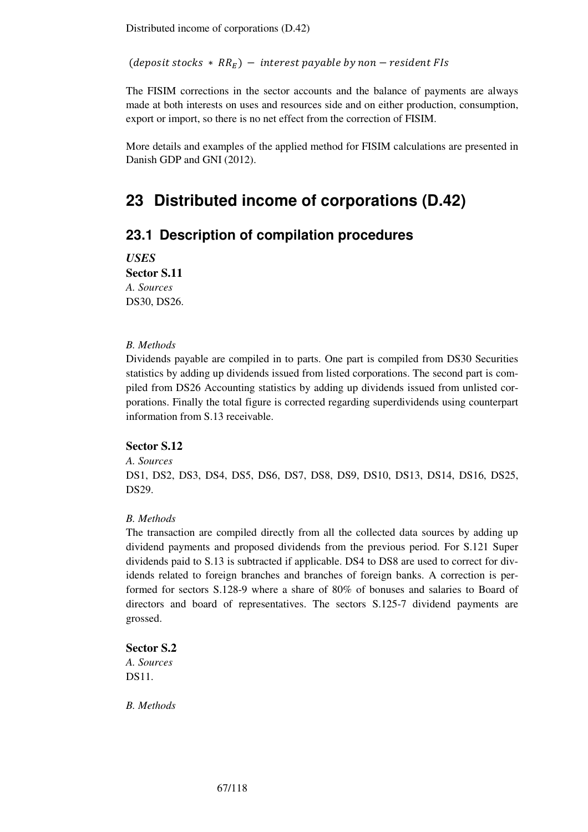Distributed income of corporations (D.42)

(deposit stocks  $* RR_F$ ) – interest payable by non – resident FIs

The FISIM corrections in the sector accounts and the balance of payments are always made at both interests on uses and resources side and on either production, consumption, export or import, so there is no net effect from the correction of FISIM.

More details and examples of the applied method for FISIM calculations are presented in Danish GDP and GNI (2012).

# **23 Distributed income of corporations (D.42)**

# **23.1 Description of compilation procedures**

*USES*

**Sector S.11**  *A. Sources*  DS30, DS26.

### *B. Methods*

Dividends payable are compiled in to parts. One part is compiled from DS30 Securities statistics by adding up dividends issued from listed corporations. The second part is compiled from DS26 Accounting statistics by adding up dividends issued from unlisted corporations. Finally the total figure is corrected regarding superdividends using counterpart information from S.13 receivable.

### **Sector S.12**

#### *A. Sources*

DS1, DS2, DS3, DS4, DS5, DS6, DS7, DS8, DS9, DS10, DS13, DS14, DS16, DS25, DS29.

#### *B. Methods*

The transaction are compiled directly from all the collected data sources by adding up dividend payments and proposed dividends from the previous period. For S.121 Super dividends paid to S.13 is subtracted if applicable. DS4 to DS8 are used to correct for dividends related to foreign branches and branches of foreign banks. A correction is performed for sectors S.128-9 where a share of 80% of bonuses and salaries to Board of directors and board of representatives. The sectors S.125-7 dividend payments are grossed.

## **Sector S.2**

*A. Sources*  DS11.

*B. Methods*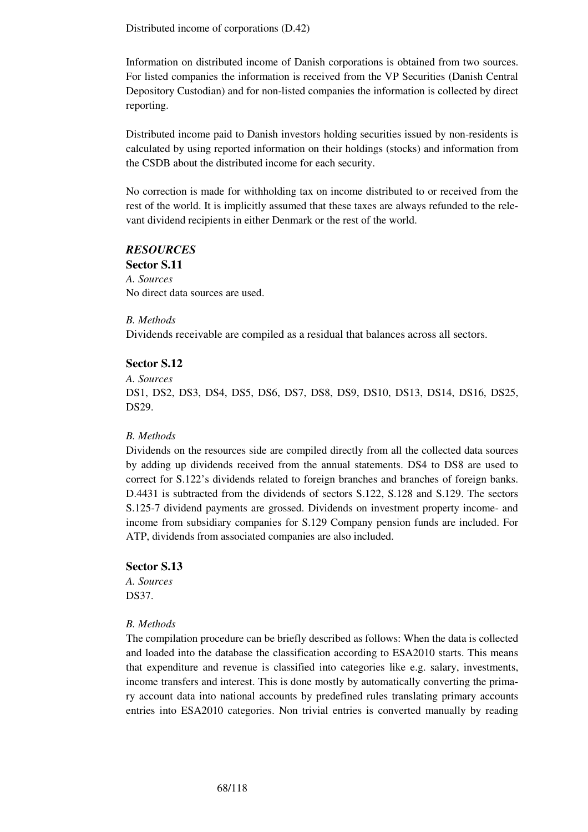Distributed income of corporations (D.42)

Information on distributed income of Danish corporations is obtained from two sources. For listed companies the information is received from the VP Securities (Danish Central Depository Custodian) and for non-listed companies the information is collected by direct reporting.

Distributed income paid to Danish investors holding securities issued by non-residents is calculated by using reported information on their holdings (stocks) and information from the CSDB about the distributed income for each security.

No correction is made for withholding tax on income distributed to or received from the rest of the world. It is implicitly assumed that these taxes are always refunded to the relevant dividend recipients in either Denmark or the rest of the world.

### *RESOURCES*

**Sector S.11**  *A. Sources*  No direct data sources are used.

#### *B. Methods*

Dividends receivable are compiled as a residual that balances across all sectors.

#### **Sector S.12**

*A. Sources* 

DS1, DS2, DS3, DS4, DS5, DS6, DS7, DS8, DS9, DS10, DS13, DS14, DS16, DS25, DS29.

#### *B. Methods*

Dividends on the resources side are compiled directly from all the collected data sources by adding up dividends received from the annual statements. DS4 to DS8 are used to correct for S.122's dividends related to foreign branches and branches of foreign banks. D.4431 is subtracted from the dividends of sectors S.122, S.128 and S.129. The sectors S.125-7 dividend payments are grossed. Dividends on investment property income- and income from subsidiary companies for S.129 Company pension funds are included. For ATP, dividends from associated companies are also included.

#### **Sector S.13**

*A. Sources*  DS37.

#### *B. Methods*

The compilation procedure can be briefly described as follows: When the data is collected and loaded into the database the classification according to ESA2010 starts. This means that expenditure and revenue is classified into categories like e.g. salary, investments, income transfers and interest. This is done mostly by automatically converting the primary account data into national accounts by predefined rules translating primary accounts entries into ESA2010 categories. Non trivial entries is converted manually by reading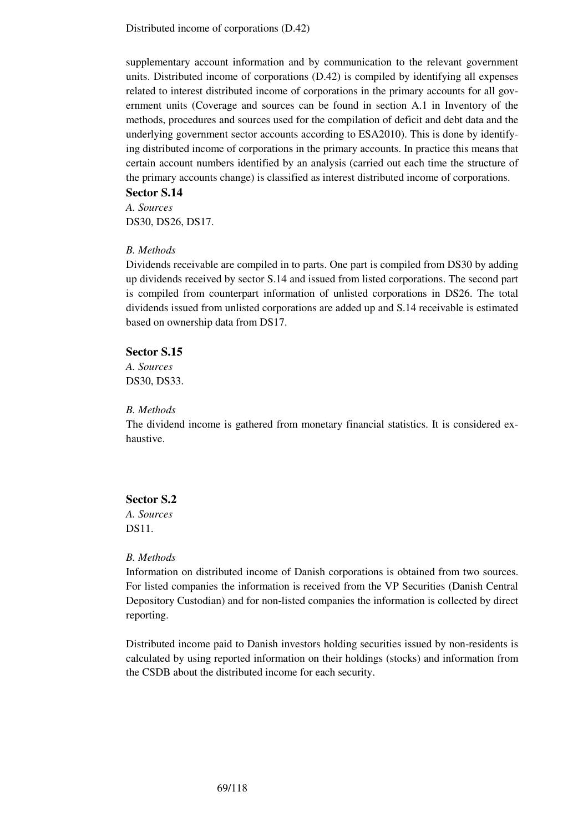Distributed income of corporations (D.42)

supplementary account information and by communication to the relevant government units. Distributed income of corporations (D.42) is compiled by identifying all expenses related to interest distributed income of corporations in the primary accounts for all government units (Coverage and sources can be found in section A.1 in Inventory of the methods, procedures and sources used for the compilation of deficit and debt data and the underlying government sector accounts according to ESA2010). This is done by identifying distributed income of corporations in the primary accounts. In practice this means that certain account numbers identified by an analysis (carried out each time the structure of the primary accounts change) is classified as interest distributed income of corporations.

## **Sector S.14**

*A. Sources*  DS30, DS26, DS17.

#### *B. Methods*

Dividends receivable are compiled in to parts. One part is compiled from DS30 by adding up dividends received by sector S.14 and issued from listed corporations. The second part is compiled from counterpart information of unlisted corporations in DS26. The total dividends issued from unlisted corporations are added up and S.14 receivable is estimated based on ownership data from DS17.

### **Sector S.15**

*A. Sources*  DS30, DS33.

### *B. Methods*

The dividend income is gathered from monetary financial statistics. It is considered exhaustive.

## **Sector S.2**

*A. Sources*  DS11.

#### *B. Methods*

Information on distributed income of Danish corporations is obtained from two sources. For listed companies the information is received from the VP Securities (Danish Central Depository Custodian) and for non-listed companies the information is collected by direct reporting.

Distributed income paid to Danish investors holding securities issued by non-residents is calculated by using reported information on their holdings (stocks) and information from the CSDB about the distributed income for each security.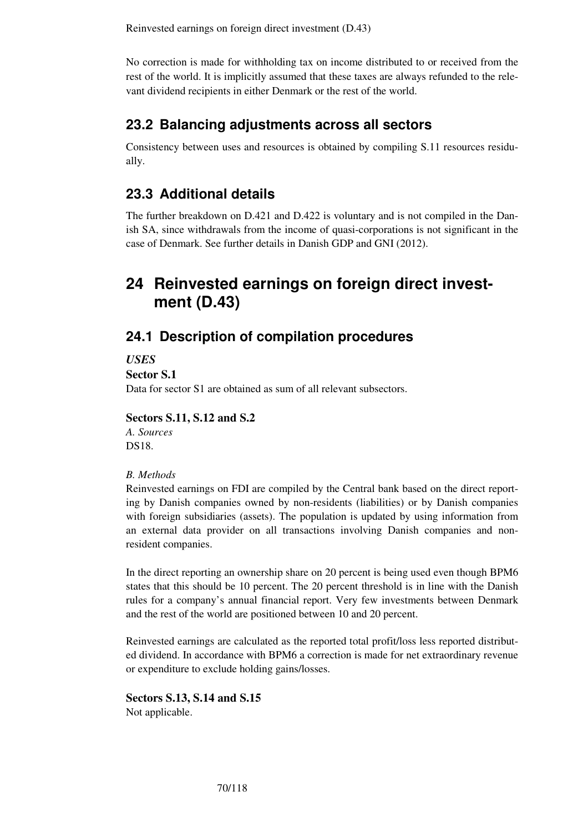Reinvested earnings on foreign direct investment (D.43)

No correction is made for withholding tax on income distributed to or received from the rest of the world. It is implicitly assumed that these taxes are always refunded to the relevant dividend recipients in either Denmark or the rest of the world.

# **23.2 Balancing adjustments across all sectors**

Consistency between uses and resources is obtained by compiling S.11 resources residually.

# **23.3 Additional details**

The further breakdown on D.421 and D.422 is voluntary and is not compiled in the Danish SA, since withdrawals from the income of quasi-corporations is not significant in the case of Denmark. See further details in Danish GDP and GNI (2012).

# **24 Reinvested earnings on foreign direct investment (D.43)**

# **24.1 Description of compilation procedures**

*USES* 

**Sector S.1** 

Data for sector S1 are obtained as sum of all relevant subsectors.

### **Sectors S.11, S.12 and S.2**

*A. Sources*  DS18.

#### *B. Methods*

Reinvested earnings on FDI are compiled by the Central bank based on the direct reporting by Danish companies owned by non-residents (liabilities) or by Danish companies with foreign subsidiaries (assets). The population is updated by using information from an external data provider on all transactions involving Danish companies and nonresident companies.

In the direct reporting an ownership share on 20 percent is being used even though BPM6 states that this should be 10 percent. The 20 percent threshold is in line with the Danish rules for a company's annual financial report. Very few investments between Denmark and the rest of the world are positioned between 10 and 20 percent.

Reinvested earnings are calculated as the reported total profit/loss less reported distributed dividend. In accordance with BPM6 a correction is made for net extraordinary revenue or expenditure to exclude holding gains/losses.

**Sectors S.13, S.14 and S.15**  Not applicable.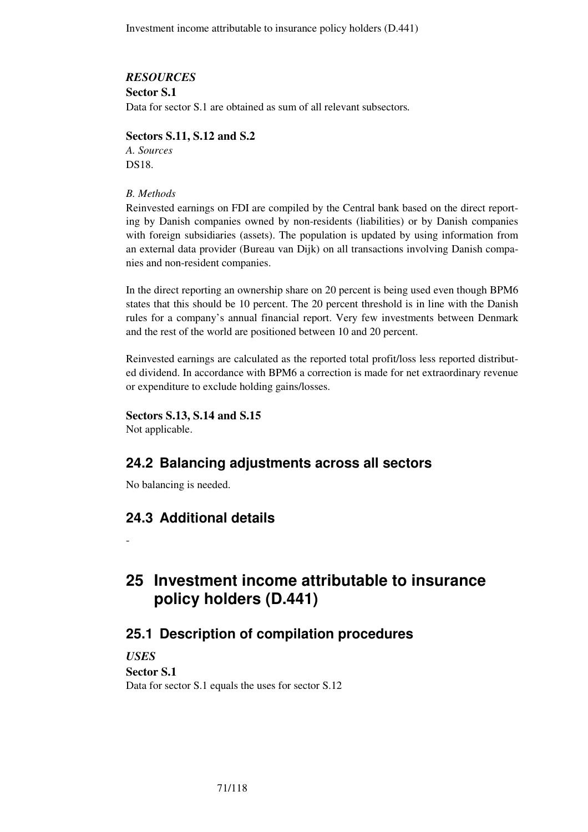Investment income attributable to insurance policy holders (D.441)

### *RESOURCES*

**Sector S.1** 

Data for sector S.1 are obtained as sum of all relevant subsectors*.* 

## **Sectors S.11, S.12 and S.2**

*A. Sources*  DS18.

### *B. Methods*

Reinvested earnings on FDI are compiled by the Central bank based on the direct reporting by Danish companies owned by non-residents (liabilities) or by Danish companies with foreign subsidiaries (assets). The population is updated by using information from an external data provider (Bureau van Dijk) on all transactions involving Danish companies and non-resident companies.

In the direct reporting an ownership share on 20 percent is being used even though BPM6 states that this should be 10 percent. The 20 percent threshold is in line with the Danish rules for a company's annual financial report. Very few investments between Denmark and the rest of the world are positioned between 10 and 20 percent.

Reinvested earnings are calculated as the reported total profit/loss less reported distributed dividend. In accordance with BPM6 a correction is made for net extraordinary revenue or expenditure to exclude holding gains/losses.

**Sectors S.13, S.14 and S.15** 

Not applicable.

-

# **24.2 Balancing adjustments across all sectors**

No balancing is needed.

# **24.3 Additional details**

**25 Investment income attributable to insurance policy holders (D.441)** 

# **25.1 Description of compilation procedures**

*USES*  **Sector S.1** Data for sector S.1 equals the uses for sector S.12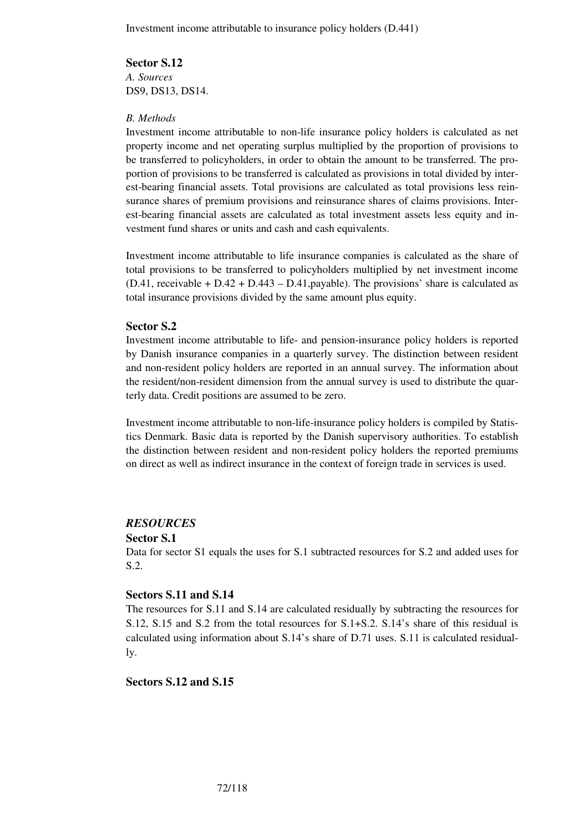## **Sector S.12**

*A. Sources*  DS9, DS13, DS14.

### *B. Methods*

Investment income attributable to non-life insurance policy holders is calculated as net property income and net operating surplus multiplied by the proportion of provisions to be transferred to policyholders, in order to obtain the amount to be transferred. The proportion of provisions to be transferred is calculated as provisions in total divided by interest-bearing financial assets. Total provisions are calculated as total provisions less reinsurance shares of premium provisions and reinsurance shares of claims provisions. Interest-bearing financial assets are calculated as total investment assets less equity and investment fund shares or units and cash and cash equivalents.

Investment income attributable to life insurance companies is calculated as the share of total provisions to be transferred to policyholders multiplied by net investment income  $(D.41,$  receivable +  $D.42 + D.443 - D.41$ , payable). The provisions' share is calculated as total insurance provisions divided by the same amount plus equity.

## **Sector S.2**

Investment income attributable to life- and pension-insurance policy holders is reported by Danish insurance companies in a quarterly survey. The distinction between resident and non-resident policy holders are reported in an annual survey. The information about the resident/non-resident dimension from the annual survey is used to distribute the quarterly data. Credit positions are assumed to be zero.

Investment income attributable to non-life-insurance policy holders is compiled by Statistics Denmark. Basic data is reported by the Danish supervisory authorities. To establish the distinction between resident and non-resident policy holders the reported premiums on direct as well as indirect insurance in the context of foreign trade in services is used.

#### *RESOURCES*

#### **Sector S.1**

Data for sector S1 equals the uses for S.1 subtracted resources for S.2 and added uses for S.2.

## **Sectors S.11 and S.14**

The resources for S.11 and S.14 are calculated residually by subtracting the resources for S.12, S.15 and S.2 from the total resources for S.1+S.2. S.14's share of this residual is calculated using information about S.14's share of D.71 uses. S.11 is calculated residually.

## **Sectors S.12 and S.15**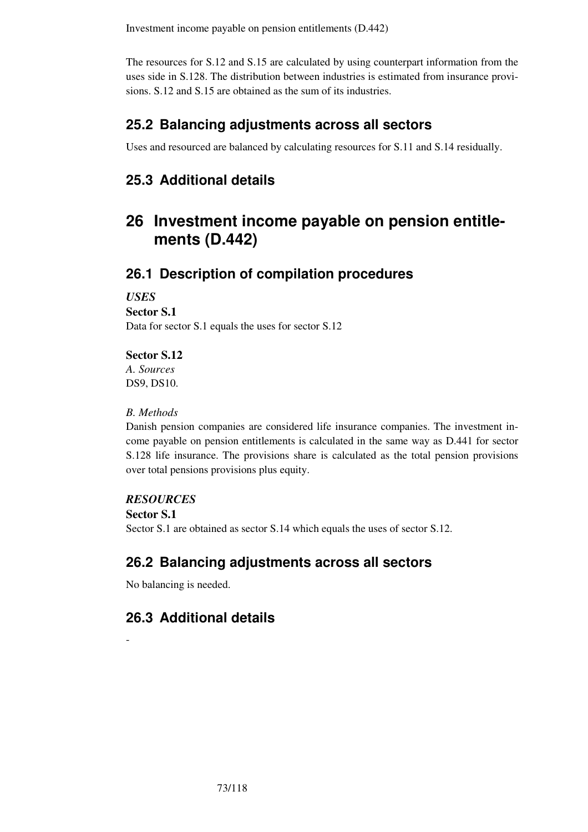The resources for S.12 and S.15 are calculated by using counterpart information from the uses side in S.128. The distribution between industries is estimated from insurance provisions. S.12 and S.15 are obtained as the sum of its industries.

# **25.2 Balancing adjustments across all sectors**

Uses and resourced are balanced by calculating resources for S.11 and S.14 residually.

# **25.3 Additional details**

# **26 Investment income payable on pension entitlements (D.442)**

# **26.1 Description of compilation procedures**

*USES* 

**Sector S.1** 

Data for sector S.1 equals the uses for sector S.12

## **Sector S.12**

*A. Sources*  DS9, DS10.

## *B. Methods*

Danish pension companies are considered life insurance companies. The investment income payable on pension entitlements is calculated in the same way as D.441 for sector S.128 life insurance. The provisions share is calculated as the total pension provisions over total pensions provisions plus equity.

## *RESOURCES*

**Sector S.1**

-

Sector S.1 are obtained as sector S.14 which equals the uses of sector S.12.

# **26.2 Balancing adjustments across all sectors**

No balancing is needed.

# **26.3 Additional details**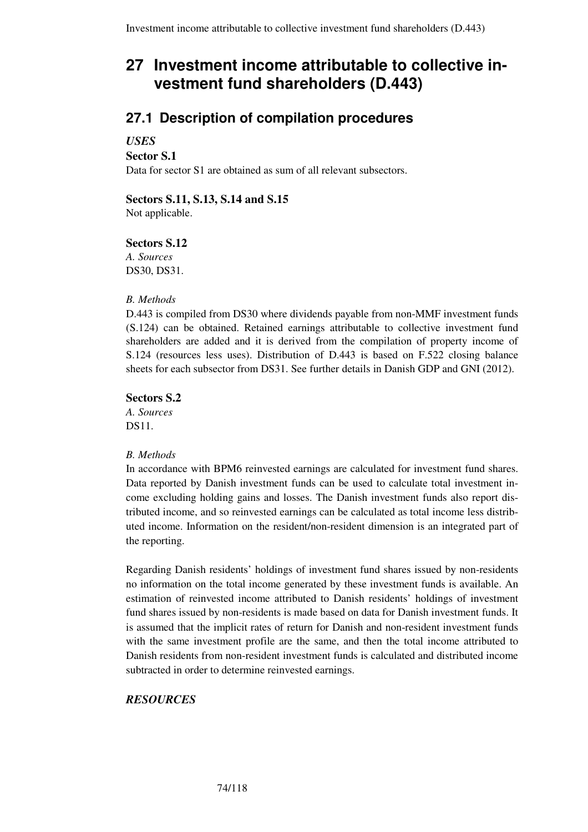# **27 Investment income attributable to collective investment fund shareholders (D.443)**

# **27.1 Description of compilation procedures**

## *USES*

**Sector S.1** 

Data for sector S1 are obtained as sum of all relevant subsectors.

## **Sectors S.11, S.13, S.14 and S.15**

Not applicable.

## **Sectors S.12**

*A. Sources*  DS30, DS31.

### *B. Methods*

D.443 is compiled from DS30 where dividends payable from non-MMF investment funds (S.124) can be obtained. Retained earnings attributable to collective investment fund shareholders are added and it is derived from the compilation of property income of S.124 (resources less uses). Distribution of D.443 is based on F.522 closing balance sheets for each subsector from DS31. See further details in Danish GDP and GNI (2012).

### **Sectors S.2**

*A. Sources*  DS11.

### *B. Methods*

In accordance with BPM6 reinvested earnings are calculated for investment fund shares. Data reported by Danish investment funds can be used to calculate total investment income excluding holding gains and losses. The Danish investment funds also report distributed income, and so reinvested earnings can be calculated as total income less distributed income. Information on the resident/non-resident dimension is an integrated part of the reporting.

Regarding Danish residents' holdings of investment fund shares issued by non-residents no information on the total income generated by these investment funds is available. An estimation of reinvested income attributed to Danish residents' holdings of investment fund shares issued by non-residents is made based on data for Danish investment funds. It is assumed that the implicit rates of return for Danish and non-resident investment funds with the same investment profile are the same, and then the total income attributed to Danish residents from non-resident investment funds is calculated and distributed income subtracted in order to determine reinvested earnings.

## *RESOURCES*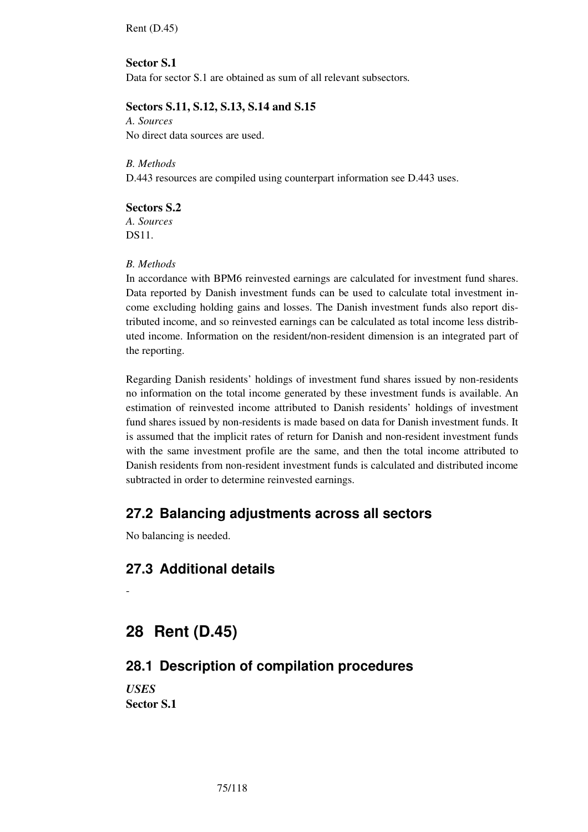Rent (D.45)

## **Sector S.1**

Data for sector S.1 are obtained as sum of all relevant subsectors*.* 

## **Sectors S.11, S.12, S.13, S.14 and S.15**

*A. Sources*  No direct data sources are used.

## *B. Methods*

D.443 resources are compiled using counterpart information see D.443 uses.

### **Sectors S.2**

*A. Sources*  DS11.

### *B. Methods*

In accordance with BPM6 reinvested earnings are calculated for investment fund shares. Data reported by Danish investment funds can be used to calculate total investment income excluding holding gains and losses. The Danish investment funds also report distributed income, and so reinvested earnings can be calculated as total income less distributed income. Information on the resident/non-resident dimension is an integrated part of the reporting.

Regarding Danish residents' holdings of investment fund shares issued by non-residents no information on the total income generated by these investment funds is available. An estimation of reinvested income attributed to Danish residents' holdings of investment fund shares issued by non-residents is made based on data for Danish investment funds. It is assumed that the implicit rates of return for Danish and non-resident investment funds with the same investment profile are the same, and then the total income attributed to Danish residents from non-resident investment funds is calculated and distributed income subtracted in order to determine reinvested earnings.

## **27.2 Balancing adjustments across all sectors**

No balancing is needed.

# **27.3 Additional details**

-

# **28 Rent (D.45)**

## **28.1 Description of compilation procedures**

*USES*  **Sector S.1**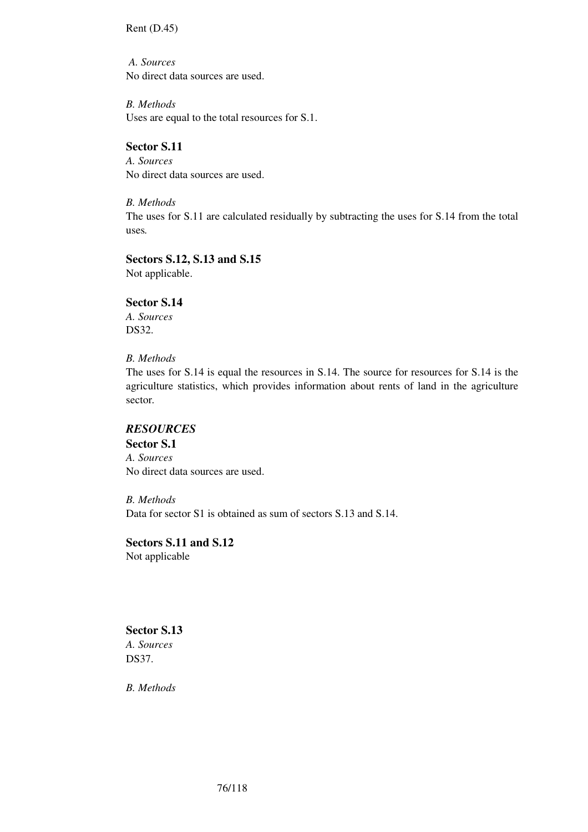Rent (D.45)

*A. Sources*  No direct data sources are used.

*B. Methods*  Uses are equal to the total resources for S.1.

## **Sector S.11**

*A. Sources*  No direct data sources are used.

*B. Methods*  The uses for S.11 are calculated residually by subtracting the uses for S.14 from the total uses*.* 

# **Sectors S.12, S.13 and S.15**

Not applicable.

## **Sector S.14**

*A. Sources*  DS32.

### *B. Methods*

The uses for S.14 is equal the resources in S.14. The source for resources for S.14 is the agriculture statistics, which provides information about rents of land in the agriculture sector*.* 

## *RESOURCES*

**Sector S.1**  *A. Sources*  No direct data sources are used.

*B. Methods*  Data for sector S1 is obtained as sum of sectors S.13 and S.14.

# **Sectors S.11 and S.12**

Not applicable

# **Sector S.13**

*A. Sources*  DS37.

*B. Methods*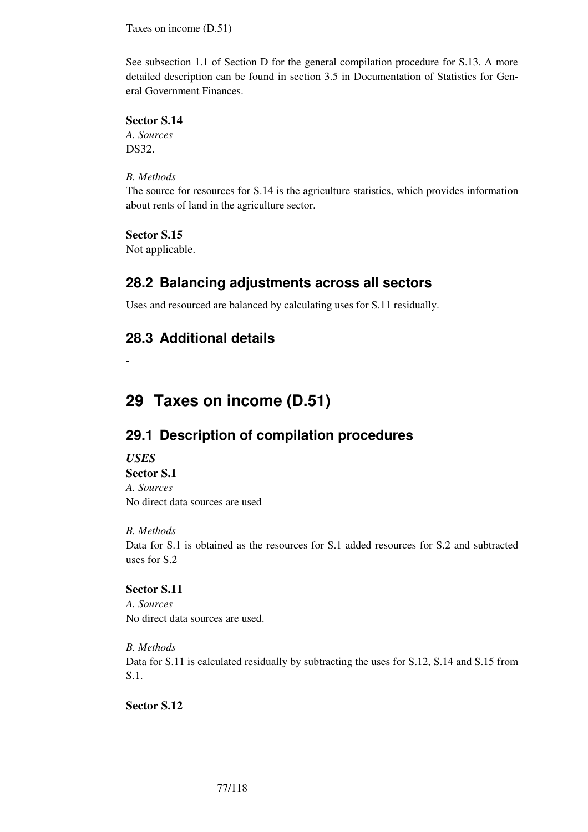Taxes on income (D.51)

See subsection 1.1 of Section D for the general compilation procedure for S.13. A more detailed description can be found in section 3.5 in Documentation of Statistics for General Government Finances.

### **Sector S.14**

*A. Sources*  DS32.

### *B. Methods*

The source for resources for S.14 is the agriculture statistics, which provides information about rents of land in the agriculture sector.

## **Sector S.15**

Not applicable.

# **28.2 Balancing adjustments across all sectors**

Uses and resourced are balanced by calculating uses for S.11 residually.

# **28.3 Additional details**

-

# **29 Taxes on income (D.51)**

# **29.1 Description of compilation procedures**

### *USES*

**Sector S.1**  *A. Sources* 

No direct data sources are used

### *B. Methods*

Data for S.1 is obtained as the resources for S.1 added resources for S.2 and subtracted uses for S.2

## **Sector S.11**

*A. Sources*  No direct data sources are used.

*B. Methods*  Data for S.11 is calculated residually by subtracting the uses for S.12, S.14 and S.15 from S.1.

**Sector S.12**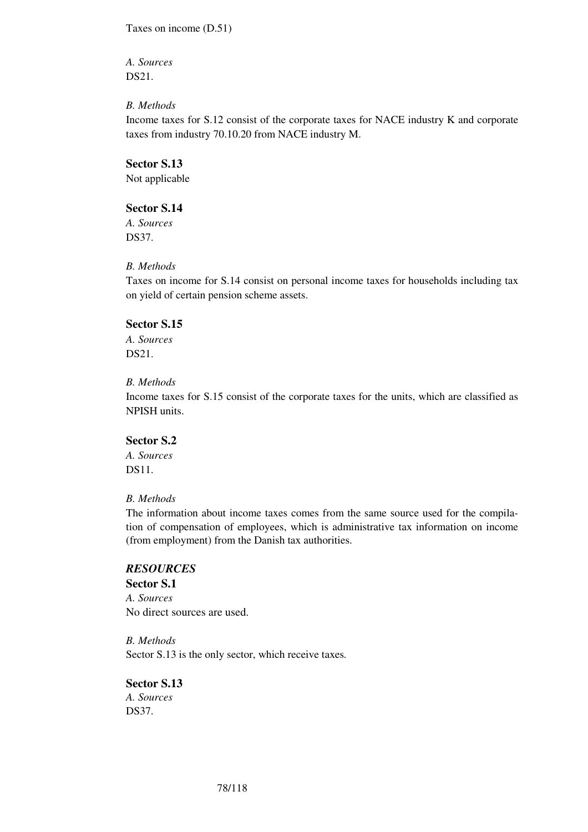Taxes on income (D.51)

*A. Sources*  DS21.

### *B. Methods*

Income taxes for S.12 consist of the corporate taxes for NACE industry K and corporate taxes from industry 70.10.20 from NACE industry M.

### **Sector S.13**

Not applicable

### **Sector S.14**

*A. Sources*  DS37.

### *B. Methods*

Taxes on income for S.14 consist on personal income taxes for households including tax on yield of certain pension scheme assets.

### **Sector S.15**

*A. Sources*  DS21.

### *B. Methods*

Income taxes for S.15 consist of the corporate taxes for the units, which are classified as NPISH units.

## **Sector S.2**

*A. Sources*  DS11.

### *B. Methods*

The information about income taxes comes from the same source used for the compilation of compensation of employees, which is administrative tax information on income (from employment) from the Danish tax authorities.

## *RESOURCES*

**Sector S.1**  *A. Sources*  No direct sources are used.

*B. Methods*  Sector S.13 is the only sector, which receive taxes*.* 

## **Sector S.13**

*A. Sources*  DS37.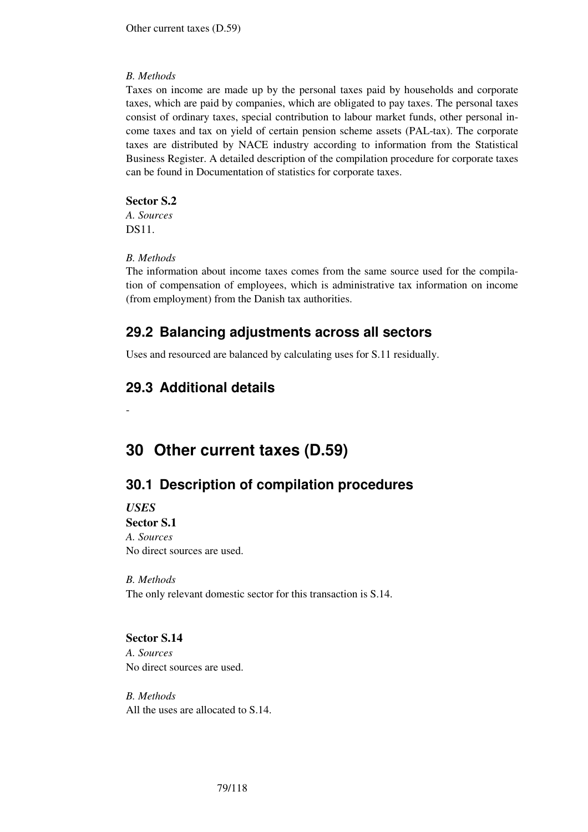### *B. Methods*

Taxes on income are made up by the personal taxes paid by households and corporate taxes, which are paid by companies, which are obligated to pay taxes. The personal taxes consist of ordinary taxes, special contribution to labour market funds, other personal income taxes and tax on yield of certain pension scheme assets (PAL-tax). The corporate taxes are distributed by NACE industry according to information from the Statistical Business Register. A detailed description of the compilation procedure for corporate taxes can be found in Documentation of statistics for corporate taxes.

### **Sector S.2**

*A. Sources*  DS11.

### *B. Methods*

The information about income taxes comes from the same source used for the compilation of compensation of employees, which is administrative tax information on income (from employment) from the Danish tax authorities.

# **29.2 Balancing adjustments across all sectors**

Uses and resourced are balanced by calculating uses for S.11 residually.

# **29.3 Additional details**

# **30 Other current taxes (D.59)**

# **30.1 Description of compilation procedures**

*USES*  **Sector S.1** 

-

*A. Sources*  No direct sources are used.

*B. Methods*  The only relevant domestic sector for this transaction is S.14.

### **Sector S.14**

*A. Sources*  No direct sources are used.

*B. Methods*  All the uses are allocated to S.14.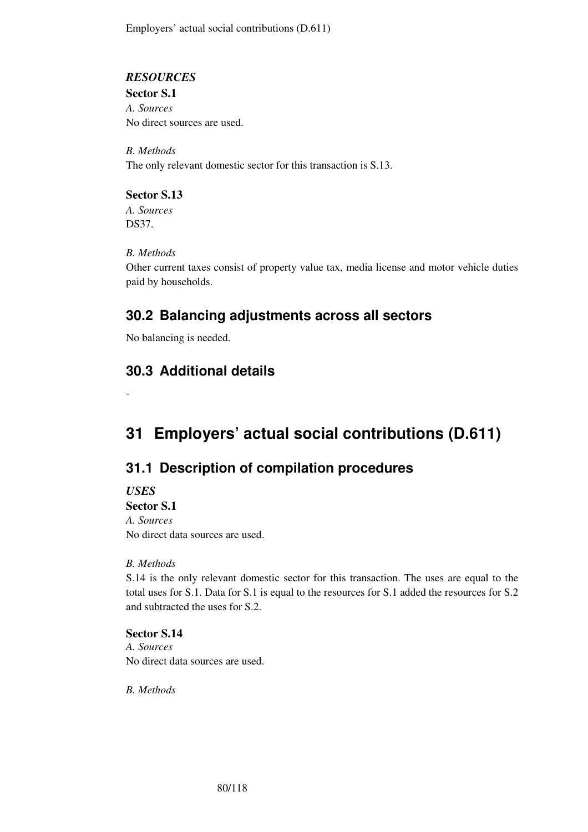Employers' actual social contributions (D.611)

### *RESOURCES*

**Sector S.1** 

*A. Sources*  No direct sources are used.

*B. Methods*  The only relevant domestic sector for this transaction is S.13.

**Sector S.13**  *A. Sources*  DS37.

## *B. Methods*

Other current taxes consist of property value tax, media license and motor vehicle duties paid by households.

# **30.2 Balancing adjustments across all sectors**

No balancing is needed.

# **30.3 Additional details**

**31 Employers' actual social contributions (D.611)** 

# **31.1 Description of compilation procedures**

*USES* 

-

**Sector S.1** *A. Sources*  No direct data sources are used.

## *B. Methods*

S.14 is the only relevant domestic sector for this transaction. The uses are equal to the total uses for S.1. Data for S.1 is equal to the resources for S.1 added the resources for S.2 and subtracted the uses for S.2.

## **Sector S.14**

*A. Sources*  No direct data sources are used.

*B. Methods*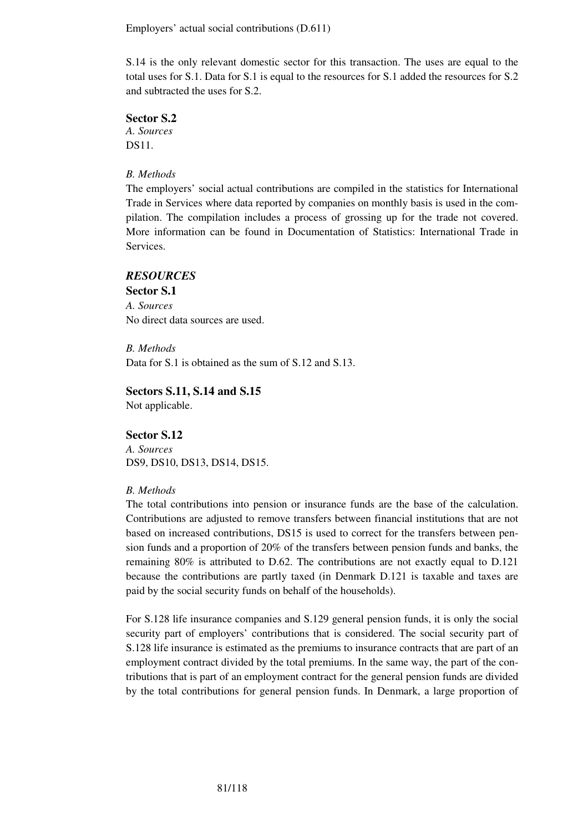Employers' actual social contributions (D.611)

S.14 is the only relevant domestic sector for this transaction. The uses are equal to the total uses for S.1. Data for S.1 is equal to the resources for S.1 added the resources for S.2 and subtracted the uses for S.2.

### **Sector S.2**

*A. Sources*  DS11.

### *B. Methods*

The employers' social actual contributions are compiled in the statistics for International Trade in Services where data reported by companies on monthly basis is used in the compilation. The compilation includes a process of grossing up for the trade not covered. More information can be found in Documentation of Statistics: International Trade in Services.

### *RESOURCES*

**Sector S.1**  *A. Sources*  No direct data sources are used.

*B. Methods*  Data for S.1 is obtained as the sum of S.12 and S.13.

### **Sectors S.11, S.14 and S.15**

Not applicable.

### **Sector S.12**

*A. Sources*  DS9, DS10, DS13, DS14, DS15.

#### *B. Methods*

The total contributions into pension or insurance funds are the base of the calculation. Contributions are adjusted to remove transfers between financial institutions that are not based on increased contributions, DS15 is used to correct for the transfers between pension funds and a proportion of 20% of the transfers between pension funds and banks, the remaining 80% is attributed to D.62. The contributions are not exactly equal to D.121 because the contributions are partly taxed (in Denmark D.121 is taxable and taxes are paid by the social security funds on behalf of the households).

For S.128 life insurance companies and S.129 general pension funds, it is only the social security part of employers' contributions that is considered. The social security part of S.128 life insurance is estimated as the premiums to insurance contracts that are part of an employment contract divided by the total premiums. In the same way, the part of the contributions that is part of an employment contract for the general pension funds are divided by the total contributions for general pension funds. In Denmark, a large proportion of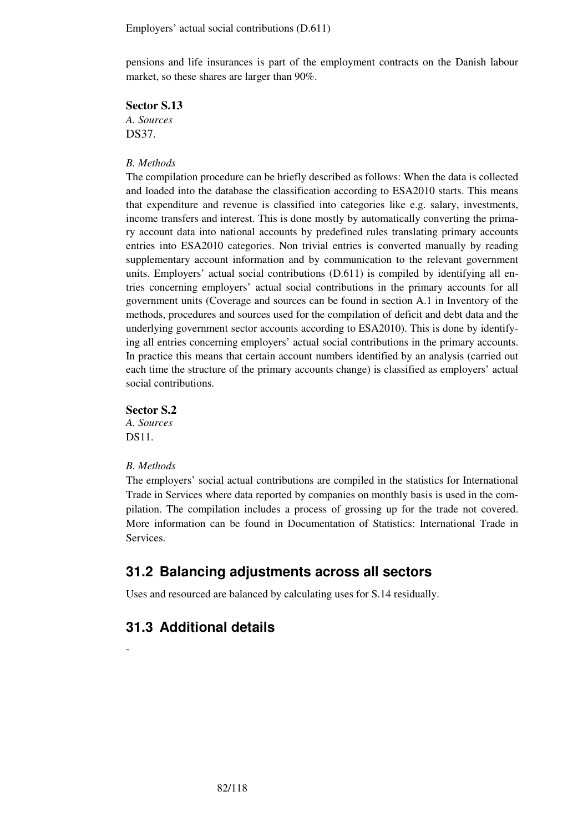Employers' actual social contributions (D.611)

pensions and life insurances is part of the employment contracts on the Danish labour market, so these shares are larger than 90%.

**Sector S.13** 

*A. Sources*  DS37.

### *B. Methods*

The compilation procedure can be briefly described as follows: When the data is collected and loaded into the database the classification according to ESA2010 starts. This means that expenditure and revenue is classified into categories like e.g. salary, investments, income transfers and interest. This is done mostly by automatically converting the primary account data into national accounts by predefined rules translating primary accounts entries into ESA2010 categories. Non trivial entries is converted manually by reading supplementary account information and by communication to the relevant government units. Employers' actual social contributions (D.611) is compiled by identifying all entries concerning employers' actual social contributions in the primary accounts for all government units (Coverage and sources can be found in section A.1 in Inventory of the methods, procedures and sources used for the compilation of deficit and debt data and the underlying government sector accounts according to ESA2010). This is done by identifying all entries concerning employers' actual social contributions in the primary accounts. In practice this means that certain account numbers identified by an analysis (carried out each time the structure of the primary accounts change) is classified as employers' actual social contributions.

**Sector S.2** 

*A. Sources*  DS11.

#### *B. Methods*

-

The employers' social actual contributions are compiled in the statistics for International Trade in Services where data reported by companies on monthly basis is used in the compilation. The compilation includes a process of grossing up for the trade not covered. More information can be found in Documentation of Statistics: International Trade in Services.

# **31.2 Balancing adjustments across all sectors**

Uses and resourced are balanced by calculating uses for S.14 residually.

## **31.3 Additional details**

82/118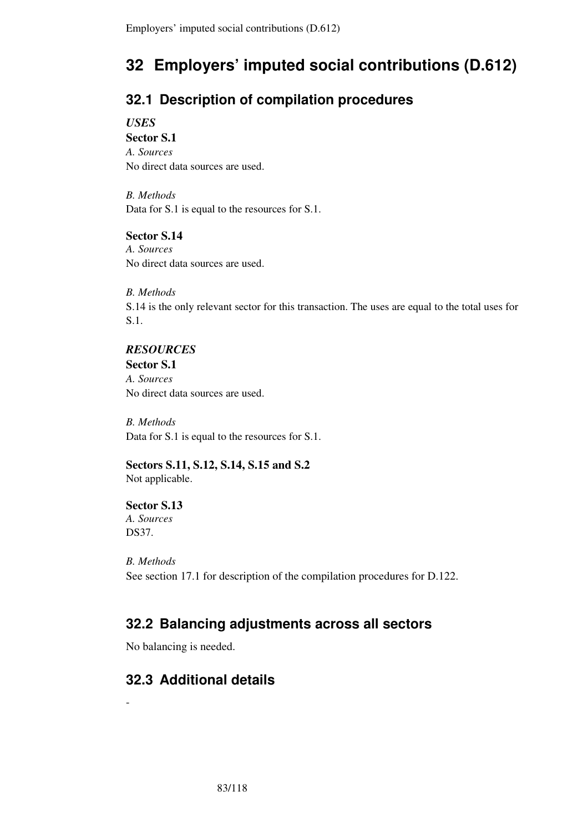# **32 Employers' imputed social contributions (D.612)**

# **32.1 Description of compilation procedures**

*USES* 

**Sector S.1**  *A. Sources*  No direct data sources are used.

*B. Methods*  Data for S.1 is equal to the resources for S.1.

## **Sector S.14**

*A. Sources*  No direct data sources are used.

## *B. Methods*

S.14 is the only relevant sector for this transaction. The uses are equal to the total uses for S.1.

## *RESOURCES*

**Sector S.1**  *A. Sources*  No direct data sources are used.

*B. Methods*  Data for S.1 is equal to the resources for S.1.

**Sectors S.11, S.12, S.14, S.15 and S.2**  Not applicable.

## **Sector S.13**  *A. Sources*  DS37.

-

*B. Methods*  See section 17.1 for description of the compilation procedures for D.122.

# **32.2 Balancing adjustments across all sectors**

No balancing is needed.

# **32.3 Additional details**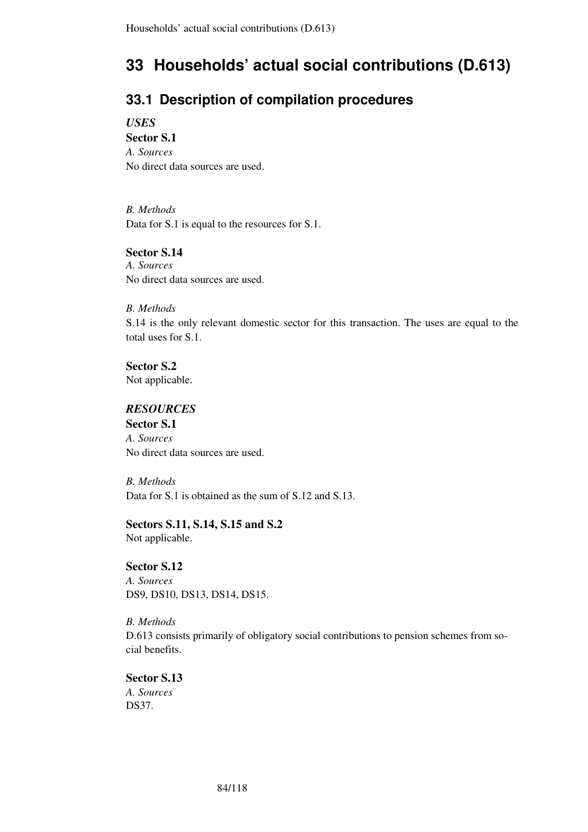# **33 Households' actual social contributions (D.613)**

# **33.1 Description of compilation procedures**

*USES* 

**Sector S.1**  *A. Sources*  No direct data sources are used.

*B. Methods*  Data for S.1 is equal to the resources for S.1.

### **Sector S.14**

*A. Sources*  No direct data sources are used.

### *B. Methods*

S.14 is the only relevant domestic sector for this transaction. The uses are equal to the total uses for S.1.

**Sector S.2**  Not applicable.

## *RESOURCES*

**Sector S.1**  *A. Sources*  No direct data sources are used.

*B. Methods*  Data for S.1 is obtained as the sum of S.12 and S.13.

# **Sectors S.11, S.14, S.15 and S.2**

Not applicable.

### **Sector S.12**

*A. Sources*  DS9, DS10, DS13, DS14, DS15.

*B. Methods*  D.613 consists primarily of obligatory social contributions to pension schemes from social benefits.

## **Sector S.13**

*A. Sources*  DS37.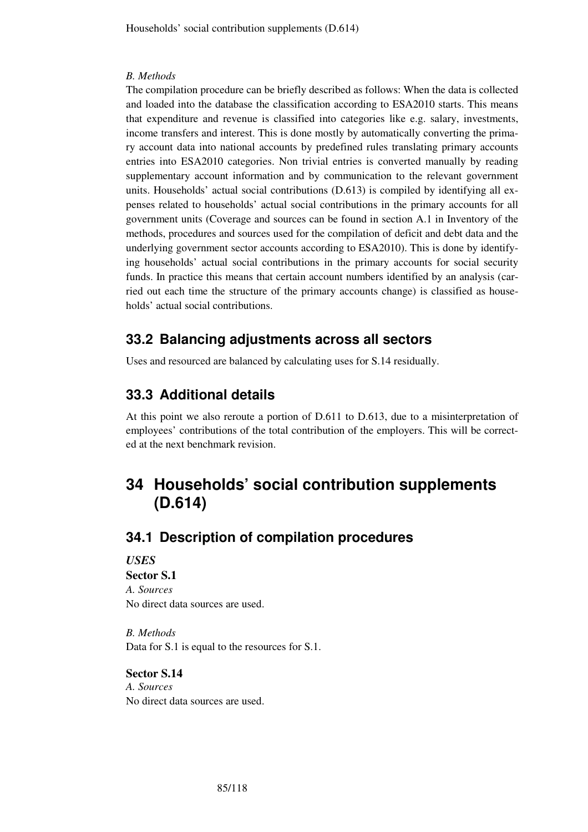### *B. Methods*

The compilation procedure can be briefly described as follows: When the data is collected and loaded into the database the classification according to ESA2010 starts. This means that expenditure and revenue is classified into categories like e.g. salary, investments, income transfers and interest. This is done mostly by automatically converting the primary account data into national accounts by predefined rules translating primary accounts entries into ESA2010 categories. Non trivial entries is converted manually by reading supplementary account information and by communication to the relevant government units. Households' actual social contributions (D.613) is compiled by identifying all expenses related to households' actual social contributions in the primary accounts for all government units (Coverage and sources can be found in section A.1 in Inventory of the methods, procedures and sources used for the compilation of deficit and debt data and the underlying government sector accounts according to ESA2010). This is done by identifying households' actual social contributions in the primary accounts for social security funds. In practice this means that certain account numbers identified by an analysis (carried out each time the structure of the primary accounts change) is classified as households' actual social contributions.

# **33.2 Balancing adjustments across all sectors**

Uses and resourced are balanced by calculating uses for S.14 residually.

# **33.3 Additional details**

At this point we also reroute a portion of D.611 to D.613, due to a misinterpretation of employees' contributions of the total contribution of the employers. This will be corrected at the next benchmark revision.

# **34 Households' social contribution supplements (D.614)**

## **34.1 Description of compilation procedures**

### *USES*  **Sector S.1**

*A. Sources*  No direct data sources are used.

*B. Methods*  Data for S.1 is equal to the resources for S.1.

**Sector S.14**  *A. Sources*  No direct data sources are used.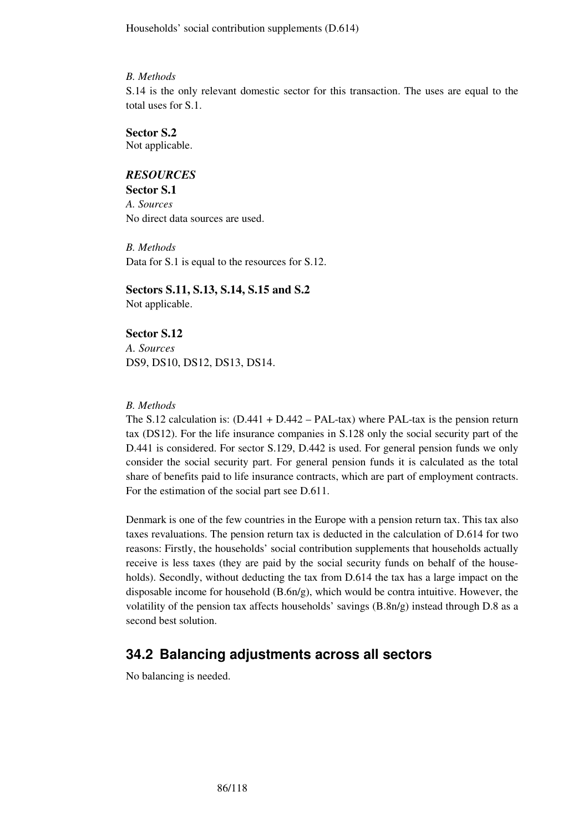Households' social contribution supplements (D.614)

### *B. Methods*

S.14 is the only relevant domestic sector for this transaction. The uses are equal to the total uses for S.1.

## **Sector S.2**

Not applicable.

## *RESOURCES*

**Sector S.1** *A. Sources*  No direct data sources are used.

*B. Methods*  Data for S.1 is equal to the resources for S.12.

**Sectors S.11, S.13, S.14, S.15 and S.2**  Not applicable.

## **Sector S.12**

*A. Sources*  DS9, DS10, DS12, DS13, DS14.

### *B. Methods*

The S.12 calculation is:  $(D.441 + D.442 - PAL-tax)$  where PAL-tax is the pension return tax (DS12). For the life insurance companies in S.128 only the social security part of the D.441 is considered. For sector S.129, D.442 is used. For general pension funds we only consider the social security part. For general pension funds it is calculated as the total share of benefits paid to life insurance contracts, which are part of employment contracts. For the estimation of the social part see D.611.

Denmark is one of the few countries in the Europe with a pension return tax. This tax also taxes revaluations. The pension return tax is deducted in the calculation of D.614 for two reasons: Firstly, the households' social contribution supplements that households actually receive is less taxes (they are paid by the social security funds on behalf of the households). Secondly, without deducting the tax from D.614 the tax has a large impact on the disposable income for household (B.6n/g), which would be contra intuitive. However, the volatility of the pension tax affects households' savings  $(B.8n/g)$  instead through D.8 as a second best solution.

# **34.2 Balancing adjustments across all sectors**

No balancing is needed.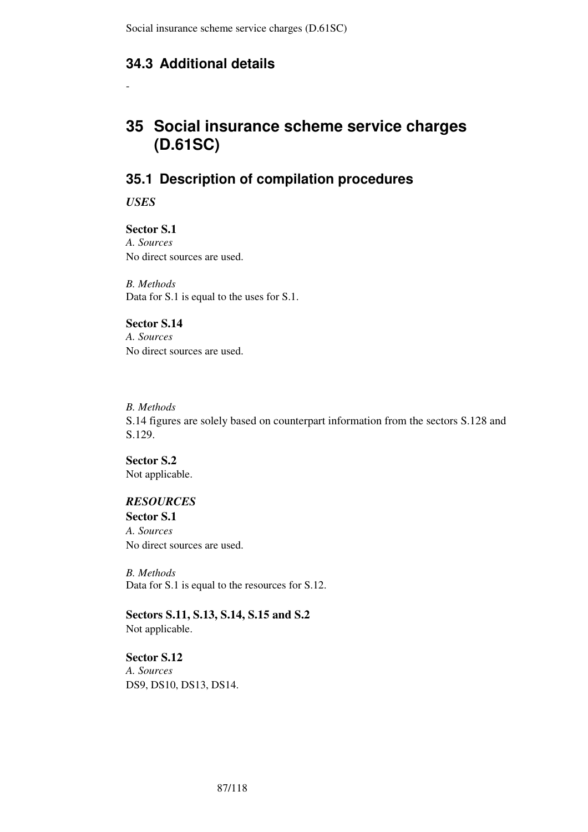# **34.3 Additional details**

# **35 Social insurance scheme service charges (D.61SC)**

# **35.1 Description of compilation procedures**

*USES* 

-

**Sector S.1**  *A. Sources*  No direct sources are used.

*B. Methods*  Data for S.1 is equal to the uses for S.1.

### **Sector S.14**

*A. Sources*  No direct sources are used.

## *B. Methods* S.14 figures are solely based on counterpart information from the sectors S.128 and S.129.

**Sector S.2**  Not applicable.

## *RESOURCES*

**Sector S.1**  *A. Sources*  No direct sources are used.

*B. Methods*  Data for S.1 is equal to the resources for S.12.

**Sectors S.11, S.13, S.14, S.15 and S.2**  Not applicable.

## **Sector S.12**

*A. Sources*  DS9, DS10, DS13, DS14.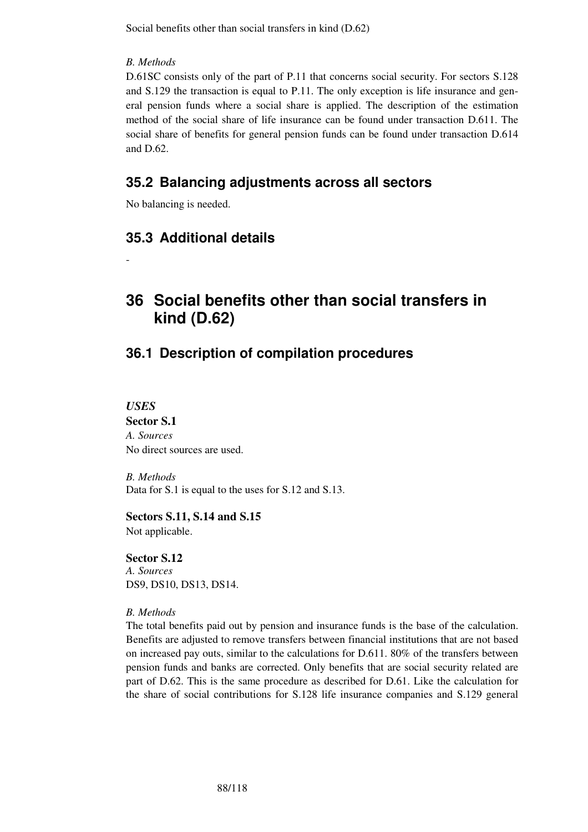Social benefits other than social transfers in kind (D.62)

### *B. Methods*

D.61SC consists only of the part of P.11 that concerns social security. For sectors S.128 and S.129 the transaction is equal to P.11. The only exception is life insurance and general pension funds where a social share is applied. The description of the estimation method of the social share of life insurance can be found under transaction D.611. The social share of benefits for general pension funds can be found under transaction D.614 and  $D.62$ .

# **35.2 Balancing adjustments across all sectors**

No balancing is needed.

# **35.3 Additional details**

# **36 Social benefits other than social transfers in kind (D.62)**

# **36.1 Description of compilation procedures**

*USES* 

-

**Sector S.1**  *A. Sources*  No direct sources are used.

*B. Methods*  Data for S.1 is equal to the uses for S.12 and S.13.

## **Sectors S.11, S.14 and S.15**

Not applicable.

# **Sector S.12**  *A. Sources*

DS9, DS10, DS13, DS14.

## *B. Methods*

The total benefits paid out by pension and insurance funds is the base of the calculation. Benefits are adjusted to remove transfers between financial institutions that are not based on increased pay outs, similar to the calculations for D.611. 80% of the transfers between pension funds and banks are corrected. Only benefits that are social security related are part of D.62. This is the same procedure as described for D.61. Like the calculation for the share of social contributions for S.128 life insurance companies and S.129 general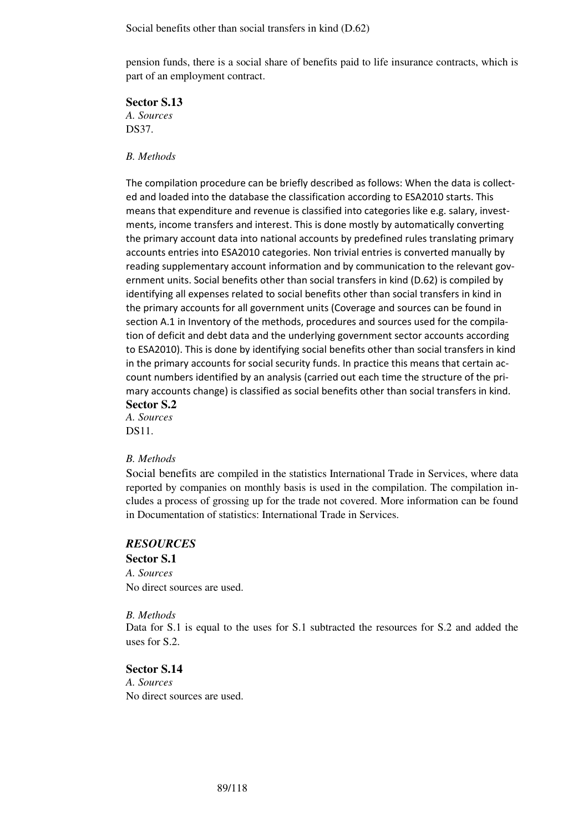Social benefits other than social transfers in kind (D.62)

pension funds, there is a social share of benefits paid to life insurance contracts, which is part of an employment contract.

**Sector S.13** 

*A. Sources*  DS37.

### *B. Methods*

The compilation procedure can be briefly described as follows: When the data is collected and loaded into the database the classification according to ESA2010 starts. This means that expenditure and revenue is classified into categories like e.g. salary, investments, income transfers and interest. This is done mostly by automatically converting the primary account data into national accounts by predefined rules translating primary accounts entries into ESA2010 categories. Non trivial entries is converted manually by reading supplementary account information and by communication to the relevant government units. Social benefits other than social transfers in kind (D.62) is compiled by identifying all expenses related to social benefits other than social transfers in kind in the primary accounts for all government units (Coverage and sources can be found in section A.1 in Inventory of the methods, procedures and sources used for the compilation of deficit and debt data and the underlying government sector accounts according to ESA2010). This is done by identifying social benefits other than social transfers in kind in the primary accounts for social security funds. In practice this means that certain account numbers identified by an analysis (carried out each time the structure of the primary accounts change) is classified as social benefits other than social transfers in kind.

**Sector S.2** 

*A. Sources*  DS11.

### *B. Methods*

Social benefits are compiled in the statistics International Trade in Services, where data reported by companies on monthly basis is used in the compilation. The compilation includes a process of grossing up for the trade not covered. More information can be found in Documentation of statistics: International Trade in Services.

### *RESOURCES*

# **Sector S.1**

*A. Sources*  No direct sources are used.

#### *B. Methods*

Data for S.1 is equal to the uses for S.1 subtracted the resources for S.2 and added the uses for S.2.

### **Sector S.14**

*A. Sources*  No direct sources are used.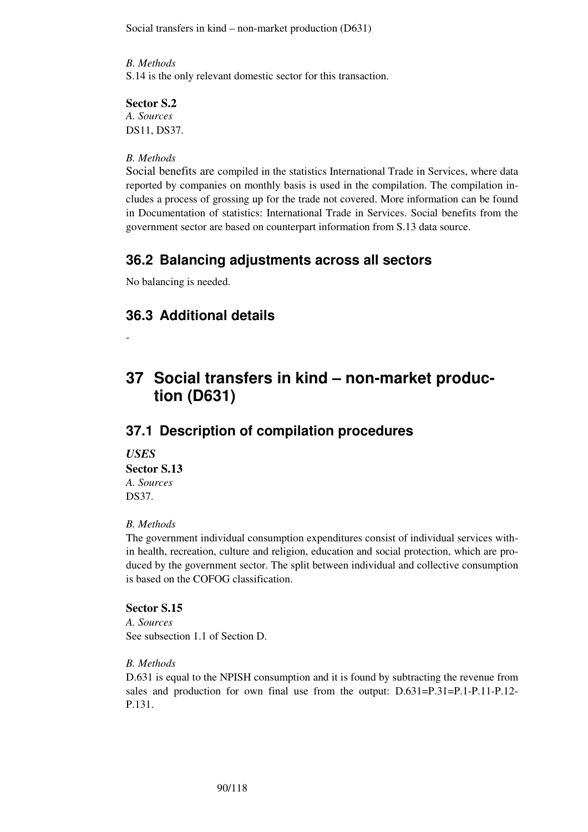Social transfers in kind – non-market production (D631)

*B. Methods*  S.14 is the only relevant domestic sector for this transaction.

## **Sector S.2**

*A. Sources*  DS11, DS37.

### *B. Methods*

Social benefits are compiled in the statistics International Trade in Services, where data reported by companies on monthly basis is used in the compilation. The compilation includes a process of grossing up for the trade not covered. More information can be found in Documentation of statistics: International Trade in Services. Social benefits from the government sector are based on counterpart information from S.13 data source.

## **36.2 Balancing adjustments across all sectors**

No balancing is needed.

# **36.3 Additional details**

# **37 Social transfers in kind – non-market production (D631)**

## **37.1 Description of compilation procedures**

## *USES*

-

### **Sector S.13**

*A. Sources*  DS37.

### *B. Methods*

The government individual consumption expenditures consist of individual services within health, recreation, culture and religion, education and social protection, which are produced by the government sector. The split between individual and collective consumption is based on the COFOG classification.

### **Sector S.15**

*A. Sources*  See subsection 1.1 of Section D.

### *B. Methods*

D.631 is equal to the NPISH consumption and it is found by subtracting the revenue from sales and production for own final use from the output: D.631=P.31=P.1-P.11-P.12- P.131.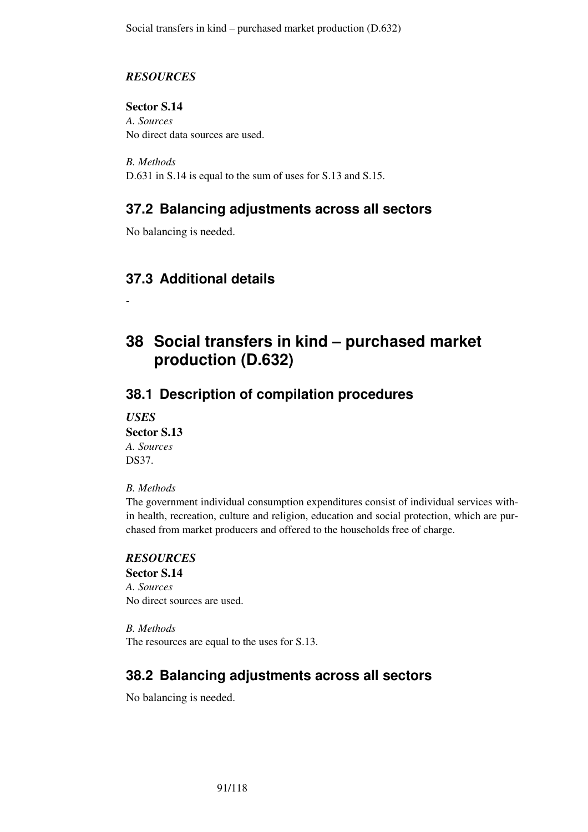## *RESOURCES*

**Sector S.14**  *A. Sources*  No direct data sources are used.

*B. Methods*  D.631 in S.14 is equal to the sum of uses for S.13 and S.15.

# **37.2 Balancing adjustments across all sectors**

No balancing is needed.

# **37.3 Additional details**

# **38 Social transfers in kind – purchased market production (D.632)**

# **38.1 Description of compilation procedures**

*USES*  **Sector S.13**  *A. Sources*  DS37.

-

## *B. Methods*

The government individual consumption expenditures consist of individual services within health, recreation, culture and religion, education and social protection, which are purchased from market producers and offered to the households free of charge.

## *RESOURCES*

**Sector S.14**  *A. Sources*  No direct sources are used.

*B. Methods*  The resources are equal to the uses for S.13.

# **38.2 Balancing adjustments across all sectors**

No balancing is needed.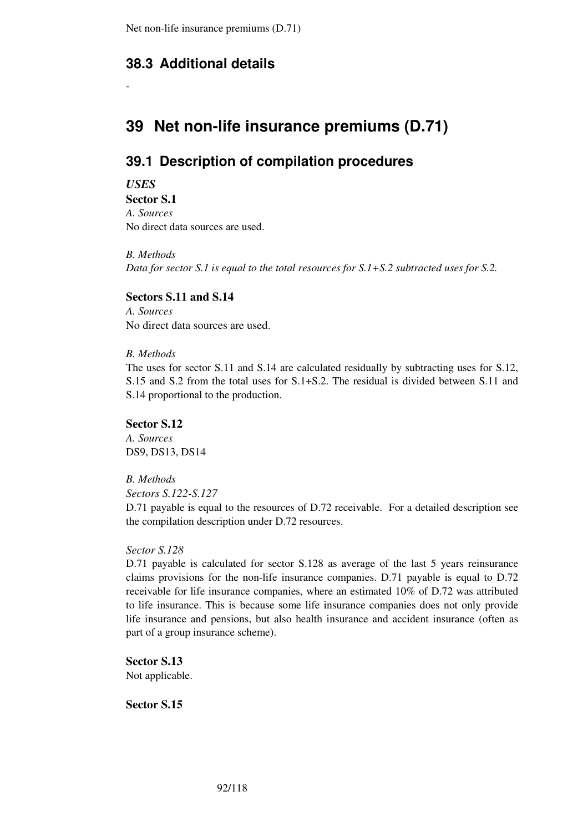# **38.3 Additional details**

# **39 Net non-life insurance premiums (D.71)**

# **39.1 Description of compilation procedures**

*USES* 

-

**Sector S.1**  *A. Sources*  No direct data sources are used.

*B. Methods Data for sector S.1 is equal to the total resources for S.1+S.2 subtracted uses for S.2.* 

## **Sectors S.11 and S.14**

*A. Sources*  No direct data sources are used.

## *B. Methods*

The uses for sector S.11 and S.14 are calculated residually by subtracting uses for S.12, S.15 and S.2 from the total uses for S.1+S.2. The residual is divided between S.11 and S.14 proportional to the production.

### **Sector S.12**

*A. Sources*  DS9, DS13, DS14

### *B. Methods*

*Sectors S.122-S.127* 

D.71 payable is equal to the resources of D.72 receivable. For a detailed description see the compilation description under D.72 resources.

### *Sector S.128*

D.71 payable is calculated for sector S.128 as average of the last 5 years reinsurance claims provisions for the non-life insurance companies. D.71 payable is equal to D.72 receivable for life insurance companies, where an estimated 10% of D.72 was attributed to life insurance. This is because some life insurance companies does not only provide life insurance and pensions, but also health insurance and accident insurance (often as part of a group insurance scheme).

**Sector S.13**  Not applicable.

**Sector S.15**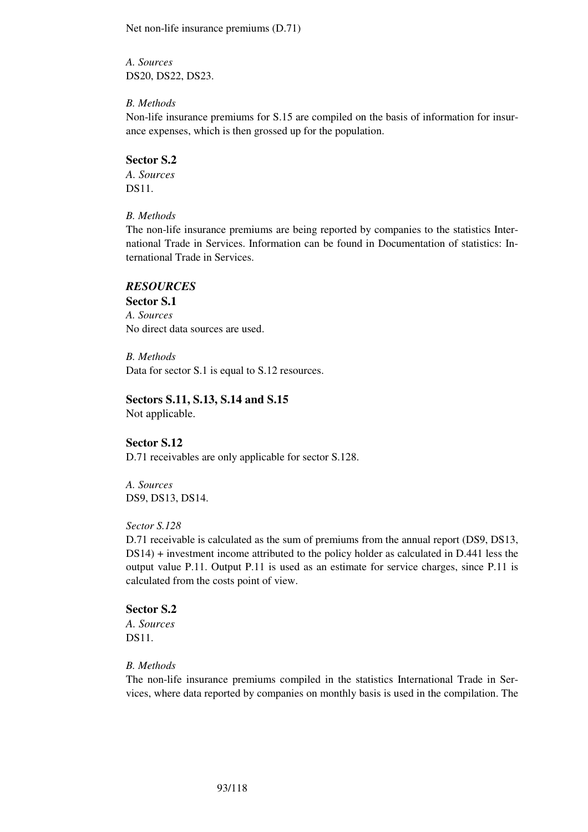Net non-life insurance premiums (D.71)

*A. Sources*  DS20, DS22, DS23.

### *B. Methods*

Non-life insurance premiums for S.15 are compiled on the basis of information for insurance expenses, which is then grossed up for the population.

### **Sector S.2**

*A. Sources*  DS11.

*B. Methods* 

The non-life insurance premiums are being reported by companies to the statistics International Trade in Services. Information can be found in Documentation of statistics: International Trade in Services.

### *RESOURCES*

**Sector S.1**  *A. Sources*  No direct data sources are used.

*B. Methods*  Data for sector S.1 is equal to S.12 resources.

## **Sectors S.11, S.13, S.14 and S.15**

Not applicable.

### **Sector S.12**

D.71 receivables are only applicable for sector S.128.

*A. Sources*  DS9, DS13, DS14.

### *Sector S.128*

D.71 receivable is calculated as the sum of premiums from the annual report (DS9, DS13, DS14) + investment income attributed to the policy holder as calculated in D.441 less the output value P.11. Output P.11 is used as an estimate for service charges, since P.11 is calculated from the costs point of view.

## **Sector S.2**

*A. Sources*  DS11.

### *B. Methods*

The non-life insurance premiums compiled in the statistics International Trade in Services, where data reported by companies on monthly basis is used in the compilation. The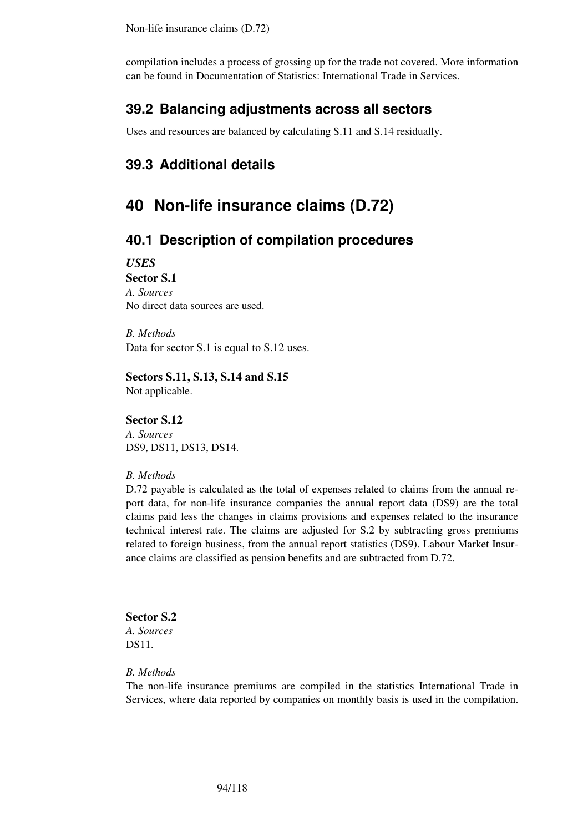compilation includes a process of grossing up for the trade not covered. More information can be found in Documentation of Statistics: International Trade in Services.

## **39.2 Balancing adjustments across all sectors**

Uses and resources are balanced by calculating S.11 and S.14 residually.

# **39.3 Additional details**

# **40 Non-life insurance claims (D.72)**

## **40.1 Description of compilation procedures**

*USES* 

### **Sector S.1**

*A. Sources*  No direct data sources are used.

*B. Methods*  Data for sector S.1 is equal to S.12 uses.

**Sectors S.11, S.13, S.14 and S.15**  Not applicable.

#### **Sector S.12**

*A. Sources*  DS9, DS11, DS13, DS14.

### *B. Methods*

D.72 payable is calculated as the total of expenses related to claims from the annual report data, for non-life insurance companies the annual report data (DS9) are the total claims paid less the changes in claims provisions and expenses related to the insurance technical interest rate. The claims are adjusted for S.2 by subtracting gross premiums related to foreign business, from the annual report statistics (DS9). Labour Market Insurance claims are classified as pension benefits and are subtracted from D.72.

#### **Sector S.2**

*A. Sources*  DS11.

#### *B. Methods*

The non-life insurance premiums are compiled in the statistics International Trade in Services, where data reported by companies on monthly basis is used in the compilation.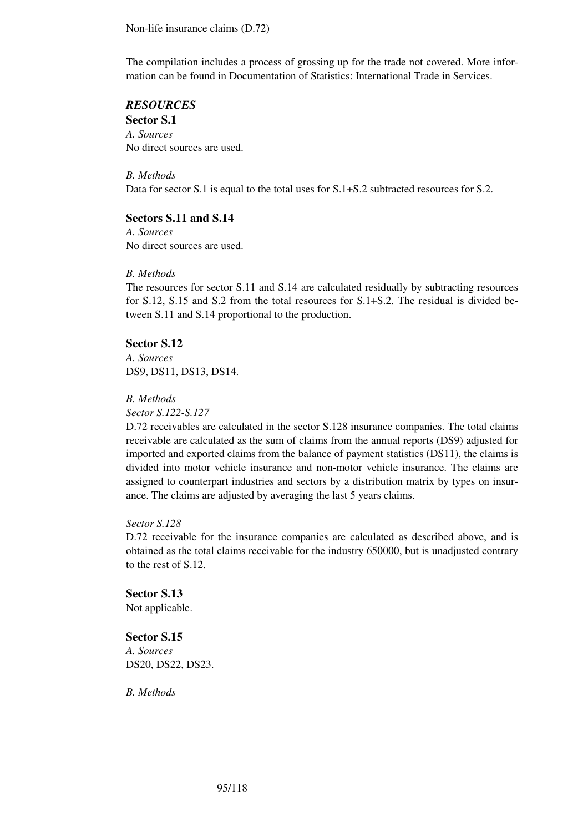Non-life insurance claims (D.72)

The compilation includes a process of grossing up for the trade not covered. More information can be found in Documentation of Statistics: International Trade in Services.

## *RESOURCES*

**Sector S.1** *A. Sources*  No direct sources are used.

*B. Methods*  Data for sector S.1 is equal to the total uses for S.1+S.2 subtracted resources for S.2.

### **Sectors S.11 and S.14**

*A. Sources*  No direct sources are used.

#### *B. Methods*

The resources for sector S.11 and S.14 are calculated residually by subtracting resources for S.12, S.15 and S.2 from the total resources for S.1+S.2. The residual is divided between S.11 and S.14 proportional to the production.

## **Sector S.12**

*A. Sources*  DS9, DS11, DS13, DS14.

*B. Methods* 

*Sector S.122-S.127* 

D.72 receivables are calculated in the sector S.128 insurance companies. The total claims receivable are calculated as the sum of claims from the annual reports (DS9) adjusted for imported and exported claims from the balance of payment statistics (DS11), the claims is divided into motor vehicle insurance and non-motor vehicle insurance. The claims are assigned to counterpart industries and sectors by a distribution matrix by types on insurance. The claims are adjusted by averaging the last 5 years claims.

#### *Sector S.128*

D.72 receivable for the insurance companies are calculated as described above, and is obtained as the total claims receivable for the industry 650000, but is unadjusted contrary to the rest of S.12.

**Sector S.13**  Not applicable.

**Sector S.15** *A. Sources*  DS20, DS22, DS23.

*B. Methods*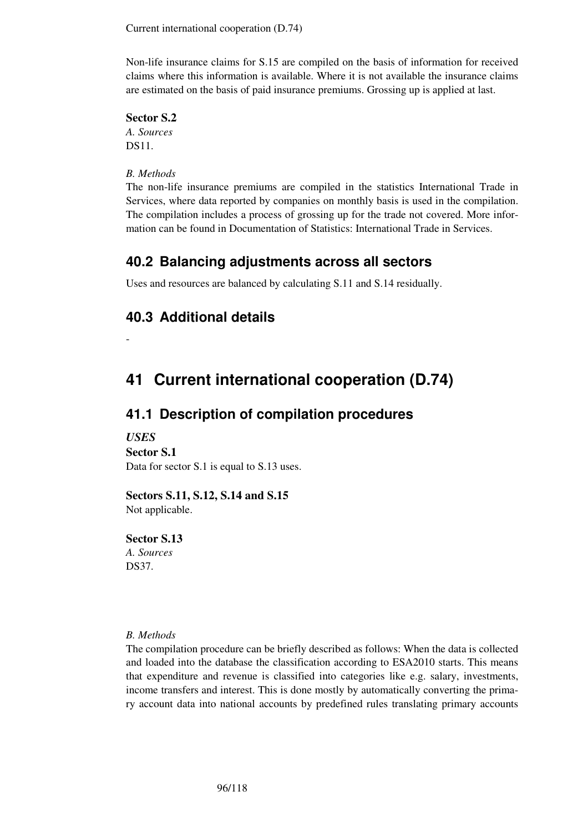Current international cooperation (D.74)

Non-life insurance claims for S.15 are compiled on the basis of information for received claims where this information is available. Where it is not available the insurance claims are estimated on the basis of paid insurance premiums. Grossing up is applied at last.

### **Sector S.2**

*A. Sources*  DS11.

*B. Methods* 

The non-life insurance premiums are compiled in the statistics International Trade in Services, where data reported by companies on monthly basis is used in the compilation. The compilation includes a process of grossing up for the trade not covered. More information can be found in Documentation of Statistics: International Trade in Services.

## **40.2 Balancing adjustments across all sectors**

Uses and resources are balanced by calculating S.11 and S.14 residually.

# **40.3 Additional details**

-

# **41 Current international cooperation (D.74)**

## **41.1 Description of compilation procedures**

### *USES*

**Sector S.1** 

Data for sector S.1 is equal to S.13 uses.

### **Sectors S.11, S.12, S.14 and S.15**

Not applicable.

### **Sector S.13**

*A. Sources*  DS37.

### *B. Methods*

The compilation procedure can be briefly described as follows: When the data is collected and loaded into the database the classification according to ESA2010 starts. This means that expenditure and revenue is classified into categories like e.g. salary, investments, income transfers and interest. This is done mostly by automatically converting the primary account data into national accounts by predefined rules translating primary accounts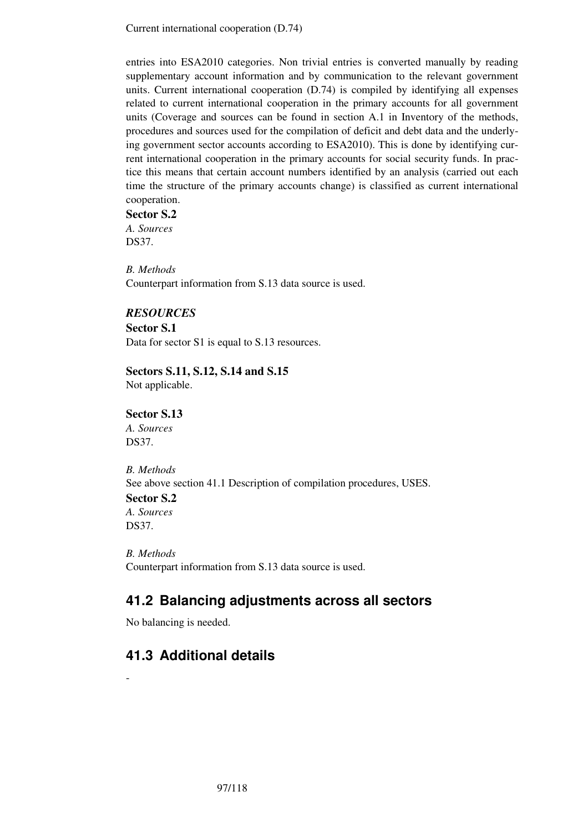Current international cooperation (D.74)

entries into ESA2010 categories. Non trivial entries is converted manually by reading supplementary account information and by communication to the relevant government units. Current international cooperation (D.74) is compiled by identifying all expenses related to current international cooperation in the primary accounts for all government units (Coverage and sources can be found in section A.1 in Inventory of the methods, procedures and sources used for the compilation of deficit and debt data and the underlying government sector accounts according to ESA2010). This is done by identifying current international cooperation in the primary accounts for social security funds. In practice this means that certain account numbers identified by an analysis (carried out each time the structure of the primary accounts change) is classified as current international cooperation.

**Sector S.2**  *A. Sources* 

DS37.

*B. Methods*  Counterpart information from S.13 data source is used.

## *RESOURCES*

**Sector S.1** 

Data for sector S1 is equal to S.13 resources.

## **Sectors S.11, S.12, S.14 and S.15**

Not applicable.

## **Sector S.13**

*A. Sources*  DS37.

*B. Methods*  See above section 41.1 Description of compilation procedures, USES. **Sector S.2** 

*A. Sources*  DS37.

-

*B. Methods*  Counterpart information from S.13 data source is used.

# **41.2 Balancing adjustments across all sectors**

No balancing is needed.

# **41.3 Additional details**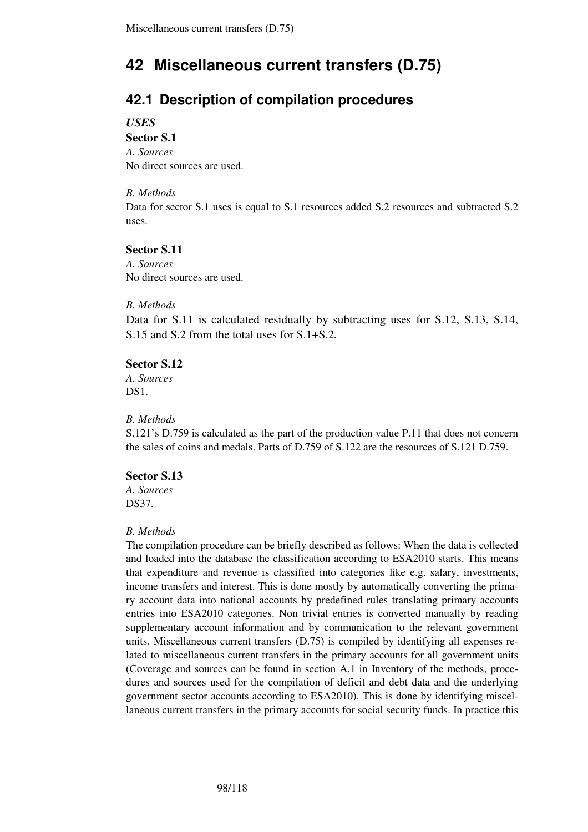# **42 Miscellaneous current transfers (D.75)**

# **42.1 Description of compilation procedures**

*USES* 

# **Sector S.1**  *A. Sources*

No direct sources are used.

## *B. Methods*

Data for sector S.1 uses is equal to S.1 resources added S.2 resources and subtracted S.2 uses.

## **Sector S.11**

*A. Sources*  No direct sources are used.

## *B. Methods*

Data for S.11 is calculated residually by subtracting uses for S.12, S.13, S.14, S.15 and S.2 from the total uses for S.1+S.2*.* 

## **Sector S.12**

*A. Sources*  DS<sub>1</sub>

## *B. Methods*

S.121's D.759 is calculated as the part of the production value P.11 that does not concern the sales of coins and medals. Parts of D.759 of S.122 are the resources of S.121 D.759.

## **Sector S.13**

*A. Sources*  DS37.

## *B. Methods*

The compilation procedure can be briefly described as follows: When the data is collected and loaded into the database the classification according to ESA2010 starts. This means that expenditure and revenue is classified into categories like e.g. salary, investments, income transfers and interest. This is done mostly by automatically converting the primary account data into national accounts by predefined rules translating primary accounts entries into ESA2010 categories. Non trivial entries is converted manually by reading supplementary account information and by communication to the relevant government units. Miscellaneous current transfers (D.75) is compiled by identifying all expenses related to miscellaneous current transfers in the primary accounts for all government units (Coverage and sources can be found in section A.1 in Inventory of the methods, procedures and sources used for the compilation of deficit and debt data and the underlying government sector accounts according to ESA2010). This is done by identifying miscellaneous current transfers in the primary accounts for social security funds. In practice this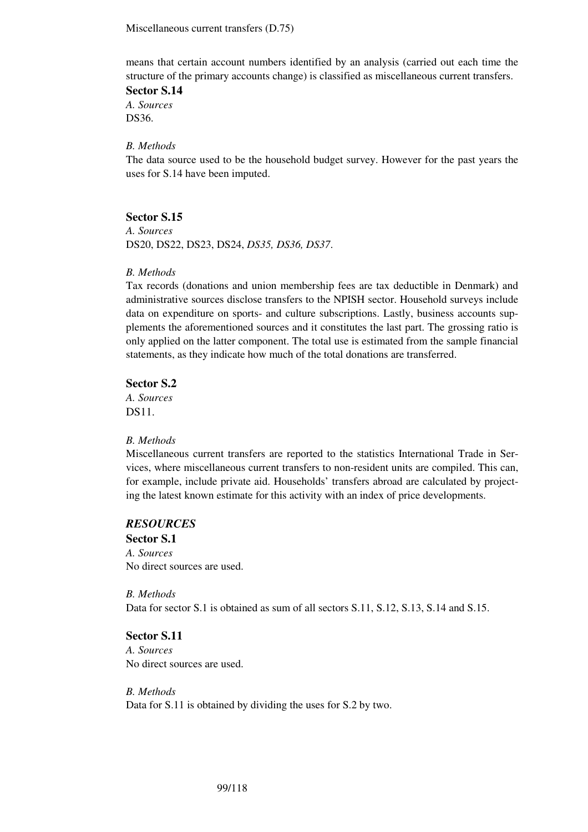Miscellaneous current transfers (D.75)

means that certain account numbers identified by an analysis (carried out each time the structure of the primary accounts change) is classified as miscellaneous current transfers.

**Sector S.14**  *A. Sources*  DS36.

### *B. Methods*

The data source used to be the household budget survey. However for the past years the uses for S.14 have been imputed.

### **Sector S.15**

*A. Sources*  DS20, DS22, DS23, DS24, *DS35, DS36, DS37*.

#### *B. Methods*

Tax records (donations and union membership fees are tax deductible in Denmark) and administrative sources disclose transfers to the NPISH sector. Household surveys include data on expenditure on sports- and culture subscriptions. Lastly, business accounts supplements the aforementioned sources and it constitutes the last part. The grossing ratio is only applied on the latter component. The total use is estimated from the sample financial statements, as they indicate how much of the total donations are transferred.

### **Sector S.2**

*A. Sources*  DS11.

#### *B. Methods*

Miscellaneous current transfers are reported to the statistics International Trade in Services, where miscellaneous current transfers to non-resident units are compiled. This can, for example, include private aid. Households' transfers abroad are calculated by projecting the latest known estimate for this activity with an index of price developments.

### *RESOURCES*

**Sector S.1**  *A. Sources*  No direct sources are used.

*B. Methods*  Data for sector S.1 is obtained as sum of all sectors S.11, S.12, S.13, S.14 and S.15.

### **Sector S.11**

*A. Sources*  No direct sources are used.

*B. Methods*  Data for S.11 is obtained by dividing the uses for S.2 by two.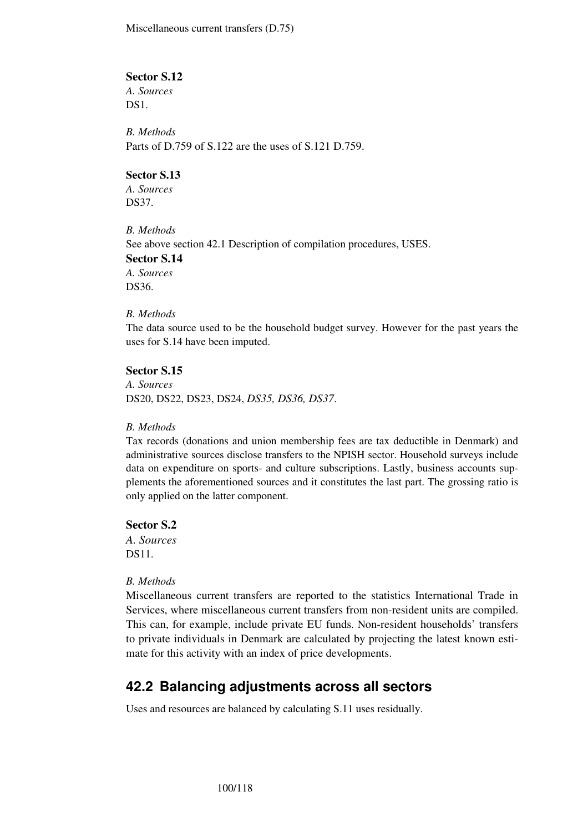Miscellaneous current transfers (D.75)

### **Sector S.12**

*A. Sources*  DS<sub>1</sub>.

*B. Methods*  Parts of D.759 of S.122 are the uses of S.121 D.759.

#### **Sector S.13**

*A. Sources*  DS37.

*B. Methods*  See above section 42.1 Description of compilation procedures, USES.

**Sector S.14**  *A. Sources* 

DS36.

#### *B. Methods*

The data source used to be the household budget survey. However for the past years the uses for S.14 have been imputed.

### **Sector S.15**

*A. Sources*  DS20, DS22, DS23, DS24, *DS35, DS36, DS37*.

### *B. Methods*

Tax records (donations and union membership fees are tax deductible in Denmark) and administrative sources disclose transfers to the NPISH sector. Household surveys include data on expenditure on sports- and culture subscriptions. Lastly, business accounts supplements the aforementioned sources and it constitutes the last part. The grossing ratio is only applied on the latter component.

**Sector S.2** 

*A. Sources*  DS11.

### *B. Methods*

Miscellaneous current transfers are reported to the statistics International Trade in Services, where miscellaneous current transfers from non-resident units are compiled. This can, for example, include private EU funds. Non-resident households' transfers to private individuals in Denmark are calculated by projecting the latest known estimate for this activity with an index of price developments.

## **42.2 Balancing adjustments across all sectors**

Uses and resources are balanced by calculating S.11 uses residually.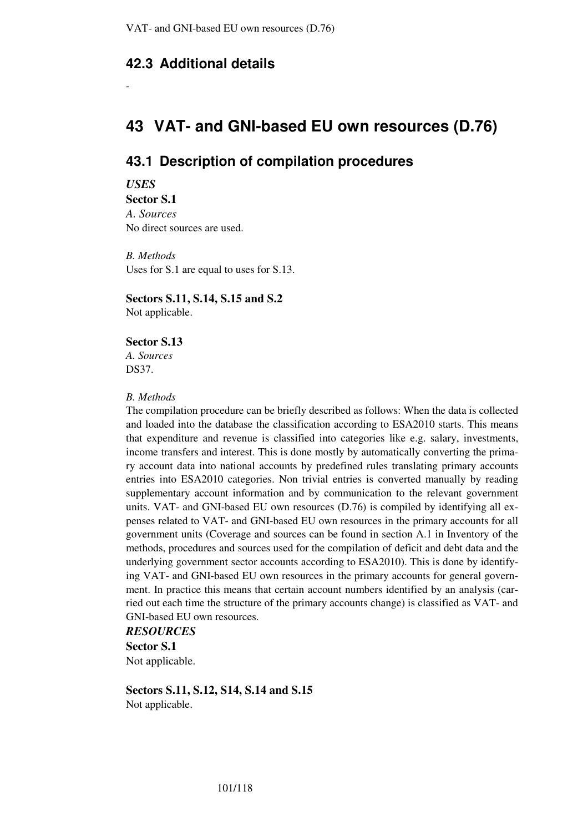## **42.3 Additional details**

# **43 VAT- and GNI-based EU own resources (D.76)**

## **43.1 Description of compilation procedures**

*USES* 

-

**Sector S.1**  *A. Sources*  No direct sources are used.

*B. Methods*  Uses for S.1 are equal to uses for S.13.

**Sectors S.11, S.14, S.15 and S.2**  Not applicable.

## **Sector S.13**

*A. Sources*  DS37.

### *B. Methods*

The compilation procedure can be briefly described as follows: When the data is collected and loaded into the database the classification according to ESA2010 starts. This means that expenditure and revenue is classified into categories like e.g. salary, investments, income transfers and interest. This is done mostly by automatically converting the primary account data into national accounts by predefined rules translating primary accounts entries into ESA2010 categories. Non trivial entries is converted manually by reading supplementary account information and by communication to the relevant government units. VAT- and GNI-based EU own resources (D.76) is compiled by identifying all expenses related to VAT- and GNI-based EU own resources in the primary accounts for all government units (Coverage and sources can be found in section A.1 in Inventory of the methods, procedures and sources used for the compilation of deficit and debt data and the underlying government sector accounts according to ESA2010). This is done by identifying VAT- and GNI-based EU own resources in the primary accounts for general government. In practice this means that certain account numbers identified by an analysis (carried out each time the structure of the primary accounts change) is classified as VAT- and GNI-based EU own resources.

*RESOURCES*  **Sector S.1**  Not applicable.

**Sectors S.11, S.12, S14, S.14 and S.15**  Not applicable.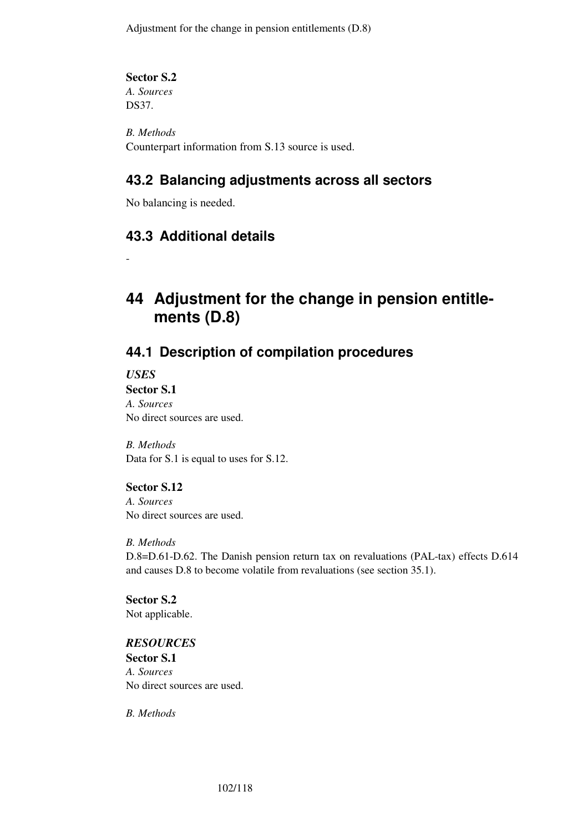Adjustment for the change in pension entitlements (D.8)

**Sector S.2** 

*A. Sources*  DS37.

*B. Methods*  Counterpart information from S.13 source is used.

# **43.2 Balancing adjustments across all sectors**

No balancing is needed.

# **43.3 Additional details**

# **44 Adjustment for the change in pension entitlements (D.8)**

# **44.1 Description of compilation procedures**

*USES* 

-

**Sector S.1**  *A. Sources*  No direct sources are used.

*B. Methods*  Data for S.1 is equal to uses for S.12.

## **Sector S.12**

*A. Sources*  No direct sources are used.

*B. Methods* 

D.8=D.61-D.62. The Danish pension return tax on revaluations (PAL-tax) effects D.614 and causes D.8 to become volatile from revaluations (see section 35.1).

**Sector S.2**  Not applicable.

## *RESOURCES*

**Sector S.1**  *A. Sources*  No direct sources are used.

*B. Methods*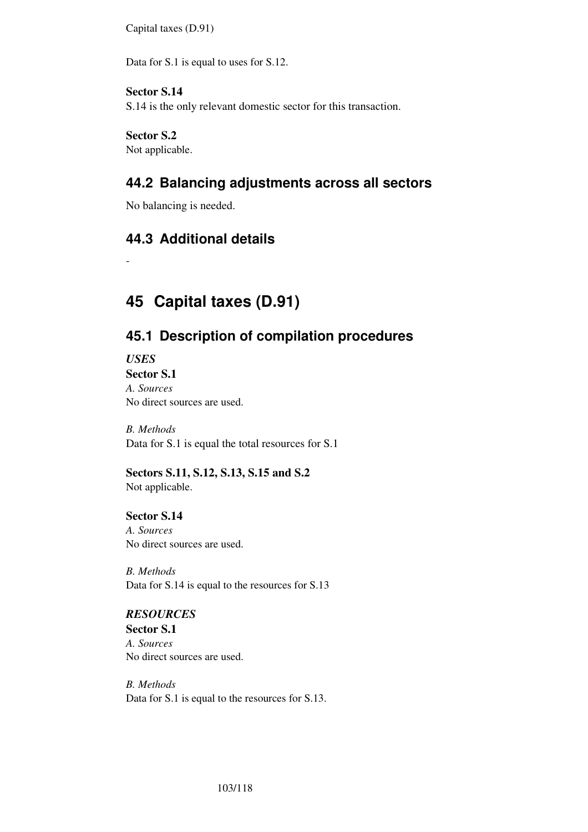Capital taxes (D.91)

Data for S.1 is equal to uses for S.12.

## **Sector S.14**

S.14 is the only relevant domestic sector for this transaction.

# **Sector S.2**

Not applicable.

# **44.2 Balancing adjustments across all sectors**

No balancing is needed.

## **44.3 Additional details**

# **45 Capital taxes (D.91)**

# **45.1 Description of compilation procedures**

*USES*  **Sector S.1** 

-

*A. Sources*  No direct sources are used.

*B. Methods*  Data for S.1 is equal the total resources for S.1

**Sectors S.11, S.12, S.13, S.15 and S.2**  Not applicable.

**Sector S.14**  *A. Sources*  No direct sources are used.

*B. Methods*  Data for S.14 is equal to the resources for S.13

## *RESOURCES*

**Sector S.1**  *A. Sources*  No direct sources are used.

*B. Methods*  Data for S.1 is equal to the resources for S.13.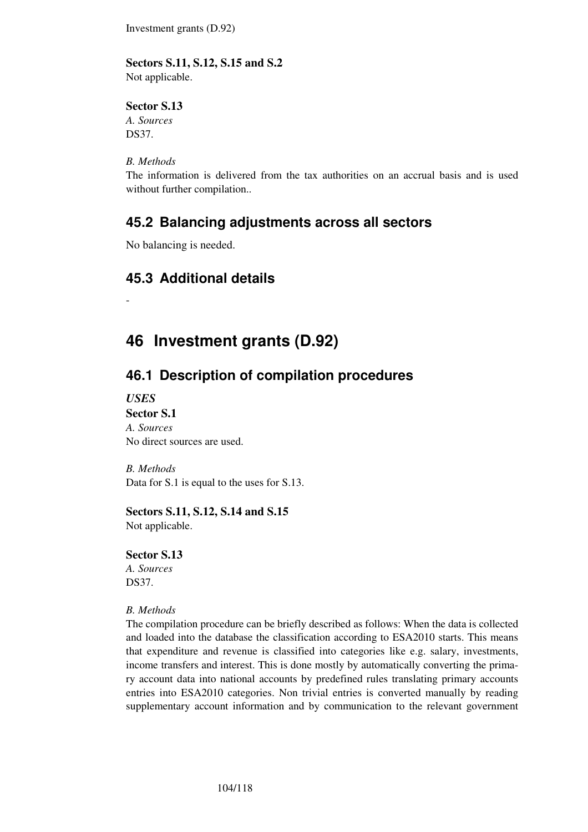Investment grants (D.92)

### **Sectors S.11, S.12, S.15 and S.2**

Not applicable.

### **Sector S.13**

*A. Sources*  DS37.

## *B. Methods*

The information is delivered from the tax authorities on an accrual basis and is used without further compilation..

## **45.2 Balancing adjustments across all sectors**

No balancing is needed.

# **45.3 Additional details**

# **46 Investment grants (D.92)**

# **46.1 Description of compilation procedures**

*USES* 

-

**Sector S.1**  *A. Sources*  No direct sources are used.

*B. Methods*  Data for S.1 is equal to the uses for S.13.

## **Sectors S.11, S.12, S.14 and S.15**

Not applicable.

### **Sector S.13**

*A. Sources*  DS37.

### *B. Methods*

The compilation procedure can be briefly described as follows: When the data is collected and loaded into the database the classification according to ESA2010 starts. This means that expenditure and revenue is classified into categories like e.g. salary, investments, income transfers and interest. This is done mostly by automatically converting the primary account data into national accounts by predefined rules translating primary accounts entries into ESA2010 categories. Non trivial entries is converted manually by reading supplementary account information and by communication to the relevant government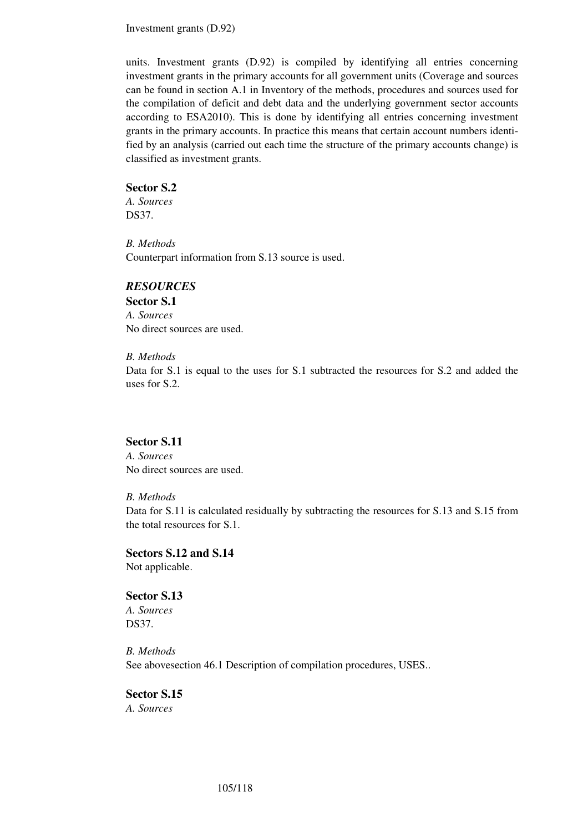Investment grants (D.92)

units. Investment grants (D.92) is compiled by identifying all entries concerning investment grants in the primary accounts for all government units (Coverage and sources can be found in section A.1 in Inventory of the methods, procedures and sources used for the compilation of deficit and debt data and the underlying government sector accounts according to ESA2010). This is done by identifying all entries concerning investment grants in the primary accounts. In practice this means that certain account numbers identified by an analysis (carried out each time the structure of the primary accounts change) is classified as investment grants.

#### **Sector S.2**

*A. Sources*  DS37.

*B. Methods*  Counterpart information from S.13 source is used.

## *RESOURCES*

**Sector S.1**  *A. Sources*  No direct sources are used.

#### *B. Methods*

Data for S.1 is equal to the uses for S.1 subtracted the resources for S.2 and added the uses for S.2.

## **Sector S.11**

*A. Sources*  No direct sources are used.

### *B. Methods*

Data for S.11 is calculated residually by subtracting the resources for S.13 and S.15 from the total resources for S.1.

**Sectors S.12 and S.14**  Not applicable.

**Sector S.13**  *A. Sources*  DS37.

*B. Methods*  See abovesection 46.1 Description of compilation procedures, USES..

### **Sector S.15**

*A. Sources*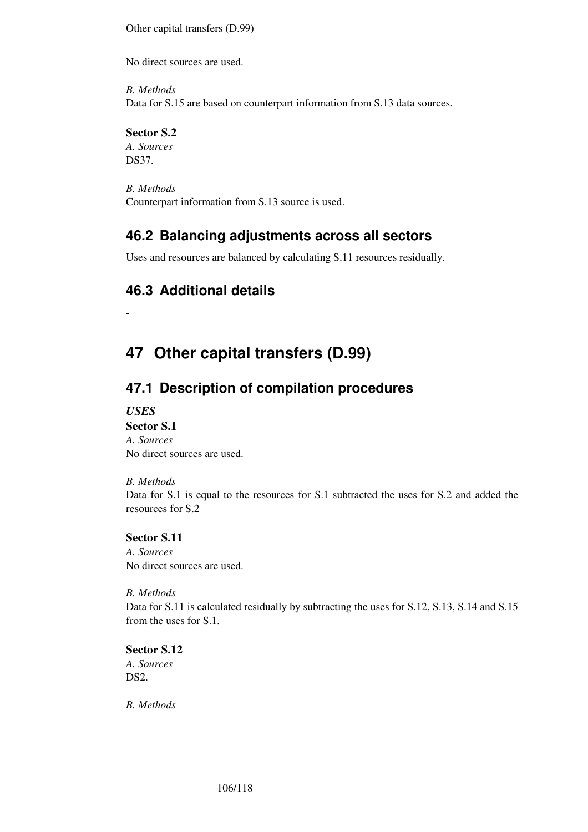Other capital transfers (D.99)

No direct sources are used.

*B. Methods*  Data for S.15 are based on counterpart information from S.13 data sources.

### **Sector S.2**

*A. Sources*  DS37.

*B. Methods*  Counterpart information from S.13 source is used.

# **46.2 Balancing adjustments across all sectors**

Uses and resources are balanced by calculating S.11 resources residually.

# **46.3 Additional details**

# **47 Other capital transfers (D.99)**

# **47.1 Description of compilation procedures**

*USES* 

-

### **Sector S.1**

*A. Sources*  No direct sources are used.

### *B. Methods*

Data for S.1 is equal to the resources for S.1 subtracted the uses for S.2 and added the resources for S.2

### **Sector S.11**

*A. Sources*  No direct sources are used.

### *B. Methods*

Data for S.11 is calculated residually by subtracting the uses for S.12, S.13, S.14 and S.15 from the uses for S.1.

**Sector S.12**  *A. Sources*  DS<sub>2</sub>

*B. Methods*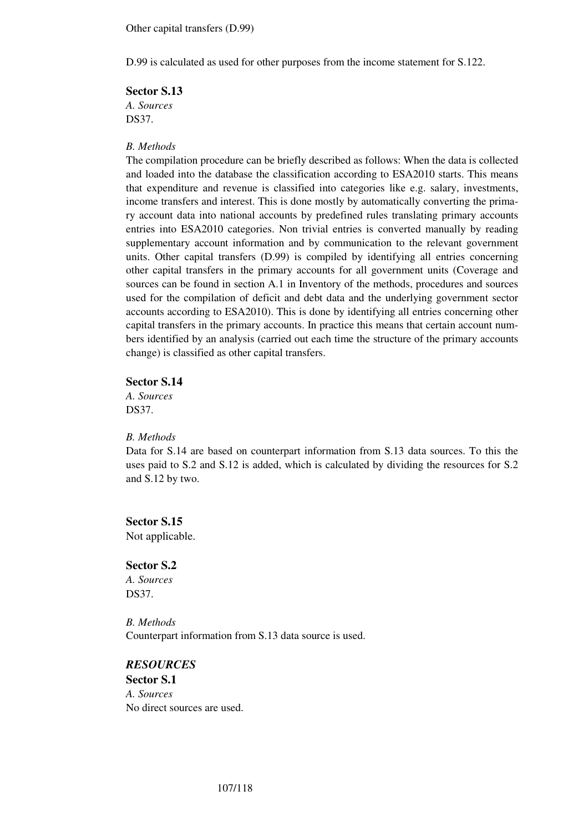Other capital transfers (D.99)

D.99 is calculated as used for other purposes from the income statement for S.122.

**Sector S.13**  *A. Sources*  DS37.

#### *B. Methods*

The compilation procedure can be briefly described as follows: When the data is collected and loaded into the database the classification according to ESA2010 starts. This means that expenditure and revenue is classified into categories like e.g. salary, investments, income transfers and interest. This is done mostly by automatically converting the primary account data into national accounts by predefined rules translating primary accounts entries into ESA2010 categories. Non trivial entries is converted manually by reading supplementary account information and by communication to the relevant government units. Other capital transfers (D.99) is compiled by identifying all entries concerning other capital transfers in the primary accounts for all government units (Coverage and sources can be found in section A.1 in Inventory of the methods, procedures and sources used for the compilation of deficit and debt data and the underlying government sector accounts according to ESA2010). This is done by identifying all entries concerning other capital transfers in the primary accounts. In practice this means that certain account numbers identified by an analysis (carried out each time the structure of the primary accounts change) is classified as other capital transfers.

#### **Sector S.14**

*A. Sources*  DS37.

### *B. Methods*

Data for S.14 are based on counterpart information from S.13 data sources. To this the uses paid to S.2 and S.12 is added, which is calculated by dividing the resources for S.2 and S.12 by two.

**Sector S.15**  Not applicable.

**Sector S.2**  *A. Sources*  DS37.

*B. Methods*  Counterpart information from S.13 data source is used.

*RESOURCES*  **Sector S.1**  *A. Sources*  No direct sources are used.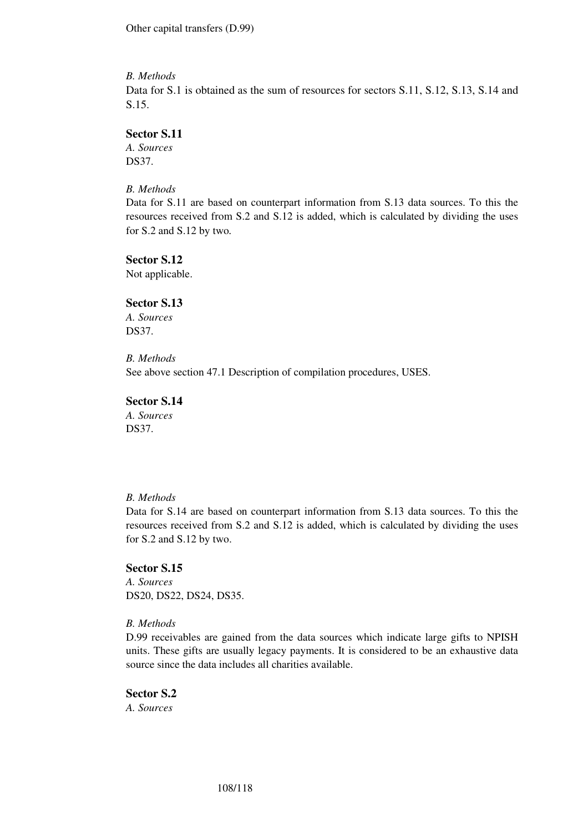Other capital transfers (D.99)

### *B. Methods*

Data for S.1 is obtained as the sum of resources for sectors S.11, S.12, S.13, S.14 and S.15.

### **Sector S.11**

*A. Sources*  DS37.

*B. Methods* 

Data for S.11 are based on counterpart information from S.13 data sources. To this the resources received from S.2 and S.12 is added, which is calculated by dividing the uses for S.2 and S.12 by two*.* 

#### **Sector S.12**

Not applicable.

### **Sector S.13**

*A. Sources*  DS37.

#### *B. Methods*

See above section 47.1 Description of compilation procedures, USES.

### **Sector S.14**

*A. Sources*  DS37.

### *B. Methods*

Data for S.14 are based on counterpart information from S.13 data sources. To this the resources received from S.2 and S.12 is added, which is calculated by dividing the uses for S.2 and S.12 by two.

### **Sector S.15**

*A. Sources*  DS20, DS22, DS24, DS35.

### *B. Methods*

D.99 receivables are gained from the data sources which indicate large gifts to NPISH units. These gifts are usually legacy payments. It is considered to be an exhaustive data source since the data includes all charities available.

# **Sector S.2**

*A. Sources*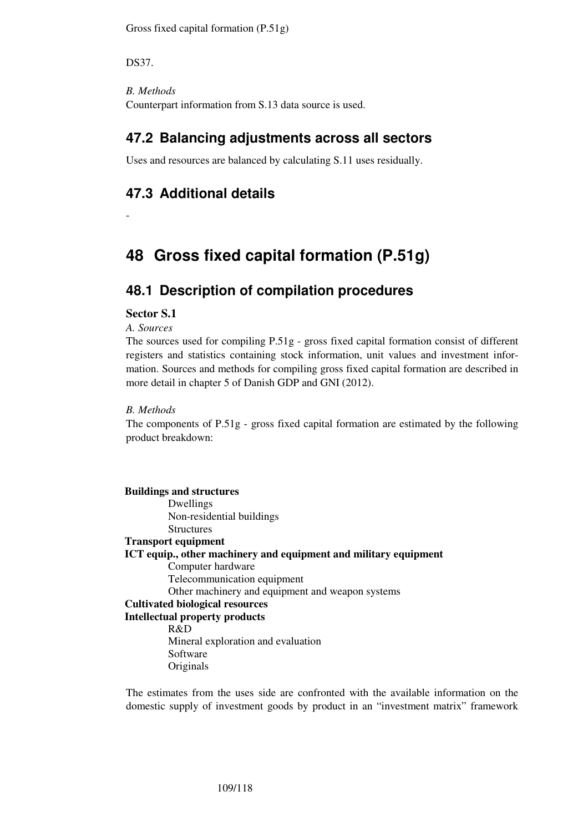Gross fixed capital formation (P.51g)

DS37.

-

*B. Methods*  Counterpart information from S.13 data source is used.

## **47.2 Balancing adjustments across all sectors**

Uses and resources are balanced by calculating S.11 uses residually.

# **47.3 Additional details**

# **48 Gross fixed capital formation (P.51g)**

# **48.1 Description of compilation procedures**

#### **Sector S.1**

*A. Sources* 

The sources used for compiling P.51g - gross fixed capital formation consist of different registers and statistics containing stock information, unit values and investment information. Sources and methods for compiling gross fixed capital formation are described in more detail in chapter 5 of Danish GDP and GNI (2012).

#### *B. Methods*

The components of P.51g - gross fixed capital formation are estimated by the following product breakdown:

**Buildings and structures**  Dwellings Non-residential buildings **Structures Transport equipment ICT equip., other machinery and equipment and military equipment**  Computer hardware Telecommunication equipment Other machinery and equipment and weapon systems **Cultivated biological resources Intellectual property products**  R&D Mineral exploration and evaluation Software Originals

The estimates from the uses side are confronted with the available information on the domestic supply of investment goods by product in an "investment matrix" framework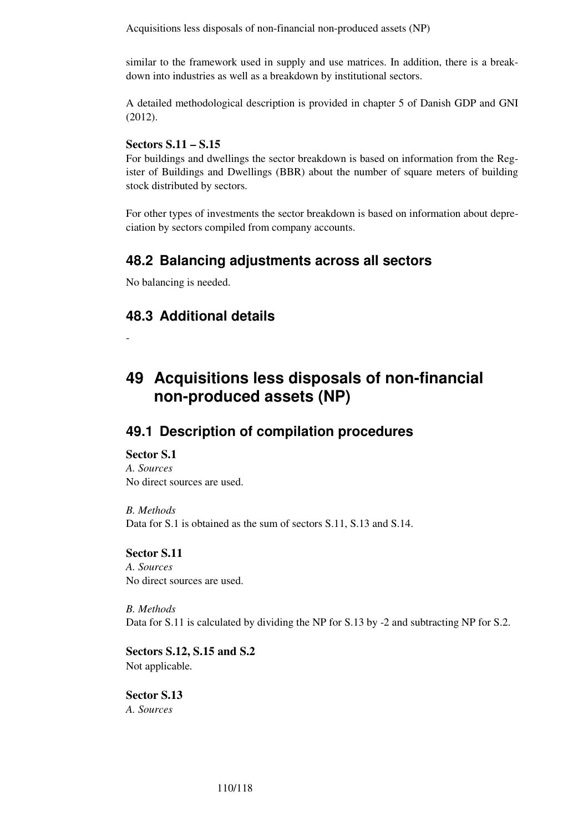Acquisitions less disposals of non-financial non-produced assets (NP)

similar to the framework used in supply and use matrices. In addition, there is a breakdown into industries as well as a breakdown by institutional sectors.

A detailed methodological description is provided in chapter 5 of Danish GDP and GNI (2012).

#### **Sectors S.11 – S.15**

For buildings and dwellings the sector breakdown is based on information from the Register of Buildings and Dwellings (BBR) about the number of square meters of building stock distributed by sectors.

For other types of investments the sector breakdown is based on information about depreciation by sectors compiled from company accounts.

### **48.2 Balancing adjustments across all sectors**

No balancing is needed.

## **48.3 Additional details**

**49 Acquisitions less disposals of non-financial non-produced assets (NP)** 

### **49.1 Description of compilation procedures**

#### **Sector S.1**

-

*A. Sources*  No direct sources are used.

*B. Methods*  Data for S.1 is obtained as the sum of sectors S.11, S.13 and S.14.

#### **Sector S.11**

*A. Sources*  No direct sources are used.

*B. Methods*  Data for S.11 is calculated by dividing the NP for S.13 by -2 and subtracting NP for S.2.

**Sectors S.12, S.15 and S.2**  Not applicable*.* 

**Sector S.13**  *A. Sources*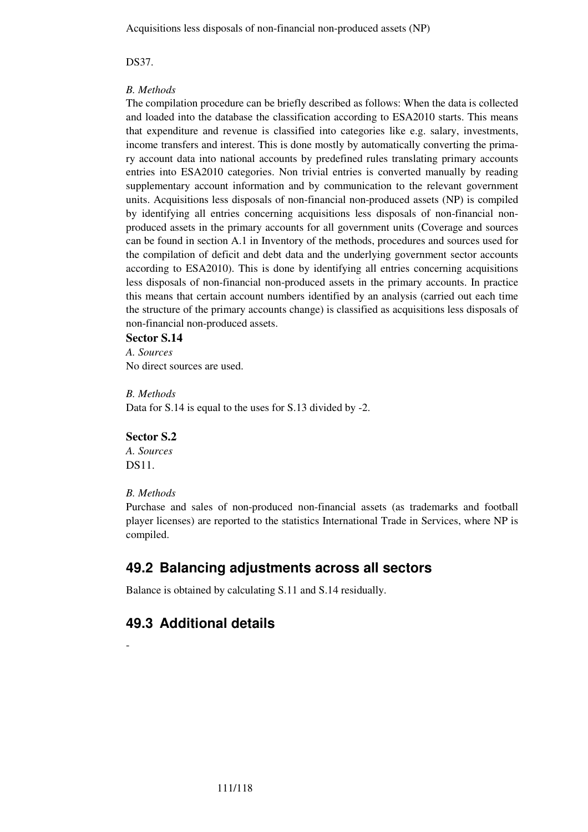Acquisitions less disposals of non-financial non-produced assets (NP)

DS37.

#### *B. Methods*

The compilation procedure can be briefly described as follows: When the data is collected and loaded into the database the classification according to ESA2010 starts. This means that expenditure and revenue is classified into categories like e.g. salary, investments, income transfers and interest. This is done mostly by automatically converting the primary account data into national accounts by predefined rules translating primary accounts entries into ESA2010 categories. Non trivial entries is converted manually by reading supplementary account information and by communication to the relevant government units. Acquisitions less disposals of non-financial non-produced assets (NP) is compiled by identifying all entries concerning acquisitions less disposals of non-financial nonproduced assets in the primary accounts for all government units (Coverage and sources can be found in section A.1 in Inventory of the methods, procedures and sources used for the compilation of deficit and debt data and the underlying government sector accounts according to ESA2010). This is done by identifying all entries concerning acquisitions less disposals of non-financial non-produced assets in the primary accounts. In practice this means that certain account numbers identified by an analysis (carried out each time the structure of the primary accounts change) is classified as acquisitions less disposals of non-financial non-produced assets.

#### **Sector S.14**

*A. Sources*  No direct sources are used.

*B. Methods*  Data for S.14 is equal to the uses for S.13 divided by -2.

#### **Sector S.2**

*A. Sources*  DS11.

#### *B. Methods*

-

Purchase and sales of non-produced non-financial assets (as trademarks and football player licenses) are reported to the statistics International Trade in Services, where NP is compiled.

# **49.2 Balancing adjustments across all sectors**

Balance is obtained by calculating S.11 and S.14 residually.

# **49.3 Additional details**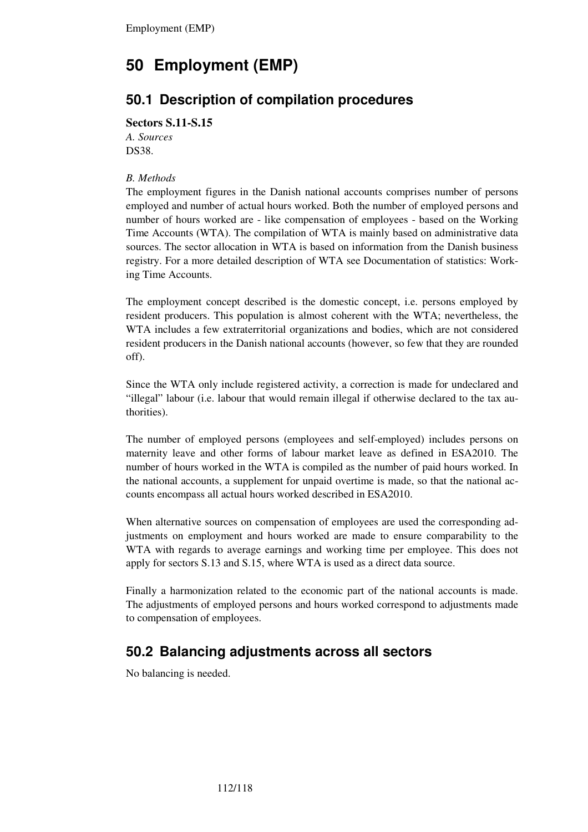# **50 Employment (EMP)**

# **50.1 Description of compilation procedures**

#### **Sectors S.11-S.15**

*A. Sources*  DS38.

#### *B. Methods*

The employment figures in the Danish national accounts comprises number of persons employed and number of actual hours worked. Both the number of employed persons and number of hours worked are - like compensation of employees - based on the Working Time Accounts (WTA). The compilation of WTA is mainly based on administrative data sources. The sector allocation in WTA is based on information from the Danish business registry. For a more detailed description of WTA see Documentation of statistics: Working Time Accounts.

The employment concept described is the domestic concept, i.e. persons employed by resident producers. This population is almost coherent with the WTA; nevertheless, the WTA includes a few extraterritorial organizations and bodies, which are not considered resident producers in the Danish national accounts (however, so few that they are rounded off).

Since the WTA only include registered activity, a correction is made for undeclared and "illegal" labour (i.e. labour that would remain illegal if otherwise declared to the tax authorities).

The number of employed persons (employees and self-employed) includes persons on maternity leave and other forms of labour market leave as defined in ESA2010. The number of hours worked in the WTA is compiled as the number of paid hours worked. In the national accounts, a supplement for unpaid overtime is made, so that the national accounts encompass all actual hours worked described in ESA2010.

When alternative sources on compensation of employees are used the corresponding adjustments on employment and hours worked are made to ensure comparability to the WTA with regards to average earnings and working time per employee. This does not apply for sectors S.13 and S.15, where WTA is used as a direct data source.

Finally a harmonization related to the economic part of the national accounts is made. The adjustments of employed persons and hours worked correspond to adjustments made to compensation of employees.

# **50.2 Balancing adjustments across all sectors**

No balancing is needed.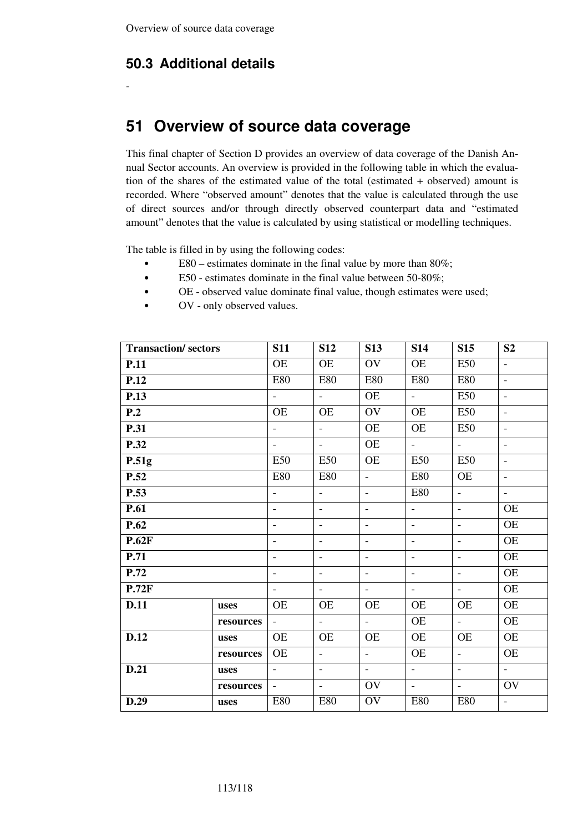## **50.3 Additional details**

-

# **51 Overview of source data coverage**

This final chapter of Section D provides an overview of data coverage of the Danish Annual Sector accounts. An overview is provided in the following table in which the evaluation of the shares of the estimated value of the total (estimated + observed) amount is recorded. Where "observed amount" denotes that the value is calculated through the use of direct sources and/or through directly observed counterpart data and "estimated amount" denotes that the value is calculated by using statistical or modelling techniques.

The table is filled in by using the following codes:

- E80 estimates dominate in the final value by more than 80%;
- E50 estimates dominate in the final value between 50-80%;
- OE observed value dominate final value, though estimates were used;
- OV only observed values.

| <b>Transaction/sectors</b> |           | <b>S11</b>               | <b>S12</b>               | <b>S13</b>               | <b>S14</b>               | <b>S15</b>               | S <sub>2</sub>            |
|----------------------------|-----------|--------------------------|--------------------------|--------------------------|--------------------------|--------------------------|---------------------------|
| <b>P.11</b>                |           | <b>OE</b>                | <b>OE</b>                | OV                       | <b>OE</b>                | <b>E50</b>               | $\overline{\phantom{a}}$  |
| P.12                       |           | <b>E80</b>               | <b>E80</b>               | <b>E80</b>               | <b>E80</b>               | <b>E80</b>               | $\overline{\phantom{a}}$  |
| <b>P.13</b>                |           | $\blacksquare$           | $\equiv$                 | OE                       | $\omega$                 | E50                      | $\overline{\phantom{a}}$  |
| P.2                        |           | <b>OE</b>                | <b>OE</b>                | OV                       | <b>OE</b>                | E50                      | $\overline{\phantom{a}}$  |
| <b>P.31</b>                |           | $\mathbf{r}$             | $\mathbb{L}$             | OE                       | OE                       | <b>E50</b>               | $\equiv$                  |
| P.32                       |           | $\equiv$                 | $\equiv$                 | <b>OE</b>                | $\equiv$                 | $\equiv$                 | $\overline{\phantom{a}}$  |
| P.51g                      |           | <b>E50</b>               | E50                      | <b>OE</b>                | <b>E50</b>               | <b>E50</b>               | $\overline{\phantom{a}}$  |
| P.52                       |           | <b>E80</b>               | <b>E80</b>               | $\overline{\phantom{a}}$ | <b>E80</b>               | <b>OE</b>                | $\blacksquare$            |
| P.53                       |           | $\blacksquare$           | $\equiv$                 | $\equiv$                 | <b>E80</b>               | $\blacksquare$           | $\overline{\phantom{a}}$  |
| <b>P.61</b>                |           | $\blacksquare$           | $\overline{\phantom{a}}$ | $\overline{\phantom{a}}$ | $\overline{\phantom{a}}$ | $\overline{\phantom{a}}$ | <b>OE</b>                 |
| P.62                       |           | $\overline{\phantom{a}}$ | $\overline{\phantom{a}}$ | $\overline{\phantom{a}}$ | $\blacksquare$           | $\overline{\phantom{a}}$ | <b>OE</b>                 |
| <b>P.62F</b>               |           | $\overline{\phantom{a}}$ | $\overline{\phantom{a}}$ | $\overline{\phantom{a}}$ | $\overline{\phantom{a}}$ | $\overline{\phantom{a}}$ | <b>OE</b>                 |
| <b>P.71</b>                |           | $\overline{\phantom{a}}$ | $\blacksquare$           | $\overline{\phantom{a}}$ | $\overline{\phantom{a}}$ | $\blacksquare$           | OE                        |
| P.72                       |           | $\overline{\phantom{a}}$ | $\blacksquare$           | $\mathbb{L}$             | $\overline{\phantom{a}}$ | $\blacksquare$           | <b>OE</b>                 |
| P.72F                      |           | $\overline{\phantom{a}}$ | $\blacksquare$           | $\equiv$                 | $\blacksquare$           | $\equiv$                 | <b>OE</b>                 |
| <b>D.11</b>                | uses      | <b>OE</b>                | <b>OE</b>                | <b>OE</b>                | OE                       | <b>OE</b>                | <b>OE</b>                 |
|                            | resources | $\overline{\phantom{a}}$ | $\equiv$                 | $\overline{\phantom{a}}$ | <b>OE</b>                | $\equiv$                 | <b>OE</b>                 |
| <b>D.12</b>                | uses      | <b>OE</b>                | <b>OE</b>                | OE                       | OE                       | <b>OE</b>                | <b>OE</b>                 |
|                            | resources | <b>OE</b>                | $\equiv$                 | $\overline{\phantom{a}}$ | $\overline{\text{OE}}$   | $\overline{\phantom{a}}$ | OE                        |
| D.21                       | uses      | $\blacksquare$           | $\overline{\phantom{a}}$ | $\overline{\phantom{a}}$ | $\equiv$                 | $\overline{\phantom{a}}$ | $\mathbb{Z}^{\mathbb{Z}}$ |
|                            | resources | $\overline{\phantom{a}}$ | $\overline{\phantom{a}}$ | OV                       | $\equiv$                 | $\overline{\phantom{a}}$ | OV                        |
| D.29                       | uses      | <b>E80</b>               | <b>E80</b>               | OV                       | <b>E80</b>               | <b>E80</b>               | $\overline{\phantom{a}}$  |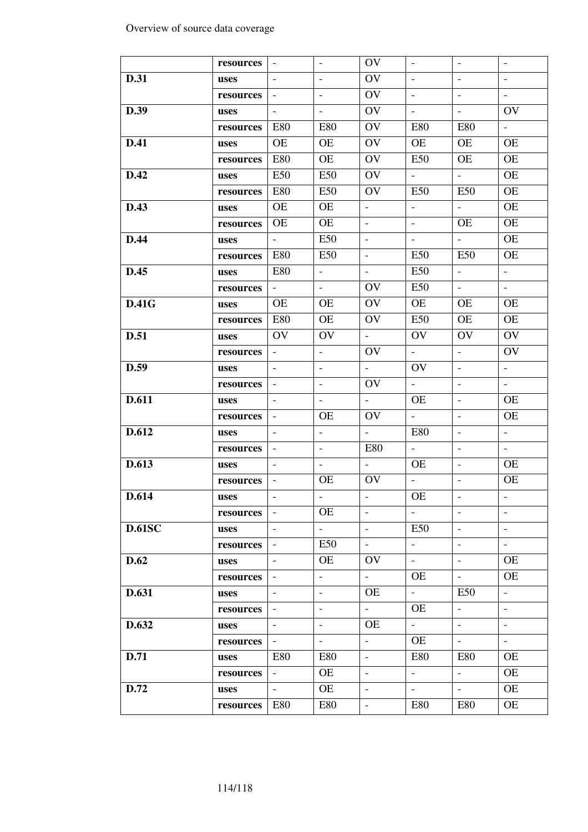| $\omega$<br>$\overline{\phantom{a}}$<br>$\overline{\phantom{0}}$<br>$\sim$<br>$\overline{\phantom{a}}$<br>resources<br><b>D.31</b><br>OV<br>$\blacksquare$<br>$\Box$<br>$\blacksquare$<br>$\overline{\phantom{a}}$<br>$\overline{\phantom{a}}$<br>uses<br>OV<br>$\overline{\phantom{a}}$<br>$\overline{\phantom{a}}$<br>$\overline{\phantom{a}}$<br>$\overline{\phantom{a}}$<br>resources<br>$\overline{\phantom{a}}$<br>OV<br>D.39<br>$\mathbb{L}$<br>OV<br>$\overline{\phantom{a}}$<br>$\overline{\phantom{a}}$<br>$\overline{\phantom{a}}$<br>uses<br>OV<br>E80<br>E80<br><b>E80</b><br>E80<br>$\equiv$<br>resources<br>OV<br><b>D.41</b><br><b>OE</b><br><b>OE</b><br>OE<br><b>OE</b><br><b>OE</b><br>uses<br><b>E80</b><br>OE<br>OV<br>E50<br><b>OE</b><br>OE<br>resources<br>E50<br>E50<br>OV<br><b>OE</b><br>D.42<br>$\omega_{\rm{eff}}$<br>$\omega_{\rm{eff}}$<br>uses<br>E50<br>E80<br>OV<br>OE<br>E50<br>E50<br>resources<br>D.43<br><b>OE</b><br><b>OE</b><br><b>OE</b><br>$\overline{\phantom{a}}$<br>$\overline{\phantom{a}}$<br>$\blacksquare$<br>uses<br><b>OE</b><br><b>OE</b><br><b>OE</b><br>$\omega$<br><b>OE</b><br>$\equiv$<br>resources<br>E50<br><b>D.44</b><br>$\mathcal{L}_{\mathcal{A}}$<br><b>OE</b><br>$\omega_{\rm{max}}$<br>$\equiv$<br>$\equiv$<br>uses<br>E50<br>E50<br><b>E80</b><br>E50<br><b>OE</b><br>$\equiv$<br>resources<br><b>E80</b><br>$\omega_{\rm c}$<br>E50<br>$\mathbb{L}^{\mathbb{N}}$<br>$\equiv$<br>D.45<br>$\overline{\phantom{a}}$<br>uses<br>OV<br>E50<br>$\mathbb{L}^+$<br>$\sim$<br>$\omega_{\rm{eff}}$<br>$\equiv$<br>resources<br>OV<br><b>D.41G</b><br><b>OE</b><br><b>OE</b><br><b>OE</b><br><b>OE</b><br><b>OE</b><br>uses<br><b>E80</b><br><b>OE</b><br><b>E50</b><br><b>OE</b><br><b>OE</b><br>OV<br>resources<br>OV<br>OV<br>OV<br>OV<br>OV<br><b>D.51</b><br>$\omega_{\rm c}$<br>uses<br>$\omega_{\rm{eff}}$<br>OV<br>$\equiv$<br>OV<br>$\equiv$<br>$\sim$<br>resources<br>D.59<br>OV<br>$\mathbb{L}^{\mathbb{N}}$<br>$\equiv$<br>$\overline{\phantom{a}}$<br>$\overline{\phantom{0}}$<br>$\blacksquare$<br>uses<br>$\mathbb{Z}^{\mathbb{Z}}$<br>OV<br>$\mathbb{Z}^{\mathbb{Z}}$<br>$\overline{\phantom{a}}$<br>$\equiv$<br>$\overline{\phantom{0}}$<br>resources<br><b>D.611</b><br>$\omega_{\rm c}$<br><b>OE</b><br>$\overline{\phantom{a}}$<br><b>OE</b><br>$\overline{\phantom{a}}$<br>$\overline{\phantom{a}}$<br>uses<br><b>OE</b><br><b>OE</b><br>OV<br>$\equiv$<br>$\overline{\phantom{a}}$<br>$\overline{\phantom{a}}$<br>resources<br>D.612<br>$\mathbb{L}$<br><b>E80</b><br>$\mathbb{L}^+$<br>$\equiv$<br>$\equiv$<br>$\blacksquare$<br>uses<br>$\omega_{\rm c}$<br><b>E80</b><br>$\equiv$<br>$\overline{\phantom{0}}$<br>$\overline{\phantom{a}}$<br>$\overline{\phantom{a}}$<br>resources<br>D.613<br>OE<br>$\equiv$<br>$\omega_{\rm{eff}}$<br>OE<br>$\overline{\phantom{a}}$<br>$\overline{\phantom{a}}$<br>uses<br>OV<br><b>OE</b><br>$\equiv$<br><b>OE</b><br>$\blacksquare$<br>$\blacksquare$<br>resources<br>OE<br>D.614<br>uses<br><b>OE</b><br>$\equiv$<br>$\blacksquare$<br>$\overline{\phantom{a}}$<br>$\sim$<br>$\overline{\phantom{a}}$<br>resources<br><b>D.61SC</b><br><b>E50</b><br>$\omega_{\rm c}$<br>$\Box$<br>$\equiv$<br>$\equiv$<br>$\overline{\phantom{a}}$<br>uses<br>$\omega_{\rm{eff}}$<br>E50<br>$\equiv$<br>$\equiv$<br>$\omega$<br>$\overline{\phantom{a}}$<br>resources<br><b>D.62</b><br>OV<br>$\omega_{\rm c}$<br>OE<br><b>OE</b><br>$\overline{\phantom{a}}$<br>$\overline{\phantom{a}}$<br>uses<br>OE<br>$\equiv$<br>OE<br>$\overline{\phantom{a}}$<br>$\overline{\phantom{0}}$<br>resources<br>$\overline{\phantom{a}}$<br>D.631<br>OE<br>$\omega_{\rm{eff}}$<br>E50<br>$\equiv$<br>$\overline{\phantom{a}}$<br>$\overline{\phantom{a}}$<br>uses |  |  |    |  |  |
|---------------------------------------------------------------------------------------------------------------------------------------------------------------------------------------------------------------------------------------------------------------------------------------------------------------------------------------------------------------------------------------------------------------------------------------------------------------------------------------------------------------------------------------------------------------------------------------------------------------------------------------------------------------------------------------------------------------------------------------------------------------------------------------------------------------------------------------------------------------------------------------------------------------------------------------------------------------------------------------------------------------------------------------------------------------------------------------------------------------------------------------------------------------------------------------------------------------------------------------------------------------------------------------------------------------------------------------------------------------------------------------------------------------------------------------------------------------------------------------------------------------------------------------------------------------------------------------------------------------------------------------------------------------------------------------------------------------------------------------------------------------------------------------------------------------------------------------------------------------------------------------------------------------------------------------------------------------------------------------------------------------------------------------------------------------------------------------------------------------------------------------------------------------------------------------------------------------------------------------------------------------------------------------------------------------------------------------------------------------------------------------------------------------------------------------------------------------------------------------------------------------------------------------------------------------------------------------------------------------------------------------------------------------------------------------------------------------------------------------------------------------------------------------------------------------------------------------------------------------------------------------------------------------------------------------------------------------------------------------------------------------------------------------------------------------------------------------------------------------------------------------------------------------------------------------------------------------------------------------------------------------------------------------------------------------------------------------------------------------------------------------------------------------------------------------------------------------------------------------------------------------------------------------------------------------------------------------------------------------------------------------------------------------------------------------------------------------------------------------------------------------|--|--|----|--|--|
|                                                                                                                                                                                                                                                                                                                                                                                                                                                                                                                                                                                                                                                                                                                                                                                                                                                                                                                                                                                                                                                                                                                                                                                                                                                                                                                                                                                                                                                                                                                                                                                                                                                                                                                                                                                                                                                                                                                                                                                                                                                                                                                                                                                                                                                                                                                                                                                                                                                                                                                                                                                                                                                                                                                                                                                                                                                                                                                                                                                                                                                                                                                                                                                                                                                                                                                                                                                                                                                                                                                                                                                                                                                                                                                                                               |  |  | OV |  |  |
|                                                                                                                                                                                                                                                                                                                                                                                                                                                                                                                                                                                                                                                                                                                                                                                                                                                                                                                                                                                                                                                                                                                                                                                                                                                                                                                                                                                                                                                                                                                                                                                                                                                                                                                                                                                                                                                                                                                                                                                                                                                                                                                                                                                                                                                                                                                                                                                                                                                                                                                                                                                                                                                                                                                                                                                                                                                                                                                                                                                                                                                                                                                                                                                                                                                                                                                                                                                                                                                                                                                                                                                                                                                                                                                                                               |  |  |    |  |  |
|                                                                                                                                                                                                                                                                                                                                                                                                                                                                                                                                                                                                                                                                                                                                                                                                                                                                                                                                                                                                                                                                                                                                                                                                                                                                                                                                                                                                                                                                                                                                                                                                                                                                                                                                                                                                                                                                                                                                                                                                                                                                                                                                                                                                                                                                                                                                                                                                                                                                                                                                                                                                                                                                                                                                                                                                                                                                                                                                                                                                                                                                                                                                                                                                                                                                                                                                                                                                                                                                                                                                                                                                                                                                                                                                                               |  |  |    |  |  |
|                                                                                                                                                                                                                                                                                                                                                                                                                                                                                                                                                                                                                                                                                                                                                                                                                                                                                                                                                                                                                                                                                                                                                                                                                                                                                                                                                                                                                                                                                                                                                                                                                                                                                                                                                                                                                                                                                                                                                                                                                                                                                                                                                                                                                                                                                                                                                                                                                                                                                                                                                                                                                                                                                                                                                                                                                                                                                                                                                                                                                                                                                                                                                                                                                                                                                                                                                                                                                                                                                                                                                                                                                                                                                                                                                               |  |  |    |  |  |
|                                                                                                                                                                                                                                                                                                                                                                                                                                                                                                                                                                                                                                                                                                                                                                                                                                                                                                                                                                                                                                                                                                                                                                                                                                                                                                                                                                                                                                                                                                                                                                                                                                                                                                                                                                                                                                                                                                                                                                                                                                                                                                                                                                                                                                                                                                                                                                                                                                                                                                                                                                                                                                                                                                                                                                                                                                                                                                                                                                                                                                                                                                                                                                                                                                                                                                                                                                                                                                                                                                                                                                                                                                                                                                                                                               |  |  |    |  |  |
|                                                                                                                                                                                                                                                                                                                                                                                                                                                                                                                                                                                                                                                                                                                                                                                                                                                                                                                                                                                                                                                                                                                                                                                                                                                                                                                                                                                                                                                                                                                                                                                                                                                                                                                                                                                                                                                                                                                                                                                                                                                                                                                                                                                                                                                                                                                                                                                                                                                                                                                                                                                                                                                                                                                                                                                                                                                                                                                                                                                                                                                                                                                                                                                                                                                                                                                                                                                                                                                                                                                                                                                                                                                                                                                                                               |  |  |    |  |  |
|                                                                                                                                                                                                                                                                                                                                                                                                                                                                                                                                                                                                                                                                                                                                                                                                                                                                                                                                                                                                                                                                                                                                                                                                                                                                                                                                                                                                                                                                                                                                                                                                                                                                                                                                                                                                                                                                                                                                                                                                                                                                                                                                                                                                                                                                                                                                                                                                                                                                                                                                                                                                                                                                                                                                                                                                                                                                                                                                                                                                                                                                                                                                                                                                                                                                                                                                                                                                                                                                                                                                                                                                                                                                                                                                                               |  |  |    |  |  |
|                                                                                                                                                                                                                                                                                                                                                                                                                                                                                                                                                                                                                                                                                                                                                                                                                                                                                                                                                                                                                                                                                                                                                                                                                                                                                                                                                                                                                                                                                                                                                                                                                                                                                                                                                                                                                                                                                                                                                                                                                                                                                                                                                                                                                                                                                                                                                                                                                                                                                                                                                                                                                                                                                                                                                                                                                                                                                                                                                                                                                                                                                                                                                                                                                                                                                                                                                                                                                                                                                                                                                                                                                                                                                                                                                               |  |  |    |  |  |
|                                                                                                                                                                                                                                                                                                                                                                                                                                                                                                                                                                                                                                                                                                                                                                                                                                                                                                                                                                                                                                                                                                                                                                                                                                                                                                                                                                                                                                                                                                                                                                                                                                                                                                                                                                                                                                                                                                                                                                                                                                                                                                                                                                                                                                                                                                                                                                                                                                                                                                                                                                                                                                                                                                                                                                                                                                                                                                                                                                                                                                                                                                                                                                                                                                                                                                                                                                                                                                                                                                                                                                                                                                                                                                                                                               |  |  |    |  |  |
|                                                                                                                                                                                                                                                                                                                                                                                                                                                                                                                                                                                                                                                                                                                                                                                                                                                                                                                                                                                                                                                                                                                                                                                                                                                                                                                                                                                                                                                                                                                                                                                                                                                                                                                                                                                                                                                                                                                                                                                                                                                                                                                                                                                                                                                                                                                                                                                                                                                                                                                                                                                                                                                                                                                                                                                                                                                                                                                                                                                                                                                                                                                                                                                                                                                                                                                                                                                                                                                                                                                                                                                                                                                                                                                                                               |  |  |    |  |  |
|                                                                                                                                                                                                                                                                                                                                                                                                                                                                                                                                                                                                                                                                                                                                                                                                                                                                                                                                                                                                                                                                                                                                                                                                                                                                                                                                                                                                                                                                                                                                                                                                                                                                                                                                                                                                                                                                                                                                                                                                                                                                                                                                                                                                                                                                                                                                                                                                                                                                                                                                                                                                                                                                                                                                                                                                                                                                                                                                                                                                                                                                                                                                                                                                                                                                                                                                                                                                                                                                                                                                                                                                                                                                                                                                                               |  |  |    |  |  |
|                                                                                                                                                                                                                                                                                                                                                                                                                                                                                                                                                                                                                                                                                                                                                                                                                                                                                                                                                                                                                                                                                                                                                                                                                                                                                                                                                                                                                                                                                                                                                                                                                                                                                                                                                                                                                                                                                                                                                                                                                                                                                                                                                                                                                                                                                                                                                                                                                                                                                                                                                                                                                                                                                                                                                                                                                                                                                                                                                                                                                                                                                                                                                                                                                                                                                                                                                                                                                                                                                                                                                                                                                                                                                                                                                               |  |  |    |  |  |
|                                                                                                                                                                                                                                                                                                                                                                                                                                                                                                                                                                                                                                                                                                                                                                                                                                                                                                                                                                                                                                                                                                                                                                                                                                                                                                                                                                                                                                                                                                                                                                                                                                                                                                                                                                                                                                                                                                                                                                                                                                                                                                                                                                                                                                                                                                                                                                                                                                                                                                                                                                                                                                                                                                                                                                                                                                                                                                                                                                                                                                                                                                                                                                                                                                                                                                                                                                                                                                                                                                                                                                                                                                                                                                                                                               |  |  |    |  |  |
|                                                                                                                                                                                                                                                                                                                                                                                                                                                                                                                                                                                                                                                                                                                                                                                                                                                                                                                                                                                                                                                                                                                                                                                                                                                                                                                                                                                                                                                                                                                                                                                                                                                                                                                                                                                                                                                                                                                                                                                                                                                                                                                                                                                                                                                                                                                                                                                                                                                                                                                                                                                                                                                                                                                                                                                                                                                                                                                                                                                                                                                                                                                                                                                                                                                                                                                                                                                                                                                                                                                                                                                                                                                                                                                                                               |  |  |    |  |  |
|                                                                                                                                                                                                                                                                                                                                                                                                                                                                                                                                                                                                                                                                                                                                                                                                                                                                                                                                                                                                                                                                                                                                                                                                                                                                                                                                                                                                                                                                                                                                                                                                                                                                                                                                                                                                                                                                                                                                                                                                                                                                                                                                                                                                                                                                                                                                                                                                                                                                                                                                                                                                                                                                                                                                                                                                                                                                                                                                                                                                                                                                                                                                                                                                                                                                                                                                                                                                                                                                                                                                                                                                                                                                                                                                                               |  |  |    |  |  |
|                                                                                                                                                                                                                                                                                                                                                                                                                                                                                                                                                                                                                                                                                                                                                                                                                                                                                                                                                                                                                                                                                                                                                                                                                                                                                                                                                                                                                                                                                                                                                                                                                                                                                                                                                                                                                                                                                                                                                                                                                                                                                                                                                                                                                                                                                                                                                                                                                                                                                                                                                                                                                                                                                                                                                                                                                                                                                                                                                                                                                                                                                                                                                                                                                                                                                                                                                                                                                                                                                                                                                                                                                                                                                                                                                               |  |  |    |  |  |
|                                                                                                                                                                                                                                                                                                                                                                                                                                                                                                                                                                                                                                                                                                                                                                                                                                                                                                                                                                                                                                                                                                                                                                                                                                                                                                                                                                                                                                                                                                                                                                                                                                                                                                                                                                                                                                                                                                                                                                                                                                                                                                                                                                                                                                                                                                                                                                                                                                                                                                                                                                                                                                                                                                                                                                                                                                                                                                                                                                                                                                                                                                                                                                                                                                                                                                                                                                                                                                                                                                                                                                                                                                                                                                                                                               |  |  |    |  |  |
|                                                                                                                                                                                                                                                                                                                                                                                                                                                                                                                                                                                                                                                                                                                                                                                                                                                                                                                                                                                                                                                                                                                                                                                                                                                                                                                                                                                                                                                                                                                                                                                                                                                                                                                                                                                                                                                                                                                                                                                                                                                                                                                                                                                                                                                                                                                                                                                                                                                                                                                                                                                                                                                                                                                                                                                                                                                                                                                                                                                                                                                                                                                                                                                                                                                                                                                                                                                                                                                                                                                                                                                                                                                                                                                                                               |  |  |    |  |  |
|                                                                                                                                                                                                                                                                                                                                                                                                                                                                                                                                                                                                                                                                                                                                                                                                                                                                                                                                                                                                                                                                                                                                                                                                                                                                                                                                                                                                                                                                                                                                                                                                                                                                                                                                                                                                                                                                                                                                                                                                                                                                                                                                                                                                                                                                                                                                                                                                                                                                                                                                                                                                                                                                                                                                                                                                                                                                                                                                                                                                                                                                                                                                                                                                                                                                                                                                                                                                                                                                                                                                                                                                                                                                                                                                                               |  |  |    |  |  |
|                                                                                                                                                                                                                                                                                                                                                                                                                                                                                                                                                                                                                                                                                                                                                                                                                                                                                                                                                                                                                                                                                                                                                                                                                                                                                                                                                                                                                                                                                                                                                                                                                                                                                                                                                                                                                                                                                                                                                                                                                                                                                                                                                                                                                                                                                                                                                                                                                                                                                                                                                                                                                                                                                                                                                                                                                                                                                                                                                                                                                                                                                                                                                                                                                                                                                                                                                                                                                                                                                                                                                                                                                                                                                                                                                               |  |  |    |  |  |
|                                                                                                                                                                                                                                                                                                                                                                                                                                                                                                                                                                                                                                                                                                                                                                                                                                                                                                                                                                                                                                                                                                                                                                                                                                                                                                                                                                                                                                                                                                                                                                                                                                                                                                                                                                                                                                                                                                                                                                                                                                                                                                                                                                                                                                                                                                                                                                                                                                                                                                                                                                                                                                                                                                                                                                                                                                                                                                                                                                                                                                                                                                                                                                                                                                                                                                                                                                                                                                                                                                                                                                                                                                                                                                                                                               |  |  |    |  |  |
|                                                                                                                                                                                                                                                                                                                                                                                                                                                                                                                                                                                                                                                                                                                                                                                                                                                                                                                                                                                                                                                                                                                                                                                                                                                                                                                                                                                                                                                                                                                                                                                                                                                                                                                                                                                                                                                                                                                                                                                                                                                                                                                                                                                                                                                                                                                                                                                                                                                                                                                                                                                                                                                                                                                                                                                                                                                                                                                                                                                                                                                                                                                                                                                                                                                                                                                                                                                                                                                                                                                                                                                                                                                                                                                                                               |  |  |    |  |  |
|                                                                                                                                                                                                                                                                                                                                                                                                                                                                                                                                                                                                                                                                                                                                                                                                                                                                                                                                                                                                                                                                                                                                                                                                                                                                                                                                                                                                                                                                                                                                                                                                                                                                                                                                                                                                                                                                                                                                                                                                                                                                                                                                                                                                                                                                                                                                                                                                                                                                                                                                                                                                                                                                                                                                                                                                                                                                                                                                                                                                                                                                                                                                                                                                                                                                                                                                                                                                                                                                                                                                                                                                                                                                                                                                                               |  |  |    |  |  |
|                                                                                                                                                                                                                                                                                                                                                                                                                                                                                                                                                                                                                                                                                                                                                                                                                                                                                                                                                                                                                                                                                                                                                                                                                                                                                                                                                                                                                                                                                                                                                                                                                                                                                                                                                                                                                                                                                                                                                                                                                                                                                                                                                                                                                                                                                                                                                                                                                                                                                                                                                                                                                                                                                                                                                                                                                                                                                                                                                                                                                                                                                                                                                                                                                                                                                                                                                                                                                                                                                                                                                                                                                                                                                                                                                               |  |  |    |  |  |
|                                                                                                                                                                                                                                                                                                                                                                                                                                                                                                                                                                                                                                                                                                                                                                                                                                                                                                                                                                                                                                                                                                                                                                                                                                                                                                                                                                                                                                                                                                                                                                                                                                                                                                                                                                                                                                                                                                                                                                                                                                                                                                                                                                                                                                                                                                                                                                                                                                                                                                                                                                                                                                                                                                                                                                                                                                                                                                                                                                                                                                                                                                                                                                                                                                                                                                                                                                                                                                                                                                                                                                                                                                                                                                                                                               |  |  |    |  |  |
|                                                                                                                                                                                                                                                                                                                                                                                                                                                                                                                                                                                                                                                                                                                                                                                                                                                                                                                                                                                                                                                                                                                                                                                                                                                                                                                                                                                                                                                                                                                                                                                                                                                                                                                                                                                                                                                                                                                                                                                                                                                                                                                                                                                                                                                                                                                                                                                                                                                                                                                                                                                                                                                                                                                                                                                                                                                                                                                                                                                                                                                                                                                                                                                                                                                                                                                                                                                                                                                                                                                                                                                                                                                                                                                                                               |  |  |    |  |  |
|                                                                                                                                                                                                                                                                                                                                                                                                                                                                                                                                                                                                                                                                                                                                                                                                                                                                                                                                                                                                                                                                                                                                                                                                                                                                                                                                                                                                                                                                                                                                                                                                                                                                                                                                                                                                                                                                                                                                                                                                                                                                                                                                                                                                                                                                                                                                                                                                                                                                                                                                                                                                                                                                                                                                                                                                                                                                                                                                                                                                                                                                                                                                                                                                                                                                                                                                                                                                                                                                                                                                                                                                                                                                                                                                                               |  |  |    |  |  |
|                                                                                                                                                                                                                                                                                                                                                                                                                                                                                                                                                                                                                                                                                                                                                                                                                                                                                                                                                                                                                                                                                                                                                                                                                                                                                                                                                                                                                                                                                                                                                                                                                                                                                                                                                                                                                                                                                                                                                                                                                                                                                                                                                                                                                                                                                                                                                                                                                                                                                                                                                                                                                                                                                                                                                                                                                                                                                                                                                                                                                                                                                                                                                                                                                                                                                                                                                                                                                                                                                                                                                                                                                                                                                                                                                               |  |  |    |  |  |
|                                                                                                                                                                                                                                                                                                                                                                                                                                                                                                                                                                                                                                                                                                                                                                                                                                                                                                                                                                                                                                                                                                                                                                                                                                                                                                                                                                                                                                                                                                                                                                                                                                                                                                                                                                                                                                                                                                                                                                                                                                                                                                                                                                                                                                                                                                                                                                                                                                                                                                                                                                                                                                                                                                                                                                                                                                                                                                                                                                                                                                                                                                                                                                                                                                                                                                                                                                                                                                                                                                                                                                                                                                                                                                                                                               |  |  |    |  |  |
|                                                                                                                                                                                                                                                                                                                                                                                                                                                                                                                                                                                                                                                                                                                                                                                                                                                                                                                                                                                                                                                                                                                                                                                                                                                                                                                                                                                                                                                                                                                                                                                                                                                                                                                                                                                                                                                                                                                                                                                                                                                                                                                                                                                                                                                                                                                                                                                                                                                                                                                                                                                                                                                                                                                                                                                                                                                                                                                                                                                                                                                                                                                                                                                                                                                                                                                                                                                                                                                                                                                                                                                                                                                                                                                                                               |  |  |    |  |  |
|                                                                                                                                                                                                                                                                                                                                                                                                                                                                                                                                                                                                                                                                                                                                                                                                                                                                                                                                                                                                                                                                                                                                                                                                                                                                                                                                                                                                                                                                                                                                                                                                                                                                                                                                                                                                                                                                                                                                                                                                                                                                                                                                                                                                                                                                                                                                                                                                                                                                                                                                                                                                                                                                                                                                                                                                                                                                                                                                                                                                                                                                                                                                                                                                                                                                                                                                                                                                                                                                                                                                                                                                                                                                                                                                                               |  |  |    |  |  |
|                                                                                                                                                                                                                                                                                                                                                                                                                                                                                                                                                                                                                                                                                                                                                                                                                                                                                                                                                                                                                                                                                                                                                                                                                                                                                                                                                                                                                                                                                                                                                                                                                                                                                                                                                                                                                                                                                                                                                                                                                                                                                                                                                                                                                                                                                                                                                                                                                                                                                                                                                                                                                                                                                                                                                                                                                                                                                                                                                                                                                                                                                                                                                                                                                                                                                                                                                                                                                                                                                                                                                                                                                                                                                                                                                               |  |  |    |  |  |
|                                                                                                                                                                                                                                                                                                                                                                                                                                                                                                                                                                                                                                                                                                                                                                                                                                                                                                                                                                                                                                                                                                                                                                                                                                                                                                                                                                                                                                                                                                                                                                                                                                                                                                                                                                                                                                                                                                                                                                                                                                                                                                                                                                                                                                                                                                                                                                                                                                                                                                                                                                                                                                                                                                                                                                                                                                                                                                                                                                                                                                                                                                                                                                                                                                                                                                                                                                                                                                                                                                                                                                                                                                                                                                                                                               |  |  |    |  |  |
|                                                                                                                                                                                                                                                                                                                                                                                                                                                                                                                                                                                                                                                                                                                                                                                                                                                                                                                                                                                                                                                                                                                                                                                                                                                                                                                                                                                                                                                                                                                                                                                                                                                                                                                                                                                                                                                                                                                                                                                                                                                                                                                                                                                                                                                                                                                                                                                                                                                                                                                                                                                                                                                                                                                                                                                                                                                                                                                                                                                                                                                                                                                                                                                                                                                                                                                                                                                                                                                                                                                                                                                                                                                                                                                                                               |  |  |    |  |  |
| $\omega_{\rm c}$<br><b>OE</b><br>$\Box$<br>$\blacksquare$<br>$\overline{\phantom{a}}$<br>$\frac{1}{2}$<br>resources                                                                                                                                                                                                                                                                                                                                                                                                                                                                                                                                                                                                                                                                                                                                                                                                                                                                                                                                                                                                                                                                                                                                                                                                                                                                                                                                                                                                                                                                                                                                                                                                                                                                                                                                                                                                                                                                                                                                                                                                                                                                                                                                                                                                                                                                                                                                                                                                                                                                                                                                                                                                                                                                                                                                                                                                                                                                                                                                                                                                                                                                                                                                                                                                                                                                                                                                                                                                                                                                                                                                                                                                                                           |  |  |    |  |  |
| D.632<br>$\mathbb{Z}^{\mathbb{Z}}$<br><b>OE</b><br>$\equiv$<br>$\Box$<br>$\equiv$<br>$\overline{\phantom{a}}$<br>uses                                                                                                                                                                                                                                                                                                                                                                                                                                                                                                                                                                                                                                                                                                                                                                                                                                                                                                                                                                                                                                                                                                                                                                                                                                                                                                                                                                                                                                                                                                                                                                                                                                                                                                                                                                                                                                                                                                                                                                                                                                                                                                                                                                                                                                                                                                                                                                                                                                                                                                                                                                                                                                                                                                                                                                                                                                                                                                                                                                                                                                                                                                                                                                                                                                                                                                                                                                                                                                                                                                                                                                                                                                         |  |  |    |  |  |
| OE<br>$\omega$<br>$\sim$<br>$\equiv$<br>$\equiv$<br>$\blacksquare$<br>resources                                                                                                                                                                                                                                                                                                                                                                                                                                                                                                                                                                                                                                                                                                                                                                                                                                                                                                                                                                                                                                                                                                                                                                                                                                                                                                                                                                                                                                                                                                                                                                                                                                                                                                                                                                                                                                                                                                                                                                                                                                                                                                                                                                                                                                                                                                                                                                                                                                                                                                                                                                                                                                                                                                                                                                                                                                                                                                                                                                                                                                                                                                                                                                                                                                                                                                                                                                                                                                                                                                                                                                                                                                                                               |  |  |    |  |  |
| D.71<br><b>E80</b><br>E80<br><b>E80</b><br>$\equiv$<br><b>E80</b><br><b>OE</b><br>uses                                                                                                                                                                                                                                                                                                                                                                                                                                                                                                                                                                                                                                                                                                                                                                                                                                                                                                                                                                                                                                                                                                                                                                                                                                                                                                                                                                                                                                                                                                                                                                                                                                                                                                                                                                                                                                                                                                                                                                                                                                                                                                                                                                                                                                                                                                                                                                                                                                                                                                                                                                                                                                                                                                                                                                                                                                                                                                                                                                                                                                                                                                                                                                                                                                                                                                                                                                                                                                                                                                                                                                                                                                                                        |  |  |    |  |  |
| OE<br>OE<br>$\overline{\phantom{a}}$<br>$\overline{\phantom{a}}$<br>resources<br>$\overline{\phantom{a}}$<br>$\blacksquare$                                                                                                                                                                                                                                                                                                                                                                                                                                                                                                                                                                                                                                                                                                                                                                                                                                                                                                                                                                                                                                                                                                                                                                                                                                                                                                                                                                                                                                                                                                                                                                                                                                                                                                                                                                                                                                                                                                                                                                                                                                                                                                                                                                                                                                                                                                                                                                                                                                                                                                                                                                                                                                                                                                                                                                                                                                                                                                                                                                                                                                                                                                                                                                                                                                                                                                                                                                                                                                                                                                                                                                                                                                   |  |  |    |  |  |
| D.72<br>$\mathbb{L}$<br>$\mathbb{Z}^{\mathbb{Z}}$<br><b>OE</b><br>OE<br>$\overline{\phantom{a}}$<br>$\blacksquare$<br>uses                                                                                                                                                                                                                                                                                                                                                                                                                                                                                                                                                                                                                                                                                                                                                                                                                                                                                                                                                                                                                                                                                                                                                                                                                                                                                                                                                                                                                                                                                                                                                                                                                                                                                                                                                                                                                                                                                                                                                                                                                                                                                                                                                                                                                                                                                                                                                                                                                                                                                                                                                                                                                                                                                                                                                                                                                                                                                                                                                                                                                                                                                                                                                                                                                                                                                                                                                                                                                                                                                                                                                                                                                                    |  |  |    |  |  |
| <b>E80</b><br><b>E80</b><br><b>E80</b><br>OE<br>E80<br>resources<br>$\overline{\phantom{a}}$                                                                                                                                                                                                                                                                                                                                                                                                                                                                                                                                                                                                                                                                                                                                                                                                                                                                                                                                                                                                                                                                                                                                                                                                                                                                                                                                                                                                                                                                                                                                                                                                                                                                                                                                                                                                                                                                                                                                                                                                                                                                                                                                                                                                                                                                                                                                                                                                                                                                                                                                                                                                                                                                                                                                                                                                                                                                                                                                                                                                                                                                                                                                                                                                                                                                                                                                                                                                                                                                                                                                                                                                                                                                  |  |  |    |  |  |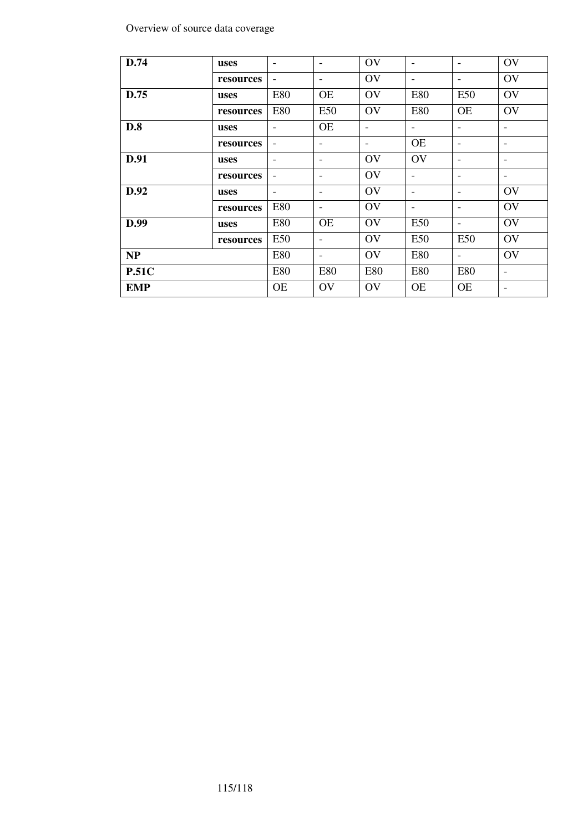#### Overview of source data coverage

| D.74         | uses      | $\overline{\phantom{a}}$ | $\overline{\phantom{a}}$ | OV                           | $\overline{\phantom{a}}$ | $\overline{\phantom{a}}$ | OV                       |
|--------------|-----------|--------------------------|--------------------------|------------------------------|--------------------------|--------------------------|--------------------------|
|              | resources | $\overline{\phantom{a}}$ | $\overline{\phantom{a}}$ | OV                           | $\overline{\phantom{a}}$ | $\overline{\phantom{a}}$ | OV                       |
| D.75         | uses      | E80                      | <b>OE</b>                | OV                           | <b>E80</b>               | E50                      | OV                       |
|              | resources | <b>E80</b>               | E50                      | OV                           | <b>E80</b>               | <b>OE</b>                | OV                       |
| D.8          | uses      | $\overline{\phantom{a}}$ | <b>OE</b>                | $\qquad \qquad \blacksquare$ | $\overline{\phantom{a}}$ | $\overline{\phantom{0}}$ | $\overline{\phantom{a}}$ |
|              | resources | $\overline{\phantom{a}}$ | $\overline{\phantom{a}}$ | $\overline{\phantom{a}}$     | <b>OE</b>                | -                        | $\overline{\phantom{a}}$ |
| D.91         | uses      | $\overline{\phantom{a}}$ | -                        | OV                           | OV                       | $\qquad \qquad$          | $\qquad \qquad$          |
|              | resources | -                        | -                        | OV                           | $\overline{\phantom{a}}$ | $\overline{\phantom{a}}$ | $\overline{\phantom{a}}$ |
| D.92         | uses      | $\overline{\phantom{a}}$ | $\overline{\phantom{a}}$ | OV                           | ۰                        |                          | OV                       |
|              | resources | E80                      | $\qquad \qquad -$        | OV                           | $\overline{\phantom{a}}$ | -                        | OV                       |
| D.99         | uses      | <b>E80</b>               | <b>OE</b>                | OV                           | E50                      | $\overline{\phantom{a}}$ | OV                       |
|              | resources | E50                      | $\overline{\phantom{a}}$ | OV                           | E50                      | E50                      | OV                       |
| NP           |           | <b>E80</b>               | $\overline{\phantom{a}}$ | OV                           | <b>E80</b>               | $\overline{\phantom{a}}$ | OV                       |
| <b>P.51C</b> |           | <b>E80</b>               | <b>E80</b>               | <b>E80</b>                   | <b>E80</b>               | <b>E80</b>               | $\overline{\phantom{a}}$ |
| <b>EMP</b>   |           | <b>OE</b>                | OV                       | OV                           | <b>OE</b>                | <b>OE</b>                | $\overline{\phantom{a}}$ |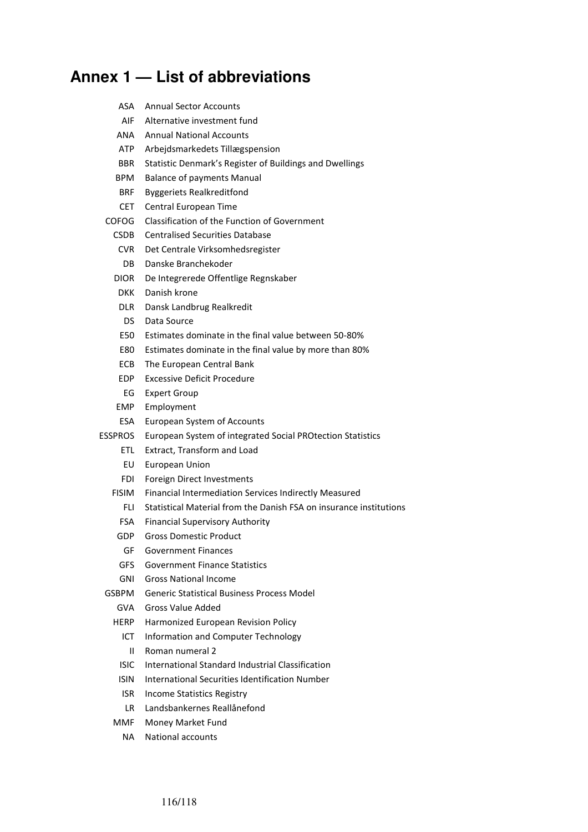# **Annex 1 — List of abbreviations**

| ASA         | <b>Annual Sector Accounts</b>                                      |
|-------------|--------------------------------------------------------------------|
| AIF         | Alternative investment fund                                        |
| ANA         | <b>Annual National Accounts</b>                                    |
| ATP         | Arbejdsmarkedets Tillægspension                                    |
| <b>BBR</b>  | Statistic Denmark's Register of Buildings and Dwellings            |
| <b>BPM</b>  | <b>Balance of payments Manual</b>                                  |
| <b>BRF</b>  | <b>Byggeriets Realkreditfond</b>                                   |
| CET.        | Central European Time                                              |
| COFOG       | Classification of the Function of Government                       |
| <b>CSDB</b> | <b>Centralised Securities Database</b>                             |
| CVR.        | Det Centrale Virksomhedsregister                                   |
| DB.         | Danske Branchekoder                                                |
| <b>DIOR</b> | De Integrerede Offentlige Regnskaber                               |
| DKK.        | Danish krone                                                       |
| DLR.        | Dansk Landbrug Realkredit                                          |
| DS.         | Data Source                                                        |
| E50         | Estimates dominate in the final value between 50-80%               |
| E80         | Estimates dominate in the final value by more than 80%             |
| ECB.        | The European Central Bank                                          |
| EDP.        | <b>Excessive Deficit Procedure</b>                                 |
| EG          | <b>Expert Group</b>                                                |
| EMP.        | Employment                                                         |
| ESA         | European System of Accounts                                        |
| ESSPROS     | European System of integrated Social PROtection Statistics         |
| ETL.        | Extract, Transform and Load                                        |
| EU          | European Union                                                     |
| FDI         | Foreign Direct Investments                                         |
| FISIM       | Financial Intermediation Services Indirectly Measured              |
| FLI         | Statistical Material from the Danish FSA on insurance institutions |
| <b>FSA</b>  | <b>Financial Supervisory Authority</b>                             |
| GDP         | <b>Gross Domestic Product</b>                                      |
| GF          | <b>Government Finances</b>                                         |
| GFS.        | Government Finance Statistics                                      |
| GNI         | Gross National Income                                              |
| GSBPM       | <b>Generic Statistical Business Process Model</b>                  |
| <b>GVA</b>  | Gross Value Added                                                  |
| HERP        | Harmonized European Revision Policy                                |
| ICT.        | Information and Computer Technology                                |
| Ш           | Roman numeral 2                                                    |
| <b>ISIC</b> | International Standard Industrial Classification                   |
| ISIN.       | International Securities Identification Number                     |
| ISR.        | Income Statistics Registry                                         |
| LR.         | Landsbankernes Reallånefond                                        |
| MMF         | Money Market Fund                                                  |
| NA          | National accounts                                                  |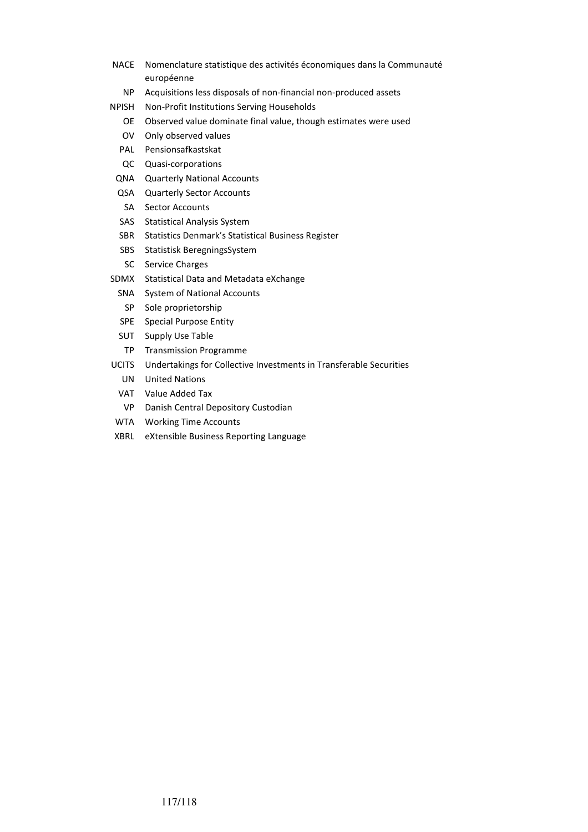- NACE Nomenclature statistique des activités économiques dans la Communauté européenne
	- NP Acquisitions less disposals of non-financial non-produced assets
- NPISH Non-Profit Institutions Serving Households
	- OE Observed value dominate final value, though estimates were used
	- OV Only observed values
	- PAL Pensionsafkastskat
	- QC Quasi-corporations
	- QNA Quarterly National Accounts
	- QSA Quarterly Sector Accounts
	- SA Sector Accounts
	- SAS Statistical Analysis System
	- SBR Statistics Denmark's Statistical Business Register
	- SBS Statistisk BeregningsSystem
	- SC Service Charges
- SDMX Statistical Data and Metadata eXchange
	- SNA System of National Accounts
	- SP Sole proprietorship
	- SPE Special Purpose Entity
	- SUT Supply Use Table
	- TP Transmission Programme
- UCITS Undertakings for Collective Investments in Transferable Securities
	- UN United Nations
	- VAT Value Added Tax
	- VP Danish Central Depository Custodian
- WTA Working Time Accounts
- XBRL eXtensible Business Reporting Language